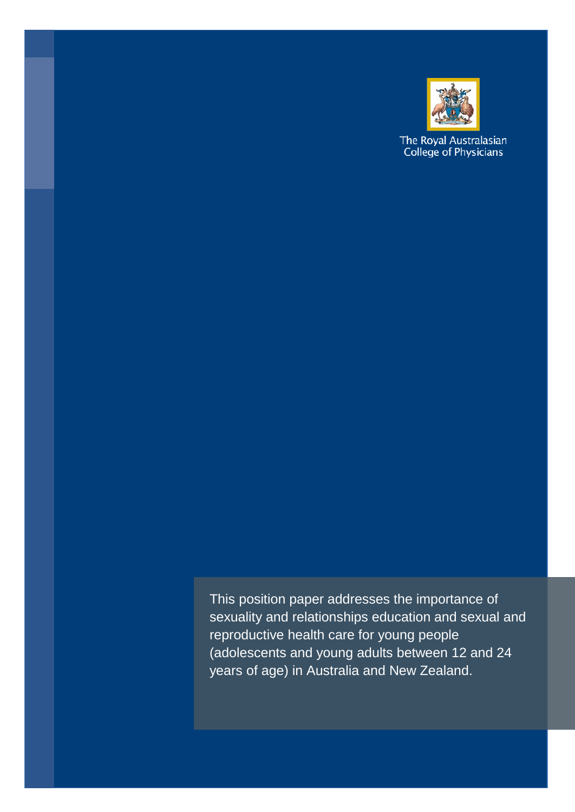

The Royal Australasian<br>College of Physicians

This position paper addresses the importance of sexuality and relationships education and sexual and reproductive health care for young people (adolescents and young adults between 12 and 24 years of age) in Australia and New Zealand.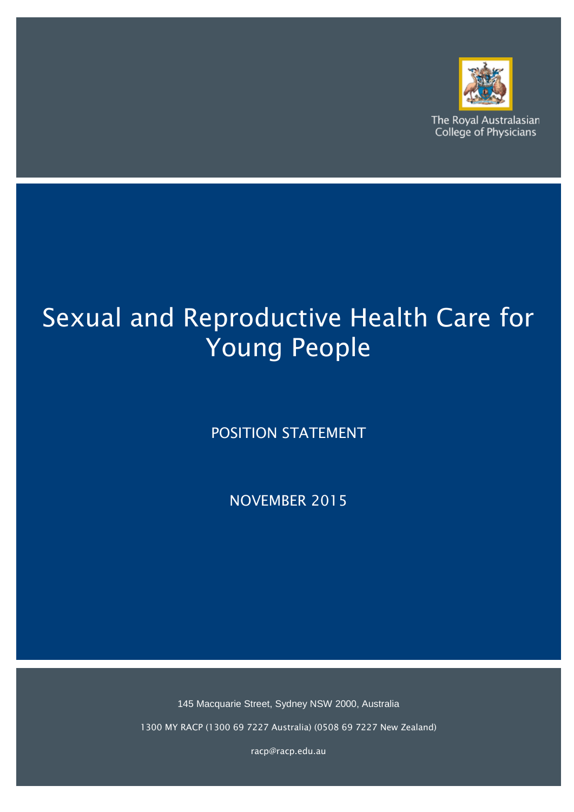

The Royal Australasian **College of Physicians** 

# Sexual and Reproductive Health Care for Young People

POSITION STATEMENT

NOVEMBER 2015

145 Macquarie Street, Sydney NSW 2000, Australia

1300 MY RACP (1300 69 7227 Australia) (0508 69 7227 New Zealand)

racp@racp.edu.au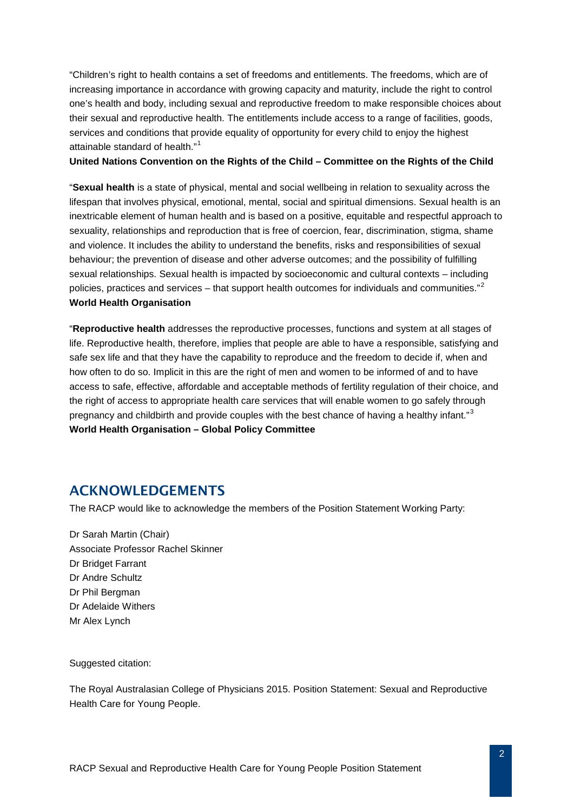"Children's right to health contains a set of freedoms and entitlements. The freedoms, which are of increasing importance in accordance with growing capacity and maturity, include the right to control one's health and body, including sexual and reproductive freedom to make responsible choices about their sexual and reproductive health. The entitlements include access to a range of facilities, goods, services and conditions that provide equality of opportunity for every child to enjoy the highest attainable standard of health."<sup>[1](#page-35-0)</sup>

#### **United Nations Convention on the Rights of the Child – Committee on the Rights of the Child**

"**Sexual health** is a state of physical, mental and social wellbeing in relation to sexuality across the lifespan that involves physical, emotional, mental, social and spiritual dimensions. Sexual health is an inextricable element of human health and is based on a positive, equitable and respectful approach to sexuality, relationships and reproduction that is free of coercion, fear, discrimination, stigma, shame and violence. It includes the ability to understand the benefits, risks and responsibilities of sexual behaviour; the prevention of disease and other adverse outcomes; and the possibility of fulfilling sexual relationships. Sexual health is impacted by socioeconomic and cultural contexts – including policies, practices and services – that support health outcomes for individuals and communities."<sup>[2](#page-35-1)</sup> **World Health Organisation**

"**Reproductive health** addresses the reproductive processes, functions and system at all stages of life. Reproductive health, therefore, implies that people are able to have a responsible, satisfying and safe sex life and that they have the capability to reproduce and the freedom to decide if, when and how often to do so. Implicit in this are the right of men and women to be informed of and to have access to safe, effective, affordable and acceptable methods of fertility regulation of their choice, and the right of access to appropriate health care services that will enable women to go safely through pregnancy and childbirth and provide couples with the best chance of having a healthy infant."<sup>[3](#page-35-2)</sup> **World Health Organisation – Global Policy Committee**

#### ACKNOWLEDGEMENTS

The RACP would like to acknowledge the members of the Position Statement Working Party:

Dr Sarah Martin (Chair) Associate Professor Rachel Skinner Dr Bridget Farrant Dr Andre Schultz Dr Phil Bergman Dr Adelaide Withers Mr Alex Lynch

Suggested citation:

The Royal Australasian College of Physicians 2015. Position Statement: Sexual and Reproductive Health Care for Young People.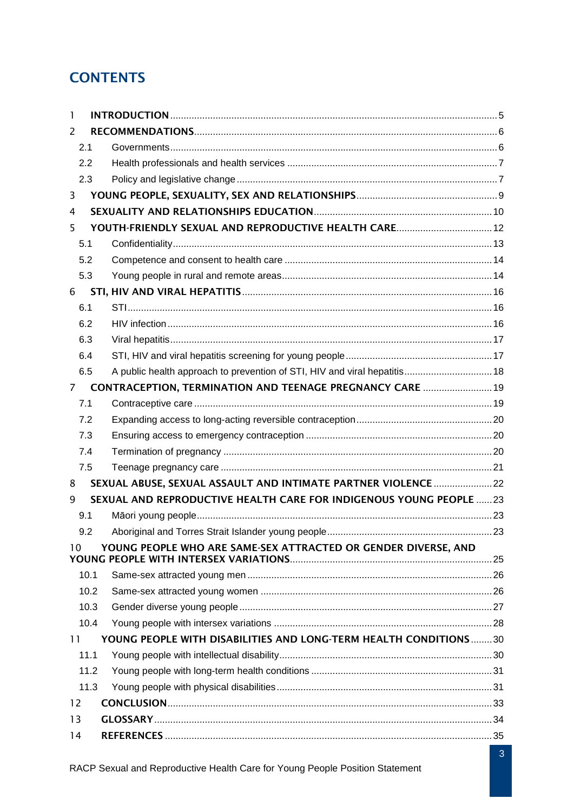# **CONTENTS**

| 1                                                                                |                                                                           |  |  |
|----------------------------------------------------------------------------------|---------------------------------------------------------------------------|--|--|
| 2                                                                                |                                                                           |  |  |
| 2.1                                                                              |                                                                           |  |  |
| 2.2                                                                              |                                                                           |  |  |
| 2.3                                                                              |                                                                           |  |  |
| 3                                                                                |                                                                           |  |  |
| 4                                                                                |                                                                           |  |  |
| 5                                                                                | YOUTH-FRIENDLY SEXUAL AND REPRODUCTIVE HEALTH CARE 12                     |  |  |
| 5.1                                                                              |                                                                           |  |  |
| 5.2                                                                              |                                                                           |  |  |
| 5.3                                                                              |                                                                           |  |  |
| 6                                                                                |                                                                           |  |  |
| 6.1                                                                              |                                                                           |  |  |
| 6.2                                                                              |                                                                           |  |  |
| 6.3                                                                              |                                                                           |  |  |
| 6.4                                                                              |                                                                           |  |  |
| 6.5                                                                              | A public health approach to prevention of STI, HIV and viral hepatitis 18 |  |  |
| <b>CONTRACEPTION, TERMINATION AND TEENAGE PREGNANCY CARE  19</b><br>$\mathbf{7}$ |                                                                           |  |  |
| 7.1                                                                              |                                                                           |  |  |
| 7.2                                                                              |                                                                           |  |  |
| 7.3                                                                              |                                                                           |  |  |
| 7.4                                                                              |                                                                           |  |  |
| 7.5                                                                              |                                                                           |  |  |
| 8                                                                                | SEXUAL ABUSE, SEXUAL ASSAULT AND INTIMATE PARTNER VIOLENCE  22            |  |  |
| 9                                                                                | SEXUAL AND REPRODUCTIVE HEALTH CARE FOR INDIGENOUS YOUNG PEOPLE  23       |  |  |
| 9.1                                                                              |                                                                           |  |  |
| 9.2                                                                              |                                                                           |  |  |
| 10                                                                               | YOUNG PEOPLE WHO ARE SAME-SEX ATTRACTED OR GENDER DIVERSE, AND            |  |  |
| 10.1                                                                             |                                                                           |  |  |
| 10.2                                                                             |                                                                           |  |  |
| 10.3                                                                             |                                                                           |  |  |
| 10.4                                                                             |                                                                           |  |  |
| 11                                                                               | YOUNG PEOPLE WITH DISABILITIES AND LONG-TERM HEALTH CONDITIONS30          |  |  |
| 11.1                                                                             |                                                                           |  |  |
| 11.2                                                                             |                                                                           |  |  |
| 11.3                                                                             |                                                                           |  |  |
| 12                                                                               |                                                                           |  |  |
| 13                                                                               |                                                                           |  |  |
| 14                                                                               |                                                                           |  |  |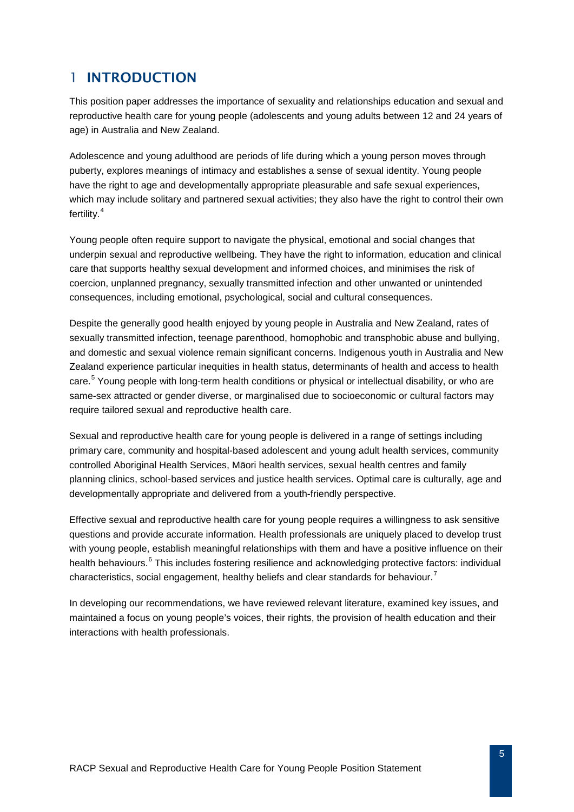### <span id="page-5-0"></span>1 INTRODUCTION

This position paper addresses the importance of sexuality and relationships education and sexual and reproductive health care for young people (adolescents and young adults between 12 and 24 years of age) in Australia and New Zealand.

Adolescence and young adulthood are periods of life during which a young person moves through puberty, explores meanings of intimacy and establishes a sense of sexual identity. Young people have the right to age and developmentally appropriate pleasurable and safe sexual experiences, which may include solitary and partnered sexual activities; they also have the right to control their own fertility.<sup>[4](#page-36-0)</sup>

Young people often require support to navigate the physical, emotional and social changes that underpin sexual and reproductive wellbeing. They have the right to information, education and clinical care that supports healthy sexual development and informed choices, and minimises the risk of coercion, unplanned pregnancy, sexually transmitted infection and other unwanted or unintended consequences, including emotional, psychological, social and cultural consequences.

Despite the generally good health enjoyed by young people in Australia and New Zealand, rates of sexually transmitted infection, teenage parenthood, homophobic and transphobic abuse and bullying, and domestic and sexual violence remain significant concerns. Indigenous youth in Australia and New Zealand experience particular inequities in health status, determinants of health and access to health care.<sup>[5](#page-36-1)</sup> Young people with long-term health conditions or physical or intellectual disability, or who are same-sex attracted or gender diverse, or marginalised due to socioeconomic or cultural factors may require tailored sexual and reproductive health care.

Sexual and reproductive health care for young people is delivered in a range of settings including primary care, community and hospital-based adolescent and young adult health services, community controlled Aboriginal Health Services, Māori health services, sexual health centres and family planning clinics, school-based services and justice health services. Optimal care is culturally, age and developmentally appropriate and delivered from a youth-friendly perspective.

Effective sexual and reproductive health care for young people requires a willingness to ask sensitive questions and provide accurate information. Health professionals are uniquely placed to develop trust with young people, establish meaningful relationships with them and have a positive influence on their health behaviours.<sup>[6](#page-36-2)</sup> This includes fostering resilience and acknowledging protective factors: individual characteristics, social engagement, healthy beliefs and clear standards for behaviour.<sup>[7](#page-36-3)</sup>

In developing our recommendations, we have reviewed relevant literature, examined key issues, and maintained a focus on young people's voices, their rights, the provision of health education and their interactions with health professionals.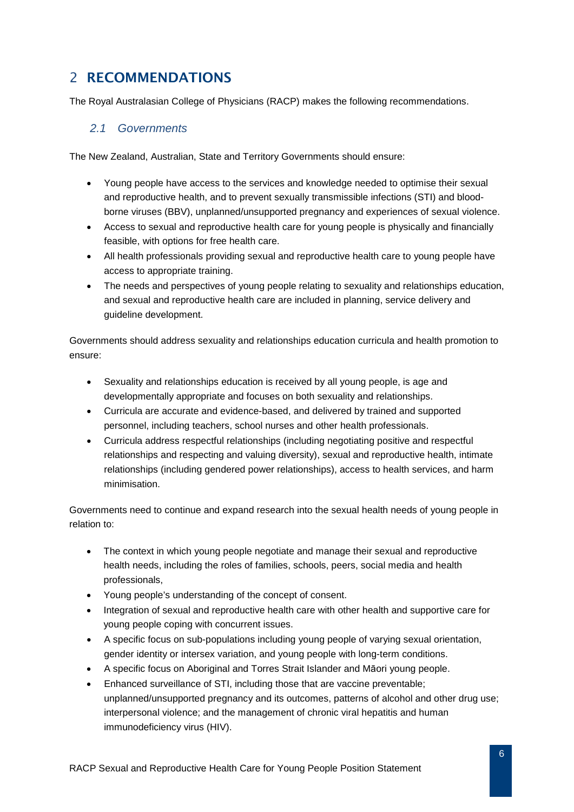### <span id="page-6-0"></span>2 RECOMMENDATIONS

The Royal Australasian College of Physicians (RACP) makes the following recommendations.

#### <span id="page-6-1"></span>*2.1 Governments*

The New Zealand, Australian, State and Territory Governments should ensure:

- Young people have access to the services and knowledge needed to optimise their sexual and reproductive health, and to prevent sexually transmissible infections (STI) and bloodborne viruses (BBV), unplanned/unsupported pregnancy and experiences of sexual violence.
- Access to sexual and reproductive health care for young people is physically and financially feasible, with options for free health care.
- All health professionals providing sexual and reproductive health care to young people have access to appropriate training.
- The needs and perspectives of young people relating to sexuality and relationships education, and sexual and reproductive health care are included in planning, service delivery and guideline development.

Governments should address sexuality and relationships education curricula and health promotion to ensure:

- Sexuality and relationships education is received by all young people, is age and developmentally appropriate and focuses on both sexuality and relationships.
- Curricula are accurate and evidence-based, and delivered by trained and supported personnel, including teachers, school nurses and other health professionals.
- Curricula address respectful relationships (including negotiating positive and respectful relationships and respecting and valuing diversity), sexual and reproductive health, intimate relationships (including gendered power relationships), access to health services, and harm minimisation.

Governments need to continue and expand research into the sexual health needs of young people in relation to:

- The context in which young people negotiate and manage their sexual and reproductive health needs, including the roles of families, schools, peers, social media and health professionals,
- Young people's understanding of the concept of consent.
- Integration of sexual and reproductive health care with other health and supportive care for young people coping with concurrent issues.
- A specific focus on sub-populations including young people of varying sexual orientation, gender identity or intersex variation, and young people with long-term conditions.
- A specific focus on Aboriginal and Torres Strait Islander and Māori young people.
- Enhanced surveillance of STI, including those that are vaccine preventable; unplanned/unsupported pregnancy and its outcomes, patterns of alcohol and other drug use; interpersonal violence; and the management of chronic viral hepatitis and human immunodeficiency virus (HIV).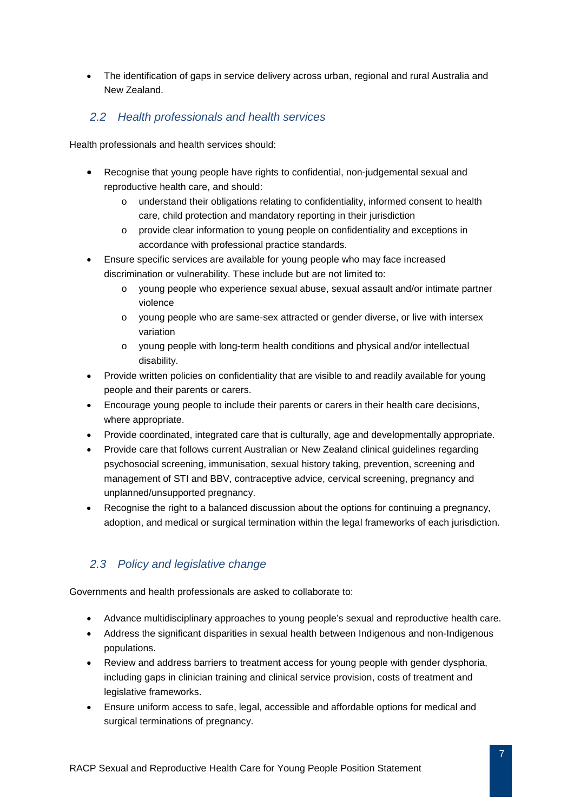• The identification of gaps in service delivery across urban, regional and rural Australia and New Zealand.

#### <span id="page-7-0"></span>*2.2 Health professionals and health services*

Health professionals and health services should:

- Recognise that young people have rights to confidential, non-judgemental sexual and reproductive health care, and should:
	- o understand their obligations relating to confidentiality, informed consent to health care, child protection and mandatory reporting in their jurisdiction
	- o provide clear information to young people on confidentiality and exceptions in accordance with professional practice standards.
- Ensure specific services are available for young people who may face increased discrimination or vulnerability. These include but are not limited to:
	- o young people who experience sexual abuse, sexual assault and/or intimate partner violence
	- o young people who are same-sex attracted or gender diverse, or live with intersex variation
	- o young people with long-term health conditions and physical and/or intellectual disability.
- Provide written policies on confidentiality that are visible to and readily available for young people and their parents or carers.
- Encourage young people to include their parents or carers in their health care decisions, where appropriate.
- Provide coordinated, integrated care that is culturally, age and developmentally appropriate.
- Provide care that follows current Australian or New Zealand clinical guidelines regarding psychosocial screening, immunisation, sexual history taking, prevention, screening and management of STI and BBV, contraceptive advice, cervical screening, pregnancy and unplanned/unsupported pregnancy.
- Recognise the right to a balanced discussion about the options for continuing a pregnancy, adoption, and medical or surgical termination within the legal frameworks of each jurisdiction.

#### <span id="page-7-1"></span>*2.3 Policy and legislative change*

Governments and health professionals are asked to collaborate to:

- Advance multidisciplinary approaches to young people's sexual and reproductive health care.
- Address the significant disparities in sexual health between Indigenous and non-Indigenous populations.
- Review and address barriers to treatment access for young people with gender dysphoria, including gaps in clinician training and clinical service provision, costs of treatment and legislative frameworks.
- Ensure uniform access to safe, legal, accessible and affordable options for medical and surgical terminations of pregnancy.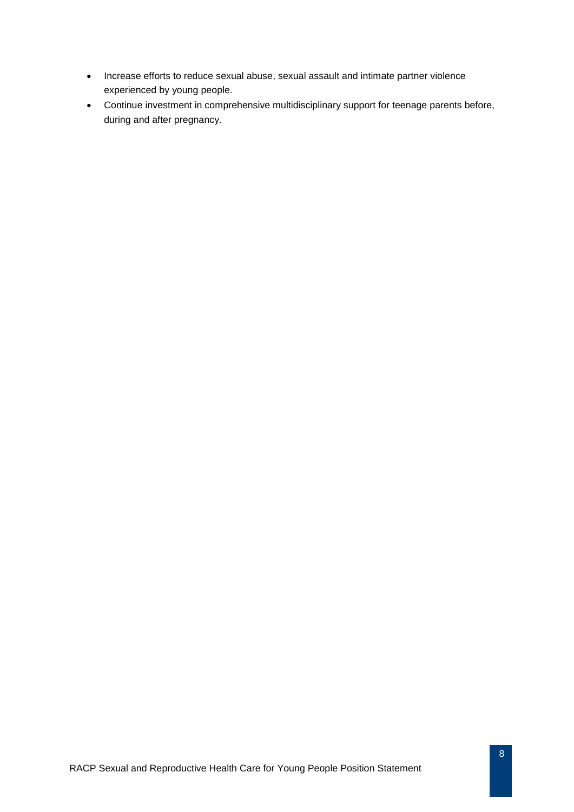- Increase efforts to reduce sexual abuse, sexual assault and intimate partner violence experienced by young people.
- Continue investment in comprehensive multidisciplinary support for teenage parents before, during and after pregnancy.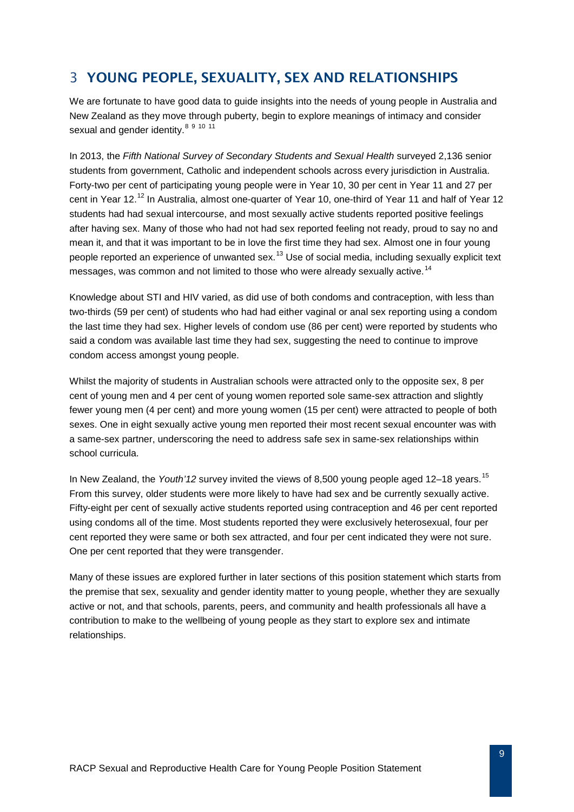# <span id="page-9-0"></span>3 YOUNG PEOPLE, SEXUALITY, SEX AND RELATIONSHIPS

We are fortunate to have good data to guide insights into the needs of young people in Australia and New Zealand as they move through puberty, begin to explore meanings of intimacy and consider sexual and gender identity.<sup>[8](#page-37-0) [9](#page-37-1) [10](#page-37-2) [11](#page-37-3)</sup>

In 2013, the *Fifth National Survey of Secondary Students and Sexual Health* surveyed 2,136 senior students from government, Catholic and independent schools across every jurisdiction in Australia. Forty-two per cent of participating young people were in Year 10, 30 per cent in Year 11 and 27 per cent in Year [12](#page-37-4).<sup>12</sup> In Australia, almost one-quarter of Year 10, one-third of Year 11 and half of Year 12 students had had sexual intercourse, and most sexually active students reported positive feelings after having sex. Many of those who had not had sex reported feeling not ready, proud to say no and mean it, and that it was important to be in love the first time they had sex. Almost one in four young people reported an experience of unwanted sex.<sup>[13](#page-37-5)</sup> Use of social media, including sexually explicit text messages, was common and not limited to those who were already sexually active.<sup>[14](#page-37-6)</sup>

Knowledge about STI and HIV varied, as did use of both condoms and contraception, with less than two-thirds (59 per cent) of students who had had either vaginal or anal sex reporting using a condom the last time they had sex. Higher levels of condom use (86 per cent) were reported by students who said a condom was available last time they had sex, suggesting the need to continue to improve condom access amongst young people.

Whilst the majority of students in Australian schools were attracted only to the opposite sex, 8 per cent of young men and 4 per cent of young women reported sole same-sex attraction and slightly fewer young men (4 per cent) and more young women (15 per cent) were attracted to people of both sexes. One in eight sexually active young men reported their most recent sexual encounter was with a same-sex partner, underscoring the need to address safe sex in same-sex relationships within school curricula.

In New Zealand, the *Youth'12* survey invited the views of 8,500 young people aged 12–18 years.<sup>[15](#page-37-7)</sup> From this survey, older students were more likely to have had sex and be currently sexually active. Fifty-eight per cent of sexually active students reported using contraception and 46 per cent reported using condoms all of the time. Most students reported they were exclusively heterosexual, four per cent reported they were same or both sex attracted, and four per cent indicated they were not sure. One per cent reported that they were transgender.

Many of these issues are explored further in later sections of this position statement which starts from the premise that sex, sexuality and gender identity matter to young people, whether they are sexually active or not, and that schools, parents, peers, and community and health professionals all have a contribution to make to the wellbeing of young people as they start to explore sex and intimate relationships.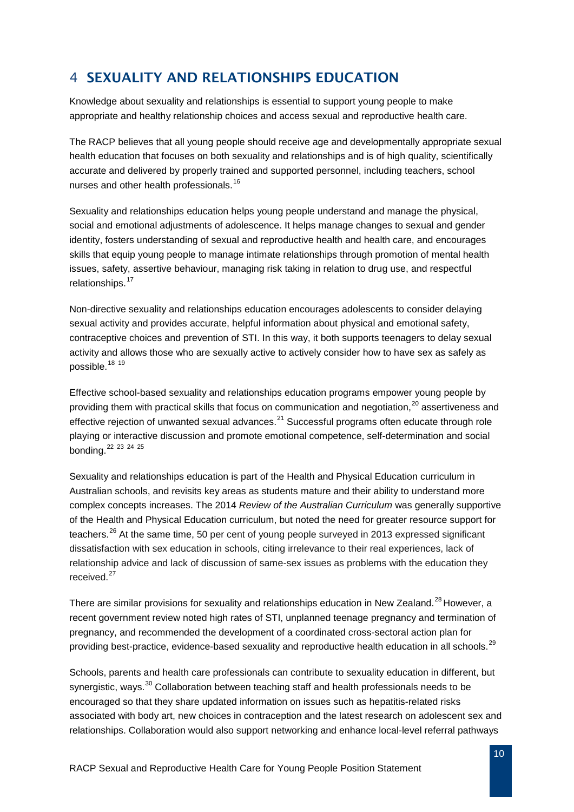### <span id="page-10-0"></span>4 SEXUALITY AND RELATIONSHIPS EDUCATION

Knowledge about sexuality and relationships is essential to support young people to make appropriate and healthy relationship choices and access sexual and reproductive health care.

The RACP believes that all young people should receive age and developmentally appropriate sexual health education that focuses on both sexuality and relationships and is of high quality, scientifically accurate and delivered by properly trained and supported personnel, including teachers, school nurses and other health professionals.[16](#page-38-0)

Sexuality and relationships education helps young people understand and manage the physical, social and emotional adjustments of adolescence. It helps manage changes to sexual and gender identity, fosters understanding of sexual and reproductive health and health care, and encourages skills that equip young people to manage intimate relationships through promotion of mental health issues, safety, assertive behaviour, managing risk taking in relation to drug use, and respectful relationships.[17](#page-38-1)

Non-directive sexuality and relationships education encourages adolescents to consider delaying sexual activity and provides accurate, helpful information about physical and emotional safety, contraceptive choices and prevention of STI. In this way, it both supports teenagers to delay sexual activity and allows those who are sexually active to actively consider how to have sex as safely as possible.[18](#page-38-2) [19](#page-38-3)

Effective school-based sexuality and relationships education programs empower young people by providing them with practical skills that focus on communication and negotiation,<sup>[20](#page-38-4)</sup> assertiveness and effective rejection of unwanted sexual advances. $^{21}$  $^{21}$  $^{21}$  Successful programs often educate through role playing or interactive discussion and promote emotional competence, self-determination and social bonding.<sup>[22](#page-38-6)</sup> <sup>[23](#page-38-7)</sup> <sup>[24](#page-38-8)</sup> <sup>[25](#page-38-9)</sup>

Sexuality and relationships education is part of the Health and Physical Education curriculum in Australian schools, and revisits key areas as students mature and their ability to understand more complex concepts increases. The 2014 *Review of the Australian Curriculum* was generally supportive of the Health and Physical Education curriculum, but noted the need for greater resource support for teachers.<sup>[26](#page-38-10)</sup> At the same time, 50 per cent of young people surveyed in 2013 expressed significant dissatisfaction with sex education in schools, citing irrelevance to their real experiences, lack of relationship advice and lack of discussion of same-sex issues as problems with the education they received. [27](#page-38-11)

There are similar provisions for sexuality and relationships education in New Zealand.<sup>[28](#page-38-12)</sup> However, a recent government review noted high rates of STI, unplanned teenage pregnancy and termination of pregnancy, and recommended the development of a coordinated cross-sectoral action plan for providing best-practice, evidence-based sexuality and reproductive health education in all schools.<sup>[29](#page-38-13)</sup>

Schools, parents and health care professionals can contribute to sexuality education in different, but synergistic, ways.<sup>[30](#page-38-14)</sup> Collaboration between teaching staff and health professionals needs to be encouraged so that they share updated information on issues such as hepatitis-related risks associated with body art, new choices in contraception and the latest research on adolescent sex and relationships. Collaboration would also support networking and enhance local-level referral pathways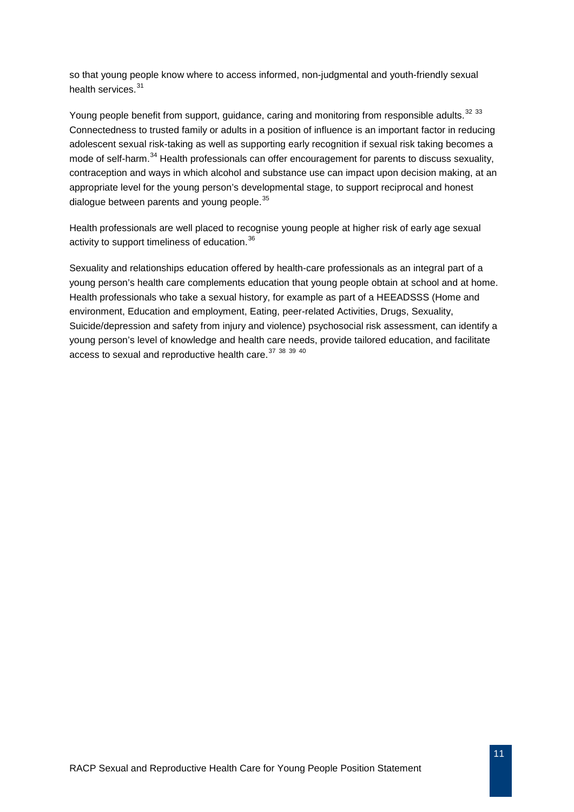so that young people know where to access informed, non-judgmental and youth-friendly sexual health services.<sup>[31](#page-39-0)</sup>

Young people benefit from support, guidance, caring and monitoring from responsible adults.<sup>[32](#page-39-1)</sup> [33](#page-39-2) Connectedness to trusted family or adults in a position of influence is an important factor in reducing adolescent sexual risk-taking as well as supporting early recognition if sexual risk taking becomes a mode of self-harm.<sup>[34](#page-39-3)</sup> Health professionals can offer encouragement for parents to discuss sexuality, contraception and ways in which alcohol and substance use can impact upon decision making, at an appropriate level for the young person's developmental stage, to support reciprocal and honest dialogue between parents and young people.<sup>[35](#page-39-4)</sup>

Health professionals are well placed to recognise young people at higher risk of early age sexual activity to support timeliness of education.<sup>[36](#page-39-5)</sup>

Sexuality and relationships education offered by health-care professionals as an integral part of a young person's health care complements education that young people obtain at school and at home. Health professionals who take a sexual history, for example as part of a HEEADSSS (Home and environment, Education and employment, Eating, peer-related Activities, Drugs, Sexuality, Suicide/depression and safety from injury and violence) psychosocial risk assessment, can identify a young person's level of knowledge and health care needs, provide tailored education, and facilitate access to sexual and reproductive health care.<sup>[37](#page-39-6)</sup> [38](#page-39-7) [39](#page-39-8) [40](#page-39-9)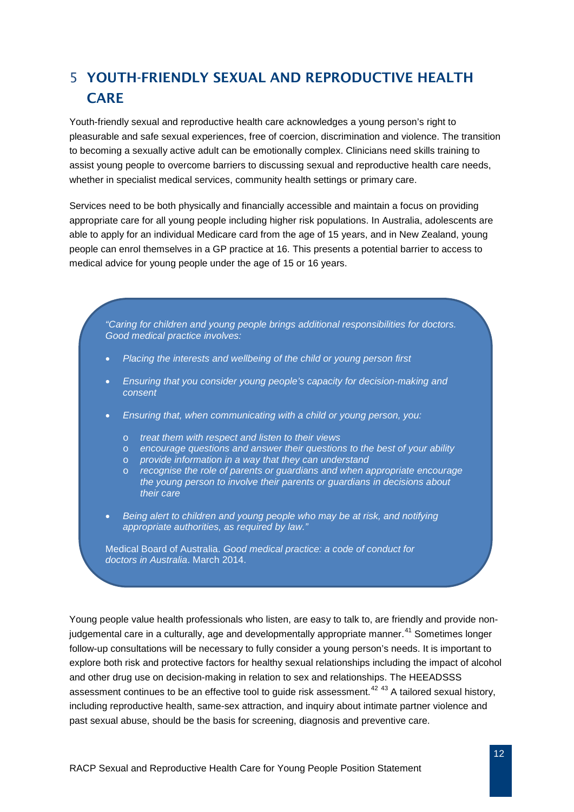# <span id="page-12-0"></span>5 YOUTH-FRIENDLY SEXUAL AND REPRODUCTIVE HEALTH CARE

Youth-friendly sexual and reproductive health care acknowledges a young person's right to pleasurable and safe sexual experiences, free of coercion, discrimination and violence. The transition to becoming a sexually active adult can be emotionally complex. Clinicians need skills training to assist young people to overcome barriers to discussing sexual and reproductive health care needs, whether in specialist medical services, community health settings or primary care.

Services need to be both physically and financially accessible and maintain a focus on providing appropriate care for all young people including higher risk populations. In Australia, adolescents are able to apply for an individual Medicare card from the age of 15 years, and in New Zealand, young people can enrol themselves in a GP practice at 16. This presents a potential barrier to access to medical advice for young people under the age of 15 or 16 years.

*"Caring for children and young people brings additional responsibilities for doctors. Good medical practice involves:* 

- *Placing the interests and wellbeing of the child or young person first*
- *Ensuring that you consider young people's capacity for decision-making and consent*
- *Ensuring that, when communicating with a child or young person, you:* 
	- o *treat them with respect and listen to their views*
	- o *encourage questions and answer their questions to the best of your ability*
	- o *provide information in a way that they can understand*
	- o *recognise the role of parents or guardians and when appropriate encourage the young person to involve their parents or guardians in decisions about their care*
- *Being alert to children and young people who may be at risk, and notifying appropriate authorities, as required by law."*

Medical Board of Australia. *Good medical practice: a code of conduct for doctors in Australia*. March 2014.

Young people value health professionals who listen, are easy to talk to, are friendly and provide non-judgemental care in a culturally, age and developmentally appropriate manner.<sup>[41](#page-39-10)</sup> Sometimes longer follow-up consultations will be necessary to fully consider a young person's needs. It is important to explore both risk and protective factors for healthy sexual relationships including the impact of alcohol and other drug use on decision-making in relation to sex and relationships. The HEEADSSS assessment continues to be an effective tool to guide risk assessment.<sup>[42](#page-39-11) [43](#page-39-12)</sup> A tailored sexual history, including reproductive health, same-sex attraction, and inquiry about intimate partner violence and past sexual abuse, should be the basis for screening, diagnosis and preventive care.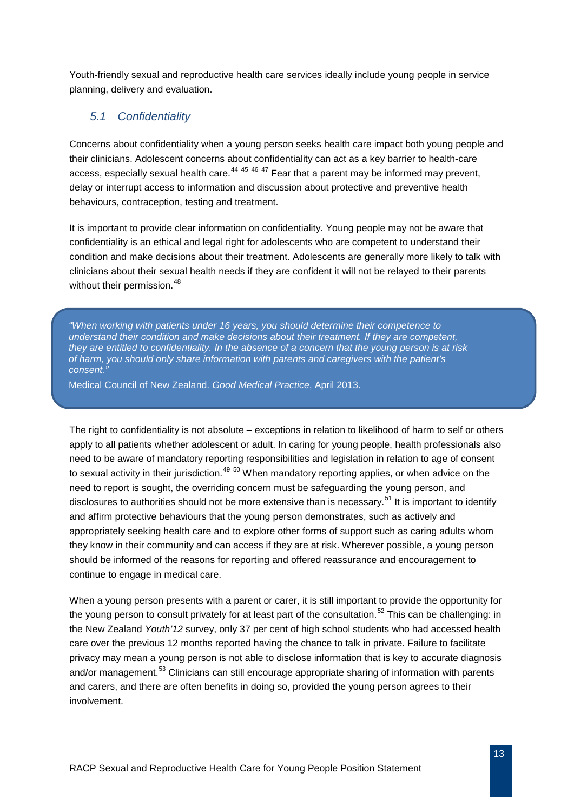Youth-friendly sexual and reproductive health care services ideally include young people in service planning, delivery and evaluation.

#### <span id="page-13-0"></span>*5.1 Confidentiality*

Concerns about confidentiality when a young person seeks health care impact both young people and their clinicians. Adolescent concerns about confidentiality can act as a key barrier to health-care access, especially sexual health care.  $44$   $45$   $46$   $47$  Fear that a parent may be informed may prevent, delay or interrupt access to information and discussion about protective and preventive health behaviours, contraception, testing and treatment.

It is important to provide clear information on confidentiality. Young people may not be aware that confidentiality is an ethical and legal right for adolescents who are competent to understand their condition and make decisions about their treatment. Adolescents are generally more likely to talk with clinicians about their sexual health needs if they are confident it will not be relayed to their parents without their permission.<sup>[48](#page-40-4)</sup>

*"When working with patients under 16 years, you should determine their competence to understand their condition and make decisions about their treatment. If they are competent, they are entitled to confidentiality. In the absence of a concern that the young person is at risk of harm, you should only share information with parents and caregivers with the patient's consent."* 

Medical Council of New Zealand. *Good Medical Practice*, April 2013.

The right to confidentiality is not absolute – exceptions in relation to likelihood of harm to self or others apply to all patients whether adolescent or adult. In caring for young people, health professionals also need to be aware of mandatory reporting responsibilities and legislation in relation to age of consent to sexual activity in their jurisdiction.<sup>[49](#page-40-5) [50](#page-40-6)</sup> When mandatory reporting applies, or when advice on the need to report is sought, the overriding concern must be safeguarding the young person, and disclosures to authorities should not be more extensive than is necessary.<sup>[51](#page-40-7)</sup> It is important to identify and affirm protective behaviours that the young person demonstrates, such as actively and appropriately seeking health care and to explore other forms of support such as caring adults whom they know in their community and can access if they are at risk. Wherever possible, a young person should be informed of the reasons for reporting and offered reassurance and encouragement to continue to engage in medical care.

When a young person presents with a parent or carer, it is still important to provide the opportunity for the young person to consult privately for at least part of the consultation.<sup>[52](#page-40-8)</sup> This can be challenging: in the New Zealand *Youth'12* survey, only 37 per cent of high school students who had accessed health care over the previous 12 months reported having the chance to talk in private. Failure to facilitate privacy may mean a young person is not able to disclose information that is key to accurate diagnosis and/or management.<sup>[53](#page-40-9)</sup> Clinicians can still encourage appropriate sharing of information with parents and carers, and there are often benefits in doing so, provided the young person agrees to their involvement.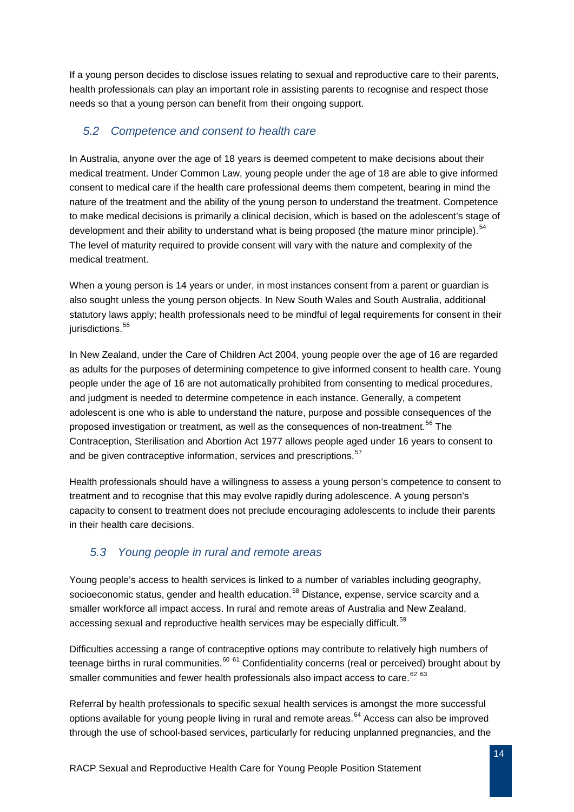If a young person decides to disclose issues relating to sexual and reproductive care to their parents, health professionals can play an important role in assisting parents to recognise and respect those needs so that a young person can benefit from their ongoing support.

#### <span id="page-14-0"></span>*5.2 Competence and consent to health care*

In Australia, anyone over the age of 18 years is deemed competent to make decisions about their medical treatment. Under Common Law, young people under the age of 18 are able to give informed consent to medical care if the health care professional deems them competent, bearing in mind the nature of the treatment and the ability of the young person to understand the treatment. Competence to make medical decisions is primarily a clinical decision, which is based on the adolescent's stage of development and their ability to understand what is being proposed (the mature minor principle).<sup>[54](#page-41-0)</sup> The level of maturity required to provide consent will vary with the nature and complexity of the medical treatment.

When a young person is 14 years or under, in most instances consent from a parent or guardian is also sought unless the young person objects. In New South Wales and South Australia, additional statutory laws apply; health professionals need to be mindful of legal requirements for consent in their jurisdictions.<sup>[55](#page-41-1)</sup>

In New Zealand, under the Care of Children Act 2004, young people over the age of 16 are regarded as adults for the purposes of determining competence to give informed consent to health care. Young people under the age of 16 are not automatically prohibited from consenting to medical procedures, and judgment is needed to determine competence in each instance. Generally, a competent adolescent is one who is able to understand the nature, purpose and possible consequences of the proposed investigation or treatment, as well as the consequences of non-treatment.<sup>[56](#page-41-2)</sup> The Contraception, Sterilisation and Abortion Act 1977 allows people aged under 16 years to consent to and be given contraceptive information, services and prescriptions.<sup>[57](#page-41-3)</sup>

Health professionals should have a willingness to assess a young person's competence to consent to treatment and to recognise that this may evolve rapidly during adolescence. A young person's capacity to consent to treatment does not preclude encouraging adolescents to include their parents in their health care decisions.

#### <span id="page-14-1"></span>*5.3 Young people in rural and remote areas*

Young people's access to health services is linked to a number of variables including geography, socioeconomic status, gender and health education.<sup>[58](#page-41-4)</sup> Distance, expense, service scarcity and a smaller workforce all impact access. In rural and remote areas of Australia and New Zealand, accessing sexual and reproductive health services may be especially difficult.<sup>[59](#page-41-5)</sup>

Difficulties accessing a range of contraceptive options may contribute to relatively high numbers of teenage births in rural communities.<sup>[60](#page-41-6) [61](#page-41-7)</sup> Confidentiality concerns (real or perceived) brought about by smaller communities and fewer health professionals also impact access to care.<sup>[62](#page-41-8)</sup> [63](#page-41-9)

Referral by health professionals to specific sexual health services is amongst the more successful options available for young people living in rural and remote areas.<sup>[64](#page-41-10)</sup> Access can also be improved through the use of school-based services, particularly for reducing unplanned pregnancies, and the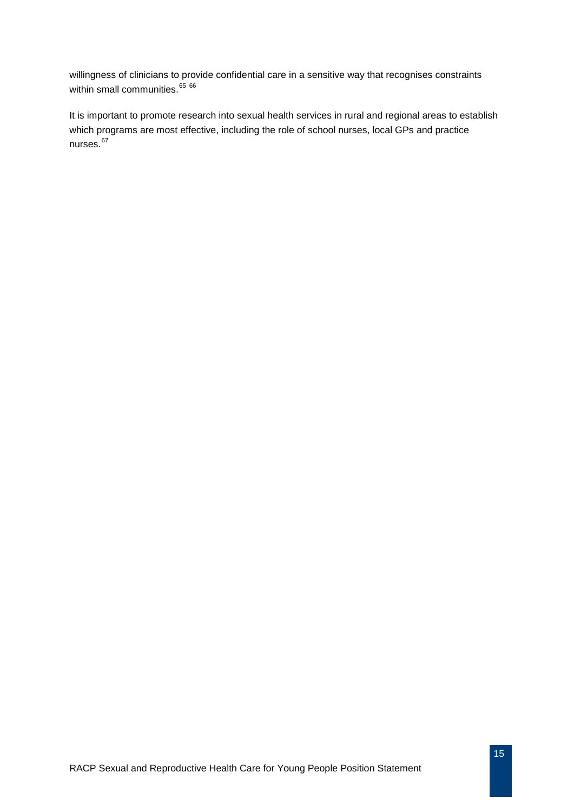willingness of clinicians to provide confidential care in a sensitive way that recognises constraints within small communities.<sup>[65](#page-42-0) [66](#page-42-1)</sup>

It is important to promote research into sexual health services in rural and regional areas to establish which programs are most effective, including the role of school nurses, local GPs and practice nurses.<sup>[67](#page-42-2)</sup>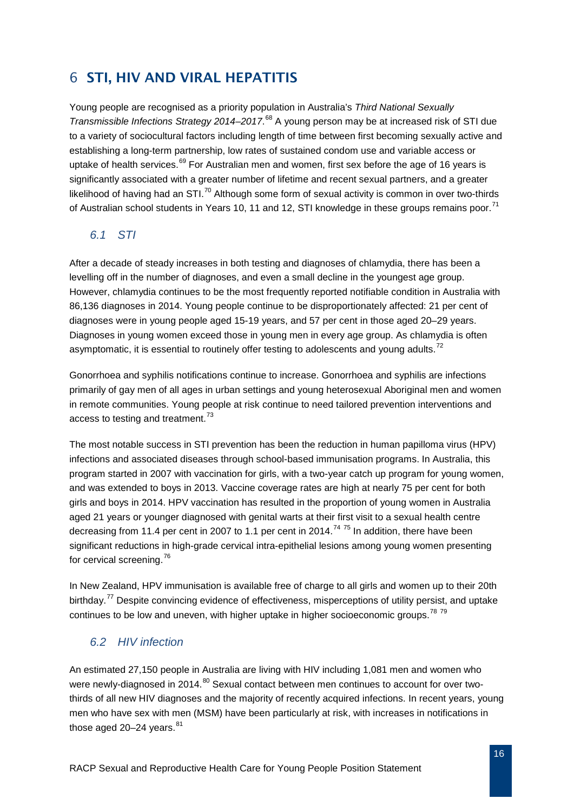### <span id="page-16-0"></span>6 STI, HIV AND VIRAL HEPATITIS

Young people are recognised as a priority population in Australia's *Third National Sexually Transmissible Infections Strategy 2014–2017*. [68](#page-43-0) A young person may be at increased risk of STI due to a variety of sociocultural factors including length of time between first becoming sexually active and establishing a long-term partnership, low rates of sustained condom use and variable access or uptake of health services.<sup>[69](#page-43-1)</sup> For Australian men and women, first sex before the age of 16 years is significantly associated with a greater number of lifetime and recent sexual partners, and a greater likelihood of having had an STI.<sup>[70](#page-43-2)</sup> Although some form of sexual activity is common in over two-thirds of Australian school students in Years 10, 11 and 12, STI knowledge in these groups remains poor.<sup>[71](#page-43-3)</sup>

#### <span id="page-16-1"></span>*6.1 STI*

After a decade of steady increases in both testing and diagnoses of chlamydia, there has been a levelling off in the number of diagnoses, and even a small decline in the youngest age group. However, chlamydia continues to be the most frequently reported notifiable condition in Australia with 86,136 diagnoses in 2014. Young people continue to be disproportionately affected: 21 per cent of diagnoses were in young people aged 15-19 years, and 57 per cent in those aged 20–29 years. Diagnoses in young women exceed those in young men in every age group. As chlamydia is often asymptomatic, it is essential to routinely offer testing to adolescents and young adults.<sup>[72](#page-43-4)</sup>

Gonorrhoea and syphilis notifications continue to increase. Gonorrhoea and syphilis are infections primarily of gay men of all ages in urban settings and young heterosexual Aboriginal men and women in remote communities. Young people at risk continue to need tailored prevention interventions and access to testing and treatment.<sup>[73](#page-43-5)</sup>

The most notable success in STI prevention has been the reduction in human papilloma virus (HPV) infections and associated diseases through school-based immunisation programs. In Australia, this program started in 2007 with vaccination for girls, with a two-year catch up program for young women, and was extended to boys in 2013. Vaccine coverage rates are high at nearly 75 per cent for both girls and boys in 2014. HPV vaccination has resulted in the proportion of young women in Australia aged 21 years or younger diagnosed with genital warts at their first visit to a sexual health centre decreasing from 11.4 per cent in 2007 to 1.1 per cent in 2014.<sup>[74](#page-43-6) [75](#page-43-7)</sup> In addition, there have been significant reductions in high-grade cervical intra-epithelial lesions among young women presenting for cervical screening.<sup>[76](#page-43-8)</sup>

In New Zealand, HPV immunisation is available free of charge to all girls and women up to their 20th birthday.<sup>[77](#page-43-9)</sup> Despite convincing evidence of effectiveness, misperceptions of utility persist, and uptake continues to be low and uneven, with higher uptake in higher socioeconomic groups.<sup>[78](#page-43-10)</sup><sup>[79](#page-43-11)</sup>

#### <span id="page-16-2"></span>*6.2 HIV infection*

An estimated 27,150 people in Australia are living with HIV including 1,081 men and women who were newly-diagnosed in 2014.<sup>[80](#page-43-12)</sup> Sexual contact between men continues to account for over twothirds of all new HIV diagnoses and the majority of recently acquired infections. In recent years, young men who have sex with men (MSM) have been particularly at risk, with increases in notifications in those aged  $20-24$  years.  $81$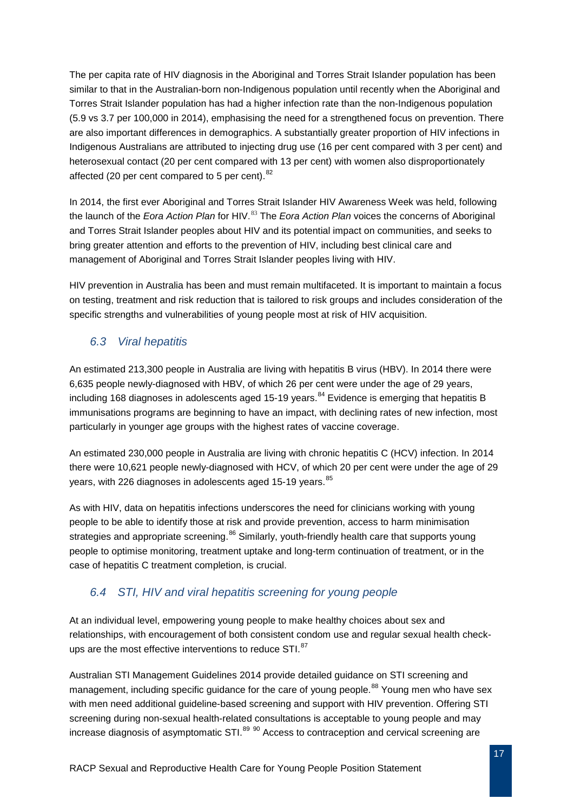The per capita rate of HIV diagnosis in the Aboriginal and Torres Strait Islander population has been similar to that in the Australian-born non-Indigenous population until recently when the Aboriginal and Torres Strait Islander population has had a higher infection rate than the non-Indigenous population (5.9 vs 3.7 per 100,000 in 2014), emphasising the need for a strengthened focus on prevention. There are also important differences in demographics. A substantially greater proportion of HIV infections in Indigenous Australians are attributed to injecting drug use (16 per cent compared with 3 per cent) and heterosexual contact (20 per cent compared with 13 per cent) with women also disproportionately affected (20 per cent compared to 5 per cent). <sup>[82](#page-44-0)</sup>

In 2014, the first ever Aboriginal and Torres Strait Islander HIV Awareness Week was held, following the launch of the *Eora Action Plan* for HIV.<sup>[83](#page-44-1)</sup> The *Eora Action Plan* voices the concerns of Aboriginal and Torres Strait Islander peoples about HIV and its potential impact on communities, and seeks to bring greater attention and efforts to the prevention of HIV, including best clinical care and management of Aboriginal and Torres Strait Islander peoples living with HIV.

HIV prevention in Australia has been and must remain multifaceted. It is important to maintain a focus on testing, treatment and risk reduction that is tailored to risk groups and includes consideration of the specific strengths and vulnerabilities of young people most at risk of HIV acquisition.

#### <span id="page-17-0"></span>*6.3 Viral hepatitis*

An estimated 213,300 people in Australia are living with hepatitis B virus (HBV). In 2014 there were 6,635 people newly-diagnosed with HBV, of which 26 per cent were under the age of 29 years, including 168 diagnoses in adolescents aged 15-19 years.<sup>[84](#page-44-2)</sup> Evidence is emerging that hepatitis B immunisations programs are beginning to have an impact, with declining rates of new infection, most particularly in younger age groups with the highest rates of vaccine coverage.

An estimated 230,000 people in Australia are living with chronic hepatitis C (HCV) infection. In 2014 there were 10,621 people newly-diagnosed with HCV, of which 20 per cent were under the age of 29 years, with 226 diagnoses in adolescents aged 15-19 years. <sup>[85](#page-44-3)</sup>

As with HIV, data on hepatitis infections underscores the need for clinicians working with young people to be able to identify those at risk and provide prevention, access to harm minimisation strategies and appropriate screening.<sup>[86](#page-44-4)</sup> Similarly, youth-friendly health care that supports young people to optimise monitoring, treatment uptake and long-term continuation of treatment, or in the case of hepatitis C treatment completion, is crucial.

#### <span id="page-17-1"></span>*6.4 STI, HIV and viral hepatitis screening for young people*

At an individual level, empowering young people to make healthy choices about sex and relationships, with encouragement of both consistent condom use and regular sexual health check-ups are the most effective interventions to reduce STI.<sup>[87](#page-44-5)</sup>

Australian STI Management Guidelines 2014 provide detailed guidance on STI screening and management, including specific guidance for the care of young people.<sup>[88](#page-44-6)</sup> Young men who have sex with men need additional guideline-based screening and support with HIV prevention. Offering STI screening during non-sexual health-related consultations is acceptable to young people and may increase diagnosis of asymptomatic  $STI^{89}$  $STI^{89}$  $STI^{89}$ <sup>[90](#page-44-8)</sup> Access to contraception and cervical screening are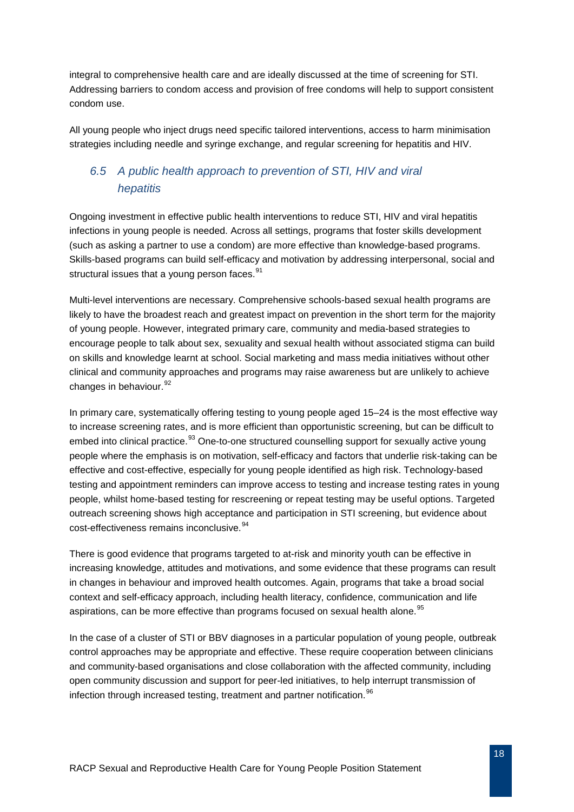integral to comprehensive health care and are ideally discussed at the time of screening for STI. Addressing barriers to condom access and provision of free condoms will help to support consistent condom use.

All young people who inject drugs need specific tailored interventions, access to harm minimisation strategies including needle and syringe exchange, and regular screening for hepatitis and HIV.

### <span id="page-18-0"></span>*6.5 A public health approach to prevention of STI, HIV and viral hepatitis*

Ongoing investment in effective public health interventions to reduce STI, HIV and viral hepatitis infections in young people is needed. Across all settings, programs that foster skills development (such as asking a partner to use a condom) are more effective than knowledge-based programs. Skills-based programs can build self-efficacy and motivation by addressing interpersonal, social and structural issues that a young person faces.<sup>[91](#page-45-0)</sup>

Multi-level interventions are necessary. Comprehensive schools-based sexual health programs are likely to have the broadest reach and greatest impact on prevention in the short term for the majority of young people. However, integrated primary care, community and media-based strategies to encourage people to talk about sex, sexuality and sexual health without associated stigma can build on skills and knowledge learnt at school. Social marketing and mass media initiatives without other clinical and community approaches and programs may raise awareness but are unlikely to achieve changes in behaviour.  $92$ 

In primary care, systematically offering testing to young people aged 15–24 is the most effective way to increase screening rates, and is more efficient than opportunistic screening, but can be difficult to embed into clinical practice.<sup>[93](#page-45-2)</sup> One-to-one structured counselling support for sexually active young people where the emphasis is on motivation, self-efficacy and factors that underlie risk-taking can be effective and cost-effective, especially for young people identified as high risk. Technology-based testing and appointment reminders can improve access to testing and increase testing rates in young people, whilst home-based testing for rescreening or repeat testing may be useful options. Targeted outreach screening shows high acceptance and participation in STI screening, but evidence about cost-effectiveness remains inconclusive. <sup>[94](#page-45-3)</sup>

There is good evidence that programs targeted to at-risk and minority youth can be effective in increasing knowledge, attitudes and motivations, and some evidence that these programs can result in changes in behaviour and improved health outcomes. Again, programs that take a broad social context and self-efficacy approach, including health literacy, confidence, communication and life aspirations, can be more effective than programs focused on sexual health alone.<sup>[95](#page-45-4)</sup>

In the case of a cluster of STI or BBV diagnoses in a particular population of young people, outbreak control approaches may be appropriate and effective. These require cooperation between clinicians and community-based organisations and close collaboration with the affected community, including open community discussion and support for peer-led initiatives, to help interrupt transmission of infection through increased testing, treatment and partner notification.  $96$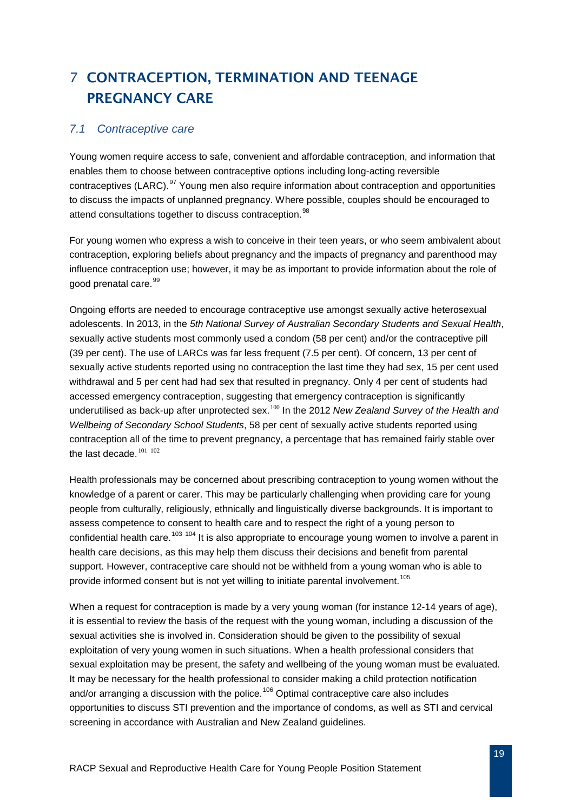# <span id="page-19-0"></span>7 CONTRACEPTION, TERMINATION AND TEENAGE PREGNANCY CARE

#### <span id="page-19-1"></span>*7.1 Contraceptive care*

Young women require access to safe, convenient and affordable contraception, and information that enables them to choose between contraceptive options including long-acting reversible contraceptives (LARC).<sup>[97](#page-46-0)</sup> Young men also require information about contraception and opportunities to discuss the impacts of unplanned pregnancy. Where possible, couples should be encouraged to attend consultations together to discuss contraception.<sup>[98](#page-46-1)</sup>

For young women who express a wish to conceive in their teen years, or who seem ambivalent about contraception, exploring beliefs about pregnancy and the impacts of pregnancy and parenthood may influence contraception use; however, it may be as important to provide information about the role of good prenatal care.<sup>[99](#page-46-2)</sup>

Ongoing efforts are needed to encourage contraceptive use amongst sexually active heterosexual adolescents. In 2013, in the *5th National Survey of Australian Secondary Students and Sexual Health*, sexually active students most commonly used a condom (58 per cent) and/or the contraceptive pill (39 per cent). The use of LARCs was far less frequent (7.5 per cent). Of concern, 13 per cent of sexually active students reported using no contraception the last time they had sex, 15 per cent used withdrawal and 5 per cent had had sex that resulted in pregnancy. Only 4 per cent of students had accessed emergency contraception, suggesting that emergency contraception is significantly underutilised as back-up after unprotected sex.[100](#page-46-3) In the 2012 *New Zealand Survey of the Health and Wellbeing of Secondary School Students*, 58 per cent of sexually active students reported using contraception all of the time to prevent pregnancy, a percentage that has remained fairly stable over the last decade. $101$   $102$ 

Health professionals may be concerned about prescribing contraception to young women without the knowledge of a parent or carer. This may be particularly challenging when providing care for young people from culturally, religiously, ethnically and linguistically diverse backgrounds. It is important to assess competence to consent to health care and to respect the right of a voung person to confidential health care.<sup>[103](#page-46-6)</sup> <sup>[104](#page-46-7)</sup> It is also appropriate to encourage young women to involve a parent in health care decisions, as this may help them discuss their decisions and benefit from parental support. However, contraceptive care should not be withheld from a young woman who is able to provide informed consent but is not yet willing to initiate parental involvement.<sup>[105](#page-46-8)</sup>

When a request for contraception is made by a very young woman (for instance 12-14 years of age), it is essential to review the basis of the request with the young woman, including a discussion of the sexual activities she is involved in. Consideration should be given to the possibility of sexual exploitation of very young women in such situations. When a health professional considers that sexual exploitation may be present, the safety and wellbeing of the young woman must be evaluated. It may be necessary for the health professional to consider making a child protection notification and/or arranging a discussion with the police.<sup>[106](#page-46-9)</sup> Optimal contraceptive care also includes opportunities to discuss STI prevention and the importance of condoms, as well as STI and cervical screening in accordance with Australian and New Zealand guidelines.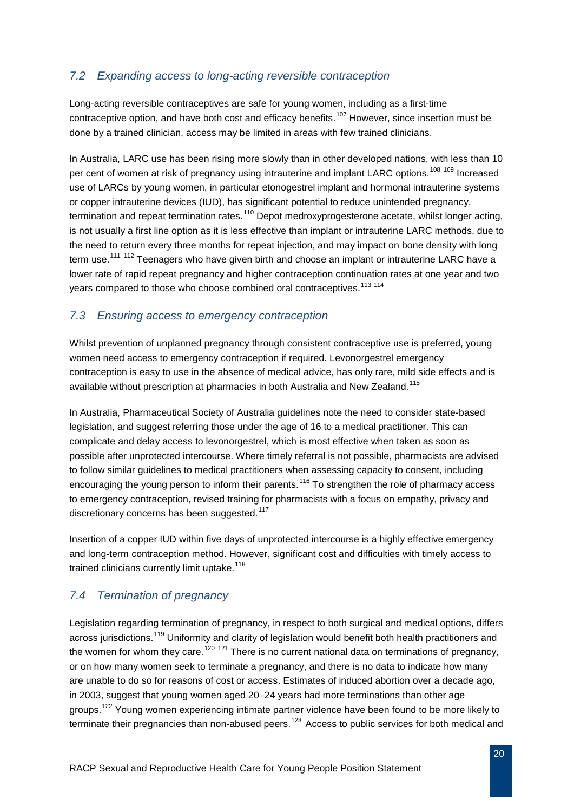#### <span id="page-20-0"></span>*7.2 Expanding access to long-acting reversible contraception*

Long-acting reversible contraceptives are safe for young women, including as a first-time contraceptive option, and have both cost and efficacy benefits. [107](#page-47-0) However, since insertion must be done by a trained clinician, access may be limited in areas with few trained clinicians.

In Australia, LARC use has been rising more slowly than in other developed nations, with less than 10 per cent of women at risk of pregnancy using intrauterine and implant LARC options.<sup>[108](#page-47-1) [109](#page-47-2)</sup> Increased use of LARCs by young women, in particular etonogestrel implant and hormonal intrauterine systems or copper intrauterine devices (IUD), has significant potential to reduce unintended pregnancy, termination and repeat termination rates.<sup>[110](#page-47-3)</sup> Depot medroxyprogesterone acetate, whilst longer acting, is not usually a first line option as it is less effective than implant or intrauterine LARC methods, due to the need to return every three months for repeat injection, and may impact on bone density with long term use.<sup>[111](#page-47-4) [112](#page-47-5)</sup> Teenagers who have given birth and choose an implant or intrauterine LARC have a lower rate of rapid repeat pregnancy and higher contraception continuation rates at one year and two years compared to those who choose combined oral contraceptives.<sup>[113](#page-47-6) [114](#page-47-7)</sup>

#### <span id="page-20-1"></span>*7.3 Ensuring access to emergency contraception*

Whilst prevention of unplanned pregnancy through consistent contraceptive use is preferred, young women need access to emergency contraception if required. Levonorgestrel emergency contraception is easy to use in the absence of medical advice, has only rare, mild side effects and is available without prescription at pharmacies in both Australia and New Zealand.<sup>[115](#page-47-8)</sup>

In Australia, Pharmaceutical Society of Australia guidelines note the need to consider state-based legislation, and suggest referring those under the age of 16 to a medical practitioner. This can complicate and delay access to levonorgestrel, which is most effective when taken as soon as possible after unprotected intercourse. Where timely referral is not possible, pharmacists are advised to follow similar guidelines to medical practitioners when assessing capacity to consent, including encouraging the young person to inform their parents.<sup>[116](#page-47-9)</sup> To strengthen the role of pharmacy access to emergency contraception, revised training for pharmacists with a focus on empathy, privacy and discretionary concerns has been suggested.<sup>[117](#page-47-10)</sup>

Insertion of a copper IUD within five days of unprotected intercourse is a highly effective emergency and long-term contraception method. However, significant cost and difficulties with timely access to trained clinicians currently limit uptake.<sup>[118](#page-47-11)</sup>

#### <span id="page-20-2"></span>*7.4 Termination of pregnancy*

Legislation regarding termination of pregnancy, in respect to both surgical and medical options, differs across jurisdictions.<sup>[119](#page-47-12)</sup> Uniformity and clarity of legislation would benefit both health practitioners and the women for whom they care.<sup>[120](#page-47-13) [121](#page-47-14)</sup> There is no current national data on terminations of pregnancy, or on how many women seek to terminate a pregnancy, and there is no data to indicate how many are unable to do so for reasons of cost or access. Estimates of induced abortion over a decade ago, in 2003, suggest that young women aged 20–24 years had more terminations than other age groups.<sup>[122](#page-47-15)</sup> Young women experiencing intimate partner violence have been found to be more likely to terminate their pregnancies than non-abused peers.<sup>[123](#page-47-16)</sup> Access to public services for both medical and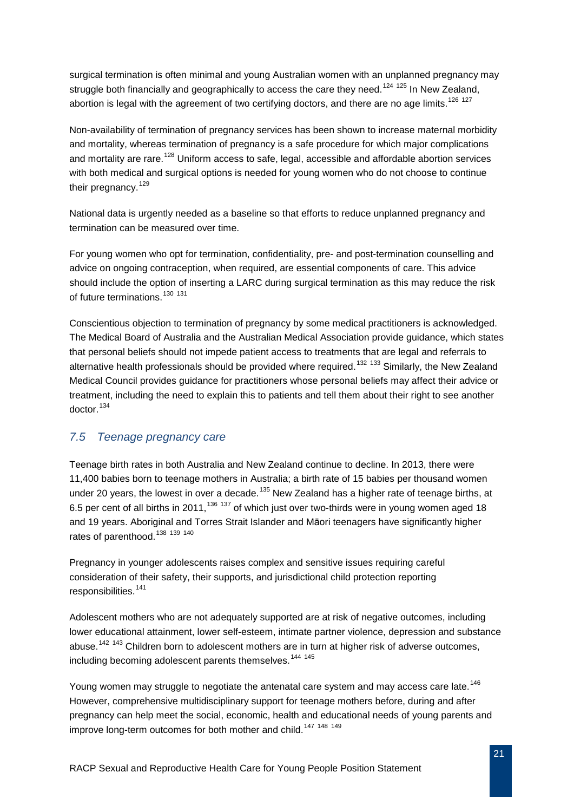surgical termination is often minimal and young Australian women with an unplanned pregnancy may struggle both financially and geographically to access the care they need.<sup>[124](#page-48-0) [125](#page-48-1)</sup> In New Zealand, abortion is legal with the agreement of two certifying doctors, and there are no age limits.<sup>[126](#page-48-2) [127](#page-48-3)</sup>

Non-availability of termination of pregnancy services has been shown to increase maternal morbidity and mortality, whereas termination of pregnancy is a safe procedure for which major complications and mortality are rare.<sup>[128](#page-48-4)</sup> Uniform access to safe, legal, accessible and affordable abortion services with both medical and surgical options is needed for young women who do not choose to continue their pregnancy.<sup>[129](#page-48-5)</sup>

National data is urgently needed as a baseline so that efforts to reduce unplanned pregnancy and termination can be measured over time.

For young women who opt for termination, confidentiality, pre- and post-termination counselling and advice on ongoing contraception, when required, are essential components of care. This advice should include the option of inserting a LARC during surgical termination as this may reduce the risk of future terminations.<sup>[130](#page-48-6)</sup><sup>[131](#page-48-7)</sup>

Conscientious objection to termination of pregnancy by some medical practitioners is acknowledged. The Medical Board of Australia and the Australian Medical Association provide guidance, which states that personal beliefs should not impede patient access to treatments that are legal and referrals to alternative health professionals should be provided where required.<sup>[132](#page-48-8) [133](#page-48-9)</sup> Similarly, the New Zealand Medical Council provides guidance for practitioners whose personal beliefs may affect their advice or treatment, including the need to explain this to patients and tell them about their right to see another doctor.[134](#page-48-10)

#### <span id="page-21-0"></span>*7.5 Teenage pregnancy care*

Teenage birth rates in both Australia and New Zealand continue to decline. In 2013, there were 11,400 babies born to teenage mothers in Australia; a birth rate of 15 babies per thousand women under 20 years, the lowest in over a decade.<sup>[135](#page-48-11)</sup> New Zealand has a higher rate of teenage births, at 6.5 per cent of all births in 2011,  $^{136}$  $^{136}$  $^{136}$  [137](#page-48-13) of which just over two-thirds were in young women aged 18 and 19 years. Aboriginal and Torres Strait Islander and Māori teenagers have significantly higher rates of parenthood.<sup>[138](#page-48-14)</sup> <sup>[139](#page-48-15)</sup> <sup>[140](#page-48-16)</sup>

Pregnancy in younger adolescents raises complex and sensitive issues requiring careful consideration of their safety, their supports, and jurisdictional child protection reporting responsibilities.<sup>[141](#page-48-17)</sup>

Adolescent mothers who are not adequately supported are at risk of negative outcomes, including lower educational attainment, lower self-esteem, intimate partner violence, depression and substance abuse.<sup>[142](#page-48-18) [143](#page-48-19)</sup> Children born to adolescent mothers are in turn at higher risk of adverse outcomes, including becoming adolescent parents themselves.<sup>[144](#page-48-20) [145](#page-48-21)</sup>

Young women may struggle to negotiate the antenatal care system and may access care late.<sup>[146](#page-48-22)</sup> However, comprehensive multidisciplinary support for teenage mothers before, during and after pregnancy can help meet the social, economic, health and educational needs of young parents and improve long-term outcomes for both mother and child.<sup>[147](#page-48-23)</sup> <sup>[148](#page-48-24)</sup> <sup>[149](#page-48-25)</sup>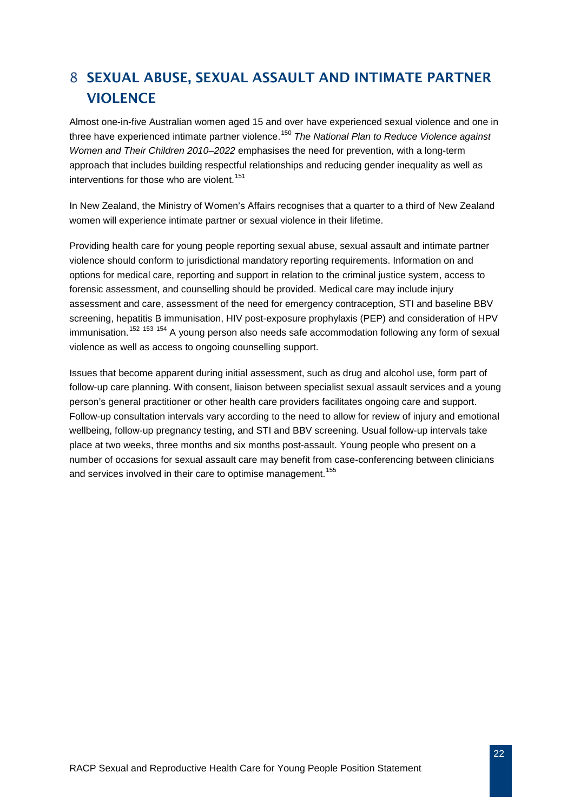# <span id="page-22-0"></span>8 SEXUAL ABUSE, SEXUAL ASSAULT AND INTIMATE PARTNER **VIOLENCE**

Almost one-in-five Australian women aged 15 and over have experienced sexual violence and one in three have experienced intimate partner violence. [150](#page-49-0) *The National Plan to Reduce Violence against Women and Their Children 2010–2022* emphasises the need for prevention, with a long-term approach that includes building respectful relationships and reducing gender inequality as well as interventions for those who are violent. [151](#page-49-1)

In New Zealand, the Ministry of Women's Affairs recognises that a quarter to a third of New Zealand women will experience intimate partner or sexual violence in their lifetime.

Providing health care for young people reporting sexual abuse, sexual assault and intimate partner violence should conform to jurisdictional mandatory reporting requirements. Information on and options for medical care, reporting and support in relation to the criminal justice system, access to forensic assessment, and counselling should be provided. Medical care may include injury assessment and care, assessment of the need for emergency contraception, STI and baseline BBV screening, hepatitis B immunisation, HIV post-exposure prophylaxis (PEP) and consideration of HPV immunisation.<sup>[152](#page-49-2) [153](#page-49-3)</sup> [154](#page-49-4) A young person also needs safe accommodation following any form of sexual violence as well as access to ongoing counselling support.

Issues that become apparent during initial assessment, such as drug and alcohol use, form part of follow-up care planning. With consent, liaison between specialist sexual assault services and a young person's general practitioner or other health care providers facilitates ongoing care and support. Follow-up consultation intervals vary according to the need to allow for review of injury and emotional wellbeing, follow-up pregnancy testing, and STI and BBV screening. Usual follow-up intervals take place at two weeks, three months and six months post-assault. Young people who present on a number of occasions for sexual assault care may benefit from case-conferencing between clinicians and services involved in their care to optimise management.<sup>[155](#page-49-5)</sup>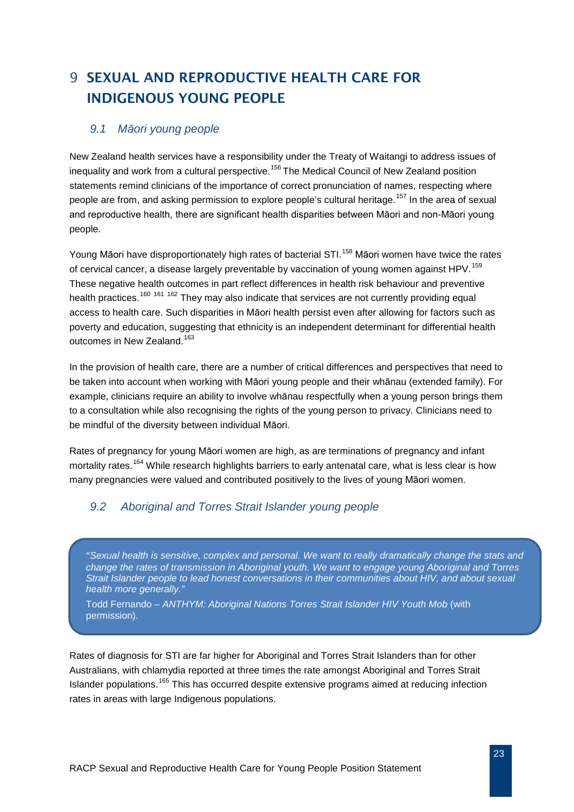# <span id="page-23-0"></span>9 SEXUAL AND REPRODUCTIVE HEALTH CARE FOR INDIGENOUS YOUNG PEOPLE

#### <span id="page-23-1"></span>*9.1 Māori young people*

New Zealand health services have a responsibility under the Treaty of Waitangi to address issues of inequality and work from a cultural perspective.<sup>[156](#page-50-0)</sup> The Medical Council of New Zealand position statements remind clinicians of the importance of correct pronunciation of names, respecting where people are from, and asking permission to explore people's cultural heritage.<sup>[157](#page-50-1)</sup> In the area of sexual and reproductive health, there are significant health disparities between Māori and non-Māori young people.

Young Māori have disproportionately high rates of bacterial STI.<sup>[158](#page-50-2)</sup> Māori women have twice the rates of cervical cancer, a disease largely preventable by vaccination of young women against HPV.<sup>[159](#page-50-3)</sup> These negative health outcomes in part reflect differences in health risk behaviour and preventive health practices.<sup>[160](#page-50-4) [161](#page-50-5) [162](#page-50-6)</sup> They may also indicate that services are not currently providing equal access to health care. Such disparities in Māori health persist even after allowing for factors such as poverty and education, suggesting that ethnicity is an independent determinant for differential health outcomes in New Zealand.<sup>[163](#page-50-7)</sup>

In the provision of health care, there are a number of critical differences and perspectives that need to be taken into account when working with Māori young people and their whānau (extended family). For example, clinicians require an ability to involve whānau respectfully when a young person brings them to a consultation while also recognising the rights of the young person to privacy. Clinicians need to be mindful of the diversity between individual Māori.

Rates of pregnancy for young Māori women are high, as are terminations of pregnancy and infant mortality rates.<sup>[164](#page-50-8)</sup> While research highlights barriers to early antenatal care, what is less clear is how many pregnancies were valued and contributed positively to the lives of young Māori women.

#### <span id="page-23-2"></span>*9.2 Aboriginal and Torres Strait Islander young people*

"*Sexual health is sensitive, complex and personal. We want to really dramatically change the stats and change the rates of transmission in Aboriginal youth. We want to engage young Aboriginal and Torres Strait Islander people to lead honest conversations in their communities about HIV, and about sexual health more generally."*

Todd Fernando – *ANTHYM: Aboriginal Nations Torres Strait Islander HIV Youth Mob* (with permission).

Rates of diagnosis for STI are far higher for Aboriginal and Torres Strait Islanders than for other Australians, with chlamydia reported at three times the rate amongst Aboriginal and Torres Strait Islander populations.<sup>[165](#page-50-9)</sup> This has occurred despite extensive programs aimed at reducing infection rates in areas with large Indigenous populations.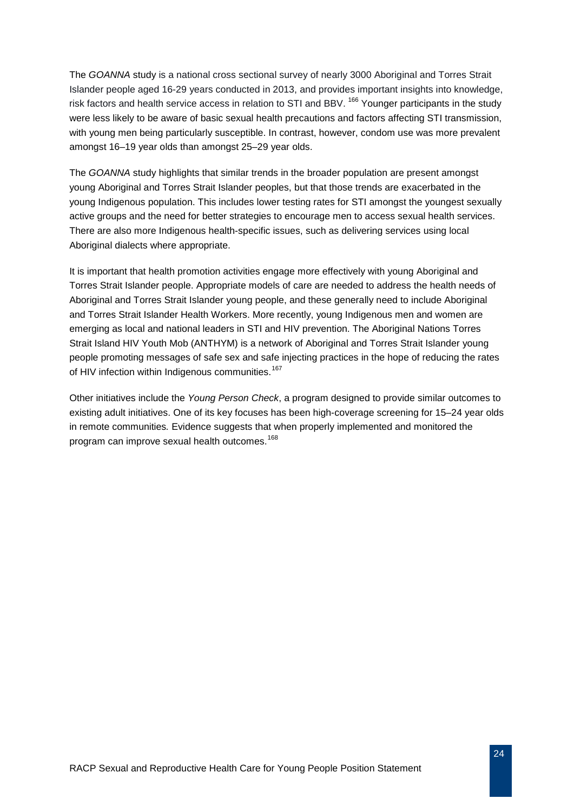The *GOANNA* study is a national cross sectional survey of nearly 3000 Aboriginal and Torres Strait Islander people aged 16-29 years conducted in 2013, and provides important insights into knowledge, risk factors and health service access in relation to STI and BBV. [166](#page-51-0) Younger participants in the study were less likely to be aware of basic sexual health precautions and factors affecting STI transmission, with young men being particularly susceptible. In contrast, however, condom use was more prevalent amongst 16–19 year olds than amongst 25–29 year olds.

The *GOANNA* study highlights that similar trends in the broader population are present amongst young Aboriginal and Torres Strait Islander peoples, but that those trends are exacerbated in the young Indigenous population. This includes lower testing rates for STI amongst the youngest sexually active groups and the need for better strategies to encourage men to access sexual health services. There are also more Indigenous health-specific issues, such as delivering services using local Aboriginal dialects where appropriate.

It is important that health promotion activities engage more effectively with young Aboriginal and Torres Strait Islander people. Appropriate models of care are needed to address the health needs of Aboriginal and Torres Strait Islander young people, and these generally need to include Aboriginal and Torres Strait Islander Health Workers. More recently, young Indigenous men and women are emerging as local and national leaders in STI and HIV prevention. The Aboriginal Nations Torres Strait Island HIV Youth Mob (ANTHYM) is a network of Aboriginal and Torres Strait Islander young people promoting messages of safe sex and safe injecting practices in the hope of reducing the rates of HIV infection within Indigenous communities.<sup>[167](#page-51-1)</sup>

Other initiatives include the *Young Person Check*, a program designed to provide similar outcomes to existing adult initiatives. One of its key focuses has been high-coverage screening for 15–24 year olds in remote communities*.* Evidence suggests that when properly implemented and monitored the program can improve sexual health outcomes.<sup>[168](#page-51-2)</sup>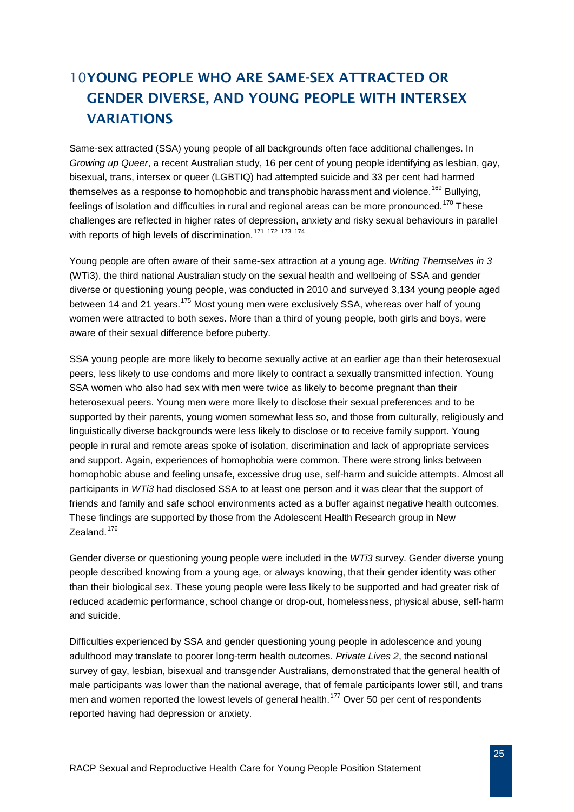# <span id="page-25-0"></span>10YOUNG PEOPLE WHO ARE SAME-SEX ATTRACTED OR GENDER DIVERSE, AND YOUNG PEOPLE WITH INTERSEX VARIATIONS

Same-sex attracted (SSA) young people of all backgrounds often face additional challenges. In *Growing up Queer*, a recent Australian study, 16 per cent of young people identifying as lesbian, gay, bisexual, trans, intersex or queer (LGBTIQ) had attempted suicide and 33 per cent had harmed themselves as a response to homophobic and transphobic harassment and violence.<sup>[169](#page-52-0)</sup> Bullying, feelings of isolation and difficulties in rural and regional areas can be more pronounced.<sup>[170](#page-52-1)</sup> These challenges are reflected in higher rates of depression, anxiety and risky sexual behaviours in parallel with reports of high levels of discrimination.<sup>[171](#page-52-2) [172](#page-52-3) [173](#page-52-4) [174](#page-52-5)</sup>

Young people are often aware of their same-sex attraction at a young age. *Writing Themselves in 3* (WTi3), the third national Australian study on the sexual health and wellbeing of SSA and gender diverse or questioning young people, was conducted in 2010 and surveyed 3,134 young people aged between 14 and 21 years.<sup>[175](#page-52-6)</sup> Most young men were exclusively SSA, whereas over half of young women were attracted to both sexes. More than a third of young people, both girls and boys, were aware of their sexual difference before puberty.

SSA young people are more likely to become sexually active at an earlier age than their heterosexual peers, less likely to use condoms and more likely to contract a sexually transmitted infection. Young SSA women who also had sex with men were twice as likely to become pregnant than their heterosexual peers. Young men were more likely to disclose their sexual preferences and to be supported by their parents, young women somewhat less so, and those from culturally, religiously and linguistically diverse backgrounds were less likely to disclose or to receive family support. Young people in rural and remote areas spoke of isolation, discrimination and lack of appropriate services and support. Again, experiences of homophobia were common. There were strong links between homophobic abuse and feeling unsafe, excessive drug use, self-harm and suicide attempts. Almost all participants in *WTi3* had disclosed SSA to at least one person and it was clear that the support of friends and family and safe school environments acted as a buffer against negative health outcomes. These findings are supported by those from the Adolescent Health Research group in New Zealand.<sup>[176](#page-52-7)</sup>

Gender diverse or questioning young people were included in the *WTi3* survey. Gender diverse young people described knowing from a young age, or always knowing, that their gender identity was other than their biological sex. These young people were less likely to be supported and had greater risk of reduced academic performance, school change or drop-out, homelessness, physical abuse, self-harm and suicide.

Difficulties experienced by SSA and gender questioning young people in adolescence and young adulthood may translate to poorer long-term health outcomes. *Private Lives 2*, the second national survey of gay, lesbian, bisexual and transgender Australians, demonstrated that the general health of male participants was lower than the national average, that of female participants lower still, and trans men and women reported the lowest levels of general health.<sup>[177](#page-52-8)</sup> Over 50 per cent of respondents reported having had depression or anxiety.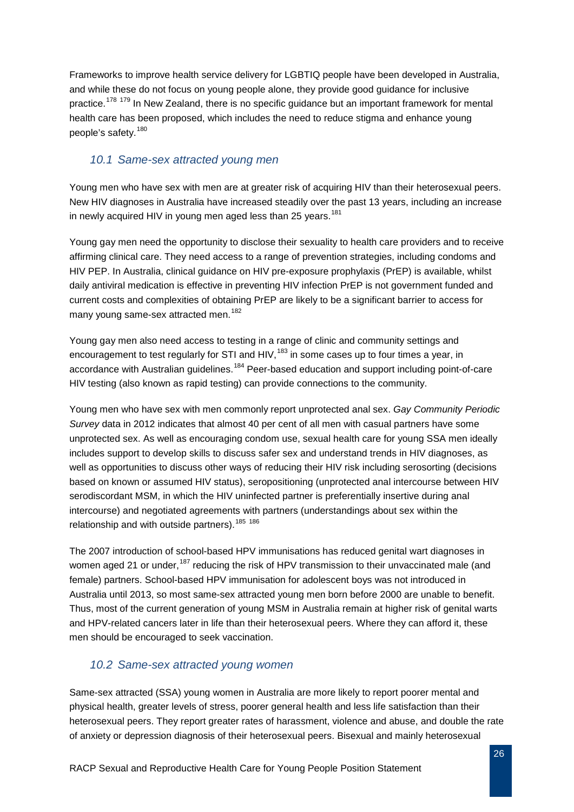Frameworks to improve health service delivery for LGBTIQ people have been developed in Australia, and while these do not focus on young people alone, they provide good guidance for inclusive practice.<sup>[178](#page-52-9) [179](#page-52-10)</sup> In New Zealand, there is no specific guidance but an important framework for mental health care has been proposed, which includes the need to reduce stigma and enhance young people's safety.[180](#page-52-11)

#### <span id="page-26-0"></span>*10.1 Same-sex attracted young men*

Young men who have sex with men are at greater risk of acquiring HIV than their heterosexual peers. New HIV diagnoses in Australia have increased steadily over the past 13 years, including an increase in newly acquired HIV in young men aged less than 25 vears. $181$ 

Young gay men need the opportunity to disclose their sexuality to health care providers and to receive affirming clinical care. They need access to a range of prevention strategies, including condoms and HIV PEP. In Australia, clinical guidance on HIV pre-exposure prophylaxis (PrEP) is available, whilst daily antiviral medication is effective in preventing HIV infection PrEP is not government funded and current costs and complexities of obtaining PrEP are likely to be a significant barrier to access for many young same-sex attracted men.<sup>[182](#page-52-13)</sup>

Young gay men also need access to testing in a range of clinic and community settings and encouragement to test regularly for STI and HIV,<sup>[183](#page-52-14)</sup> in some cases up to four times a year, in accordance with Australian guidelines.<sup>[184](#page-52-15)</sup> Peer-based education and support including point-of-care HIV testing (also known as rapid testing) can provide connections to the community.

Young men who have sex with men commonly report unprotected anal sex. *Gay Community Periodic Survey* data in 2012 indicates that almost 40 per cent of all men with casual partners have some unprotected sex. As well as encouraging condom use, sexual health care for young SSA men ideally includes support to develop skills to discuss safer sex and understand trends in HIV diagnoses, as well as opportunities to discuss other ways of reducing their HIV risk including serosorting (decisions based on known or assumed HIV status), seropositioning (unprotected anal intercourse between HIV serodiscordant MSM, in which the HIV uninfected partner is preferentially insertive during anal intercourse) and negotiated agreements with partners (understandings about sex within the relationship and with outside partners).<sup>[185](#page-52-16)</sup> [186](#page-52-17)

The 2007 introduction of school-based HPV immunisations has reduced genital wart diagnoses in women aged 21 or under, <sup>[187](#page-52-18)</sup> reducing the risk of HPV transmission to their unvaccinated male (and female) partners. School-based HPV immunisation for adolescent boys was not introduced in Australia until 2013, so most same-sex attracted young men born before 2000 are unable to benefit. Thus, most of the current generation of young MSM in Australia remain at higher risk of genital warts and HPV-related cancers later in life than their heterosexual peers. Where they can afford it, these men should be encouraged to seek vaccination.

#### <span id="page-26-1"></span>*10.2 Same-sex attracted young women*

Same-sex attracted (SSA) young women in Australia are more likely to report poorer mental and physical health, greater levels of stress, poorer general health and less life satisfaction than their heterosexual peers. They report greater rates of harassment, violence and abuse, and double the rate of anxiety or depression diagnosis of their heterosexual peers. Bisexual and mainly heterosexual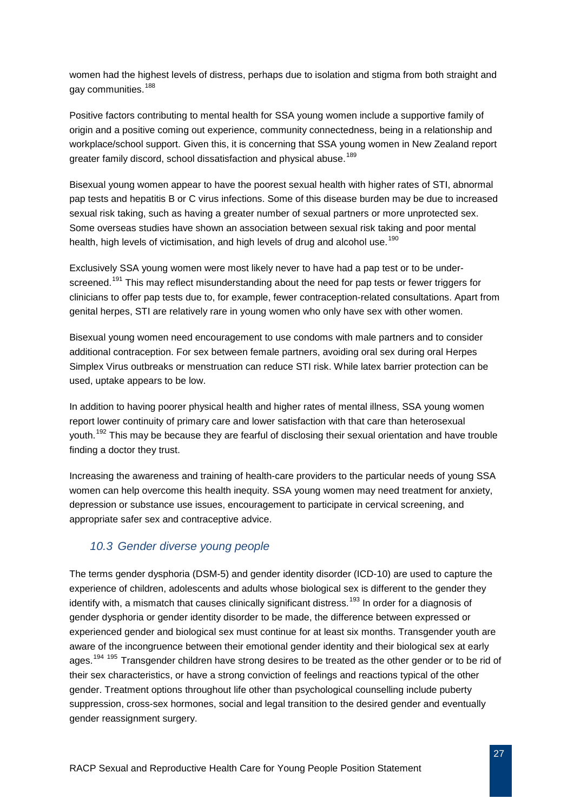women had the highest levels of distress, perhaps due to isolation and stigma from both straight and gay communities.<sup>[188](#page-52-19)</sup>

Positive factors contributing to mental health for SSA young women include a supportive family of origin and a positive coming out experience, community connectedness, being in a relationship and workplace/school support. Given this, it is concerning that SSA young women in New Zealand report greater family discord, school dissatisfaction and physical abuse.<sup>[189](#page-52-7)</sup>

Bisexual young women appear to have the poorest sexual health with higher rates of STI, abnormal pap tests and hepatitis B or C virus infections. Some of this disease burden may be due to increased sexual risk taking, such as having a greater number of sexual partners or more unprotected sex. Some overseas studies have shown an association between sexual risk taking and poor mental health, high levels of victimisation, and high levels of drug and alcohol use.<sup>[190](#page-52-8)</sup>

Exclusively SSA young women were most likely never to have had a pap test or to be under-screened.<sup>[191](#page-52-20)</sup> This may reflect misunderstanding about the need for pap tests or fewer triggers for clinicians to offer pap tests due to, for example, fewer contraception-related consultations. Apart from genital herpes, STI are relatively rare in young women who only have sex with other women.

Bisexual young women need encouragement to use condoms with male partners and to consider additional contraception. For sex between female partners, avoiding oral sex during oral Herpes Simplex Virus outbreaks or menstruation can reduce STI risk. While latex barrier protection can be used, uptake appears to be low.

In addition to having poorer physical health and higher rates of mental illness, SSA young women report lower continuity of primary care and lower satisfaction with that care than heterosexual youth.[192](#page-52-21) This may be because they are fearful of disclosing their sexual orientation and have trouble finding a doctor they trust.

Increasing the awareness and training of health-care providers to the particular needs of young SSA women can help overcome this health inequity. SSA young women may need treatment for anxiety, depression or substance use issues, encouragement to participate in cervical screening, and appropriate safer sex and contraceptive advice.

#### <span id="page-27-0"></span>*10.3 Gender diverse young people*

The terms gender dysphoria (DSM-5) and gender identity disorder (ICD-10) are used to capture the experience of children, adolescents and adults whose biological sex is different to the gender they identify with, a mismatch that causes clinically significant distress.<sup>[193](#page-52-22)</sup> In order for a diagnosis of gender dysphoria or gender identity disorder to be made, the difference between expressed or experienced gender and biological sex must continue for at least six months. Transgender youth are aware of the incongruence between their emotional gender identity and their biological sex at early ages.<sup>[194](#page-52-23) [195](#page-52-24)</sup> Transgender children have strong desires to be treated as the other gender or to be rid of their sex characteristics, or have a strong conviction of feelings and reactions typical of the other gender. Treatment options throughout life other than psychological counselling include puberty suppression, cross-sex hormones, social and legal transition to the desired gender and eventually gender reassignment surgery.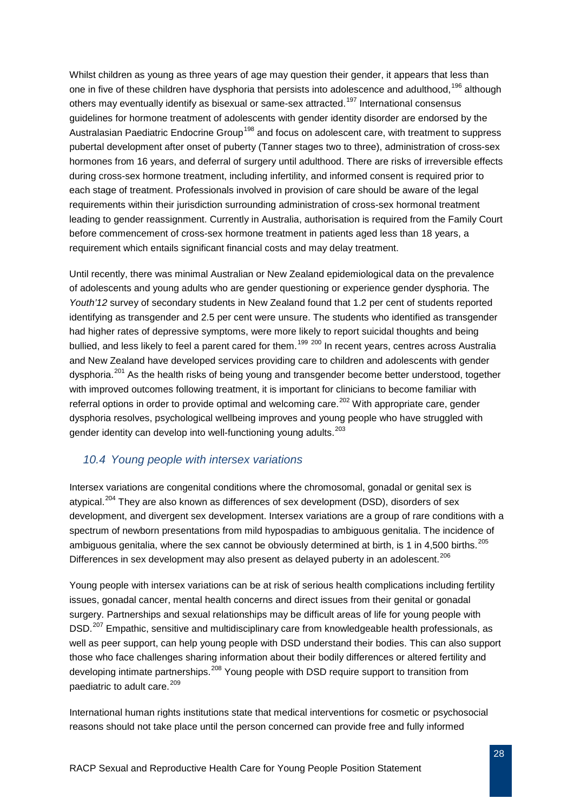Whilst children as young as three years of age may question their gender, it appears that less than one in five of these children have dysphoria that persists into adolescence and adulthood, <sup>[196](#page-52-25)</sup> although others may eventually identify as bisexual or same-sex attracted.<sup>[197](#page-52-26)</sup> International consensus guidelines for hormone treatment of adolescents with gender identity disorder are endorsed by the Australasian Paediatric Endocrine Group<sup>[198](#page-52-27)</sup> and focus on adolescent care, with treatment to suppress pubertal development after onset of puberty (Tanner stages two to three), administration of cross-sex hormones from 16 years, and deferral of surgery until adulthood. There are risks of irreversible effects during cross-sex hormone treatment, including infertility, and informed consent is required prior to each stage of treatment. Professionals involved in provision of care should be aware of the legal requirements within their jurisdiction surrounding administration of cross-sex hormonal treatment leading to gender reassignment. Currently in Australia, authorisation is required from the Family Court before commencement of cross-sex hormone treatment in patients aged less than 18 years, a requirement which entails significant financial costs and may delay treatment.

Until recently, there was minimal Australian or New Zealand epidemiological data on the prevalence of adolescents and young adults who are gender questioning or experience gender dysphoria. The *Youth'12* survey of secondary students in New Zealand found that 1.2 per cent of students reported identifying as transgender and 2.5 per cent were unsure. The students who identified as transgender had higher rates of depressive symptoms, were more likely to report suicidal thoughts and being bullied, and less likely to feel a parent cared for them.<sup>[199](#page-52-28) [200](#page-52-29)</sup> In recent years, centres across Australia and New Zealand have developed services providing care to children and adolescents with gender dysphoria.<sup>[201](#page-52-30)</sup> As the health risks of being young and transgender become better understood, together with improved outcomes following treatment, it is important for clinicians to become familiar with referral options in order to provide optimal and welcoming care.<sup>[202](#page-52-31)</sup> With appropriate care, gender dysphoria resolves, psychological wellbeing improves and young people who have struggled with gender identity can develop into well-functioning young adults.<sup>[203](#page-52-32)</sup>

#### <span id="page-28-0"></span>*10.4 Young people with intersex variations*

Intersex variations are congenital conditions where the chromosomal, gonadal or genital sex is atypical.<sup>[204](#page-52-33)</sup> They are also known as differences of sex development (DSD), disorders of sex development, and divergent sex development. Intersex variations are a group of rare conditions with a spectrum of newborn presentations from mild hypospadias to ambiguous genitalia. The incidence of ambiguous genitalia, where the sex cannot be obviously determined at birth, is 1 in 4,500 births.<sup>[205](#page-52-7)</sup> Differences in sex development may also present as delayed puberty in an adolescent.<sup>[206](#page-52-8)</sup>

Young people with intersex variations can be at risk of serious health complications including fertility issues, gonadal cancer, mental health concerns and direct issues from their genital or gonadal surgery. Partnerships and sexual relationships may be difficult areas of life for young people with DSD.<sup>[207](#page-52-20)</sup> Empathic, sensitive and multidisciplinary care from knowledgeable health professionals, as well as peer support, can help young people with DSD understand their bodies. This can also support those who face challenges sharing information about their bodily differences or altered fertility and developing intimate partnerships.<sup>[208](#page-52-34)</sup> Young people with DSD require support to transition from paediatric to adult care.<sup>[209](#page-52-35)</sup>

International human rights institutions state that medical interventions for cosmetic or psychosocial reasons should not take place until the person concerned can provide free and fully informed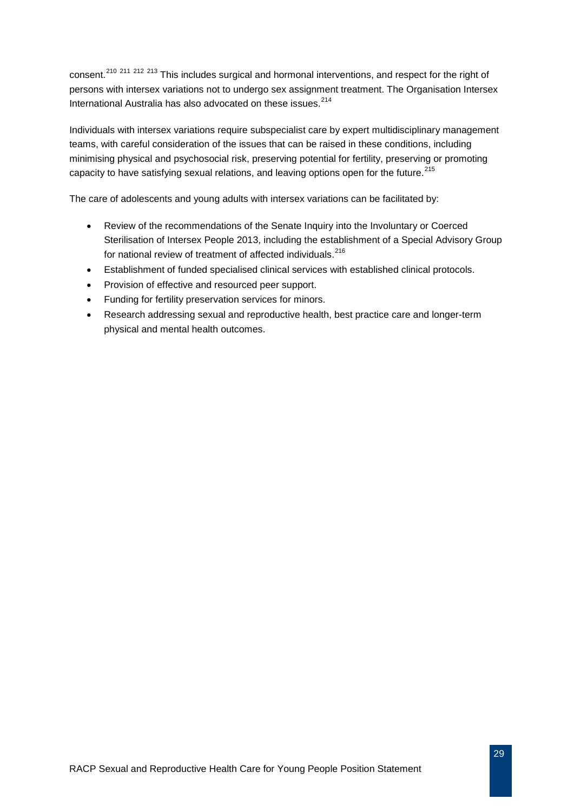consent.<sup>[210](#page-52-36) [211](#page-52-13) [212](#page-52-37) [213](#page-52-38)</sup> This includes surgical and hormonal interventions, and respect for the right of persons with intersex variations not to undergo sex assignment treatment. The Organisation Intersex International Australia has also advocated on these issues.<sup>[214](#page-52-39)</sup>

Individuals with intersex variations require subspecialist care by expert multidisciplinary management teams, with careful consideration of the issues that can be raised in these conditions, including minimising physical and psychosocial risk, preserving potential for fertility, preserving or promoting capacity to have satisfying sexual relations, and leaving options open for the future.<sup>[215](#page-52-40)</sup>

The care of adolescents and young adults with intersex variations can be facilitated by:

- Review of the recommendations of the Senate Inquiry into the Involuntary or Coerced Sterilisation of Intersex People 2013, including the establishment of a Special Advisory Group for national review of treatment of affected individuals.<sup>[216](#page-52-41)</sup>
- Establishment of funded specialised clinical services with established clinical protocols.
- Provision of effective and resourced peer support.
- Funding for fertility preservation services for minors.
- Research addressing sexual and reproductive health, best practice care and longer-term physical and mental health outcomes.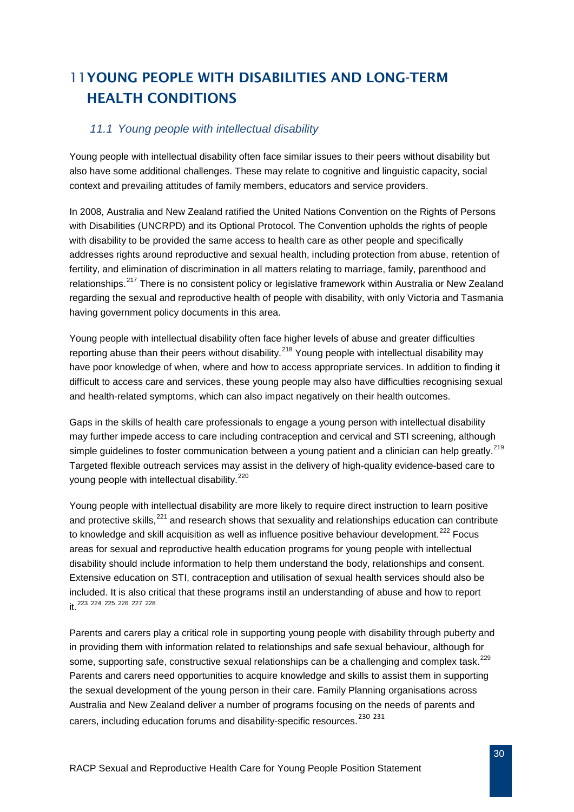# <span id="page-30-0"></span>11YOUNG PEOPLE WITH DISABILITIES AND LONG-TERM HEALTH CONDITIONS

#### <span id="page-30-1"></span>*11.1 Young people with intellectual disability*

Young people with intellectual disability often face similar issues to their peers without disability but also have some additional challenges. These may relate to cognitive and linguistic capacity, social context and prevailing attitudes of family members, educators and service providers.

In 2008, Australia and New Zealand ratified the United Nations Convention on the Rights of Persons with Disabilities (UNCRPD) and its Optional Protocol. The Convention upholds the rights of people with disability to be provided the same access to health care as other people and specifically addresses rights around reproductive and sexual health, including protection from abuse, retention of fertility, and elimination of discrimination in all matters relating to marriage, family, parenthood and relationships.<sup>[217](#page-52-42)</sup> There is no consistent policy or legislative framework within Australia or New Zealand regarding the sexual and reproductive health of people with disability, with only Victoria and Tasmania having government policy documents in this area.

Young people with intellectual disability often face higher levels of abuse and greater difficulties reporting abuse than their peers without disability.<sup>[218](#page-52-7)</sup> Young people with intellectual disability may have poor knowledge of when, where and how to access appropriate services. In addition to finding it difficult to access care and services, these young people may also have difficulties recognising sexual and health-related symptoms, which can also impact negatively on their health outcomes.

Gaps in the skills of health care professionals to engage a young person with intellectual disability may further impede access to care including contraception and cervical and STI screening, although simple guidelines to foster communication between a young patient and a clinician can help greatly.<sup>[219](#page-52-43)</sup> Targeted flexible outreach services may assist in the delivery of high-quality evidence-based care to young people with intellectual disability.[220](#page-52-44)

Young people with intellectual disability are more likely to require direct instruction to learn positive and protective skills,<sup>[221](#page-52-45)</sup> and research shows that sexuality and relationships education can contribute to knowledge and skill acquisition as well as influence positive behaviour development.<sup>[222](#page-52-22)</sup> Focus areas for sexual and reproductive health education programs for young people with intellectual disability should include information to help them understand the body, relationships and consent. Extensive education on STI, contraception and utilisation of sexual health services should also be included. It is also critical that these programs instil an understanding of abuse and how to report it [223](#page-52-23) [224](#page-52-46) [225](#page-52-47) [226](#page-52-48) [227](#page-52-49) [228](#page-52-50)

Parents and carers play a critical role in supporting young people with disability through puberty and in providing them with information related to relationships and safe sexual behaviour, although for some, supporting safe, constructive sexual relationships can be a challenging and complex task.<sup>[229](#page-52-51)</sup> Parents and carers need opportunities to acquire knowledge and skills to assist them in supporting the sexual development of the young person in their care. Family Planning organisations across Australia and New Zealand deliver a number of programs focusing on the needs of parents and carers, including education forums and disability-specific resources.<sup>[230](#page-52-52)</sup> <sup>[231](#page-52-15)</sup>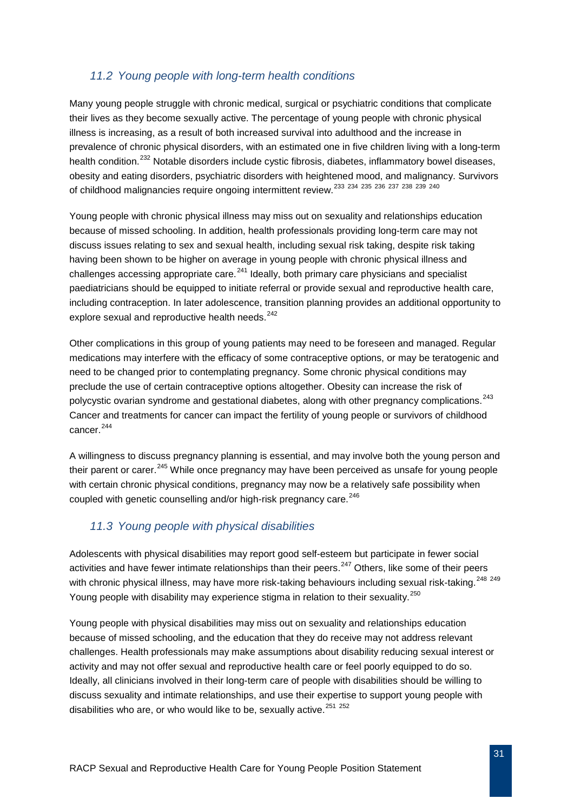#### <span id="page-31-0"></span>*11.2 Young people with long-term health conditions*

Many young people struggle with chronic medical, surgical or psychiatric conditions that complicate their lives as they become sexually active. The percentage of young people with chronic physical illness is increasing, as a result of both increased survival into adulthood and the increase in prevalence of chronic physical disorders, with an estimated one in five children living with a long-term health condition.<sup>[232](#page-52-53)</sup> Notable disorders include cystic fibrosis, diabetes, inflammatory bowel diseases, obesity and eating disorders, psychiatric disorders with heightened mood, and malignancy. Survivors of childhood malignancies require ongoing intermittent review.[233](#page-52-54) [234](#page-52-55) [235](#page-52-19) [236](#page-52-7) [237](#page-52-43) [238](#page-52-44) [239](#page-52-21) [240](#page-52-56)

Young people with chronic physical illness may miss out on sexuality and relationships education because of missed schooling. In addition, health professionals providing long-term care may not discuss issues relating to sex and sexual health, including sexual risk taking, despite risk taking having been shown to be higher on average in young people with chronic physical illness and challenges accessing appropriate care.<sup>[241](#page-52-57)</sup> Ideally, both primary care physicians and specialist paediatricians should be equipped to initiate referral or provide sexual and reproductive health care, including contraception. In later adolescence, transition planning provides an additional opportunity to explore sexual and reproductive health needs.<sup>[242](#page-52-58)</sup>

Other complications in this group of young patients may need to be foreseen and managed. Regular medications may interfere with the efficacy of some contraceptive options, or may be teratogenic and need to be changed prior to contemplating pregnancy. Some chronic physical conditions may preclude the use of certain contraceptive options altogether. Obesity can increase the risk of polycystic ovarian syndrome and gestational diabetes, along with other pregnancy complications.<sup>[243](#page-52-59)</sup> Cancer and treatments for cancer can impact the fertility of young people or survivors of childhood cancer.<sup>[244](#page-52-0)</sup>

A willingness to discuss pregnancy planning is essential, and may involve both the young person and their parent or carer.<sup>[245](#page-52-60)</sup> While once pregnancy may have been perceived as unsafe for young people with certain chronic physical conditions, pregnancy may now be a relatively safe possibility when coupled with genetic counselling and/or high-risk pregnancy care.<sup>[246](#page-52-61)</sup>

#### <span id="page-31-1"></span>*11.3 Young people with physical disabilities*

Adolescents with physical disabilities may report good self-esteem but participate in fewer social activities and have fewer intimate relationships than their peers.<sup>[247](#page-52-62)</sup> Others, like some of their peers with chronic physical illness, may have more risk-taking behaviours including sexual risk-taking.<sup>[248](#page-52-63)</sup><sup>[249](#page-52-64)</sup> Young people with disability may experience stigma in relation to their sexuality.<sup>[250](#page-52-65)</sup>

Young people with physical disabilities may miss out on sexuality and relationships education because of missed schooling, and the education that they do receive may not address relevant challenges. Health professionals may make assumptions about disability reducing sexual interest or activity and may not offer sexual and reproductive health care or feel poorly equipped to do so. Ideally, all clinicians involved in their long-term care of people with disabilities should be willing to discuss sexuality and intimate relationships, and use their expertise to support young people with disabilities who are, or who would like to be, sexually active.<sup>[251](#page-52-7) [252](#page-52-8)</sup>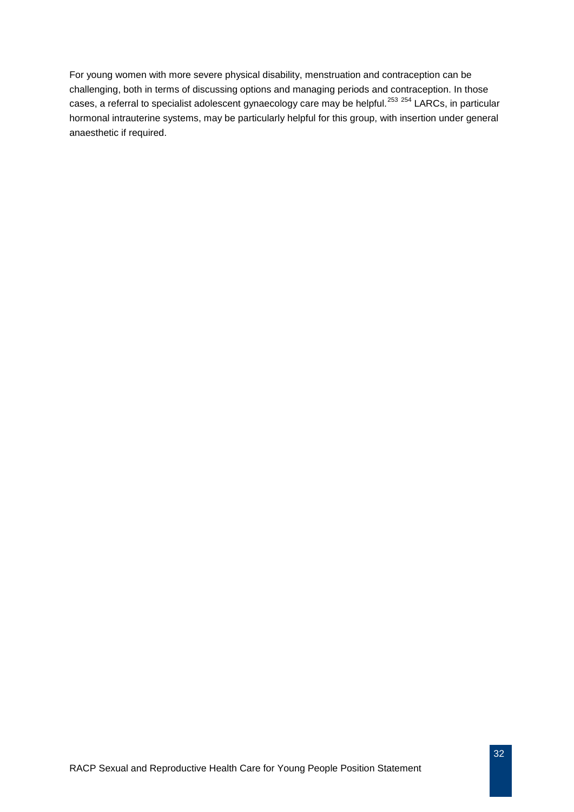For young women with more severe physical disability, menstruation and contraception can be challenging, both in terms of discussing options and managing periods and contraception. In those cases, a referral to specialist adolescent gynaecology care may be helpful.<sup>[253](#page-52-66) [254](#page-52-21)</sup> LARCs, in particular hormonal intrauterine systems, may be particularly helpful for this group, with insertion under general anaesthetic if required.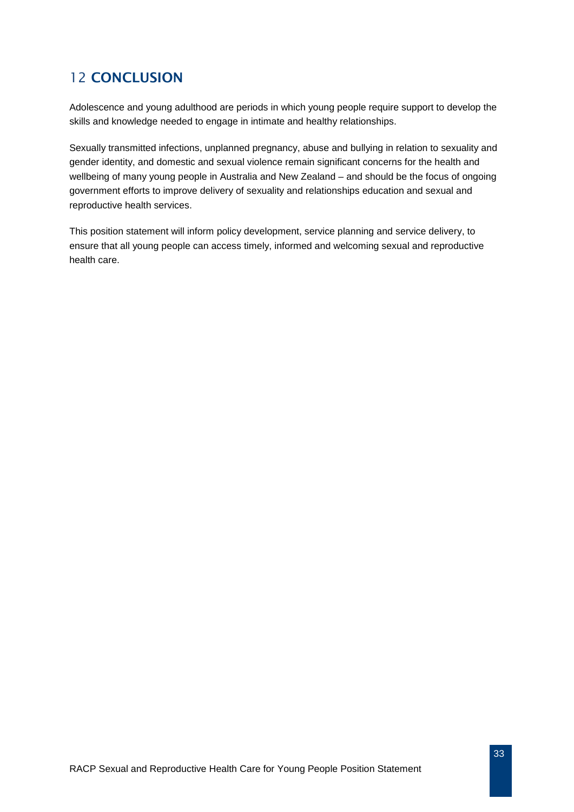# <span id="page-33-0"></span>12 CONCLUSION

Adolescence and young adulthood are periods in which young people require support to develop the skills and knowledge needed to engage in intimate and healthy relationships.

Sexually transmitted infections, unplanned pregnancy, abuse and bullying in relation to sexuality and gender identity, and domestic and sexual violence remain significant concerns for the health and wellbeing of many young people in Australia and New Zealand – and should be the focus of ongoing government efforts to improve delivery of sexuality and relationships education and sexual and reproductive health services.

This position statement will inform policy development, service planning and service delivery, to ensure that all young people can access timely, informed and welcoming sexual and reproductive health care.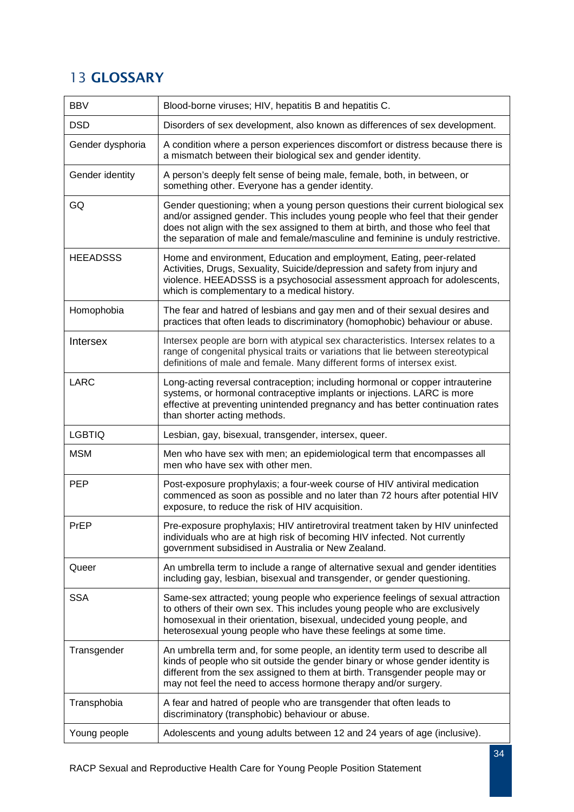# <span id="page-34-0"></span>13 GLOSSARY

| <b>BBV</b>       | Blood-borne viruses; HIV, hepatitis B and hepatitis C.                                                                                                                                                                                                                                                                               |
|------------------|--------------------------------------------------------------------------------------------------------------------------------------------------------------------------------------------------------------------------------------------------------------------------------------------------------------------------------------|
| <b>DSD</b>       | Disorders of sex development, also known as differences of sex development.                                                                                                                                                                                                                                                          |
| Gender dysphoria | A condition where a person experiences discomfort or distress because there is<br>a mismatch between their biological sex and gender identity.                                                                                                                                                                                       |
| Gender identity  | A person's deeply felt sense of being male, female, both, in between, or<br>something other. Everyone has a gender identity.                                                                                                                                                                                                         |
| GQ               | Gender questioning; when a young person questions their current biological sex<br>and/or assigned gender. This includes young people who feel that their gender<br>does not align with the sex assigned to them at birth, and those who feel that<br>the separation of male and female/masculine and feminine is unduly restrictive. |
| <b>HEEADSSS</b>  | Home and environment, Education and employment, Eating, peer-related<br>Activities, Drugs, Sexuality, Suicide/depression and safety from injury and<br>violence. HEEADSSS is a psychosocial assessment approach for adolescents,<br>which is complementary to a medical history.                                                     |
| Homophobia       | The fear and hatred of lesbians and gay men and of their sexual desires and<br>practices that often leads to discriminatory (homophobic) behaviour or abuse.                                                                                                                                                                         |
| Intersex         | Intersex people are born with atypical sex characteristics. Intersex relates to a<br>range of congenital physical traits or variations that lie between stereotypical<br>definitions of male and female. Many different forms of intersex exist.                                                                                     |
| <b>LARC</b>      | Long-acting reversal contraception; including hormonal or copper intrauterine<br>systems, or hormonal contraceptive implants or injections. LARC is more<br>effective at preventing unintended pregnancy and has better continuation rates<br>than shorter acting methods.                                                           |
| <b>LGBTIQ</b>    | Lesbian, gay, bisexual, transgender, intersex, queer.                                                                                                                                                                                                                                                                                |
| <b>MSM</b>       | Men who have sex with men; an epidemiological term that encompasses all<br>men who have sex with other men.                                                                                                                                                                                                                          |
| <b>PEP</b>       | Post-exposure prophylaxis; a four-week course of HIV antiviral medication<br>commenced as soon as possible and no later than 72 hours after potential HIV<br>exposure, to reduce the risk of HIV acquisition.                                                                                                                        |
| PrEP             | Pre-exposure prophylaxis; HIV antiretroviral treatment taken by HIV uninfected<br>individuals who are at high risk of becoming HIV infected. Not currently<br>government subsidised in Australia or New Zealand.                                                                                                                     |
| Queer            | An umbrella term to include a range of alternative sexual and gender identities<br>including gay, lesbian, bisexual and transgender, or gender questioning.                                                                                                                                                                          |
| <b>SSA</b>       | Same-sex attracted; young people who experience feelings of sexual attraction<br>to others of their own sex. This includes young people who are exclusively<br>homosexual in their orientation, bisexual, undecided young people, and<br>heterosexual young people who have these feelings at some time.                             |
| Transgender      | An umbrella term and, for some people, an identity term used to describe all<br>kinds of people who sit outside the gender binary or whose gender identity is<br>different from the sex assigned to them at birth. Transgender people may or<br>may not feel the need to access hormone therapy and/or surgery.                      |
| Transphobia      | A fear and hatred of people who are transgender that often leads to<br>discriminatory (transphobic) behaviour or abuse.                                                                                                                                                                                                              |
| Young people     | Adolescents and young adults between 12 and 24 years of age (inclusive).                                                                                                                                                                                                                                                             |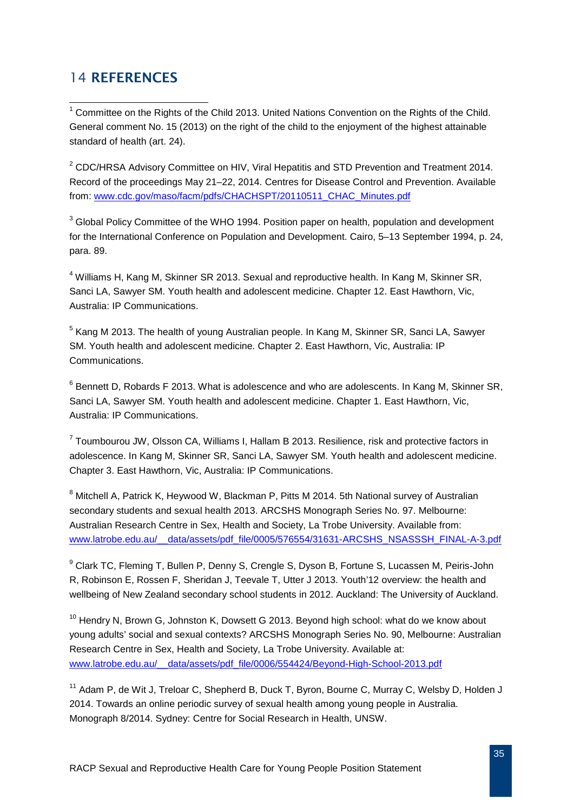### <span id="page-35-3"></span>14 REFERENCES

<span id="page-35-0"></span> $1$  Committee on the Rights of the Child 2013. United Nations Convention on the Rights of the Child. General comment No. 15 (2013) on the right of the child to the enjoyment of the highest attainable standard of health (art. 24).  $\overline{a}$ 

<span id="page-35-1"></span> $2$  CDC/HRSA Advisory Committee on HIV, Viral Hepatitis and STD Prevention and Treatment 2014. Record of the proceedings May 21–22, 2014. Centres for Disease Control and Prevention. Available from: [www.cdc.gov/maso/facm/pdfs/CHACHSPT/20110511\\_CHAC\\_Minutes.pdf](http://www.cdc.gov/maso/facm/pdfs/CHACHSPT/20110511_CHAC_Minutes.pdf)

<span id="page-35-2"></span><sup>3</sup> Global Policy Committee of the WHO 1994. Position paper on health, population and development for the International Conference on Population and Development. Cairo, 5–13 September 1994, p. 24, para. 89.

<sup>4</sup> Williams H, Kang M, Skinner SR 2013. Sexual and reproductive health. In Kang M, Skinner SR, Sanci LA, Sawyer SM. Youth health and adolescent medicine. Chapter 12. East Hawthorn, Vic, Australia: IP Communications.

<sup>5</sup> Kang M 2013. The health of young Australian people. In Kang M, Skinner SR, Sanci LA, Sawyer SM. Youth health and adolescent medicine. Chapter 2. East Hawthorn, Vic, Australia: IP Communications.

 $6$  Bennett D, Robards F 2013. What is adolescence and who are adolescents. In Kang M, Skinner SR, Sanci LA, Sawyer SM. Youth health and adolescent medicine. Chapter 1. East Hawthorn, Vic, Australia: IP Communications.

 $7$  Toumbourou JW, Olsson CA, Williams I, Hallam B 2013. Resilience, risk and protective factors in adolescence. In Kang M, Skinner SR, Sanci LA, Sawyer SM. Youth health and adolescent medicine. Chapter 3. East Hawthorn, Vic, Australia: IP Communications.

<sup>8</sup> Mitchell A, Patrick K, Heywood W, Blackman P, Pitts M 2014. 5th National survey of Australian secondary students and sexual health 2013. ARCSHS Monograph Series No. 97. Melbourne: Australian Research Centre in Sex, Health and Society, La Trobe University. Available from: www.latrobe.edu.au/ data/assets/pdf\_file/0005/576554/31631-ARCSHS\_NSASSSH\_FINAL-A-3.pdf

<sup>9</sup> Clark TC, Fleming T, Bullen P, Denny S, Crengle S, Dyson B, Fortune S, Lucassen M, Peiris-John R, Robinson E, Rossen F, Sheridan J, Teevale T, Utter J 2013. Youth'12 overview: the health and wellbeing of New Zealand secondary school students in 2012. Auckland: The University of Auckland.

 $10$  Hendry N, Brown G, Johnston K, Dowsett G 2013. Beyond high school: what do we know about young adults' social and sexual contexts? ARCSHS Monograph Series No. 90, Melbourne: Australian Research Centre in Sex, Health and Society, La Trobe University. Available at: [www.latrobe.edu.au/\\_\\_data/assets/pdf\\_file/0006/554424/Beyond-High-School-2013.pdf](http://www.latrobe.edu.au/__data/assets/pdf_file/0006/554424/Beyond-High-School-2013.pdf)

<sup>11</sup> Adam P, de Wit J, Treloar C, Shepherd B, Duck T, Byron, Bourne C, Murray C, Welsby D, Holden J 2014. Towards an online periodic survey of sexual health among young people in Australia. Monograph 8/2014. Sydney: Centre for Social Research in Health, UNSW.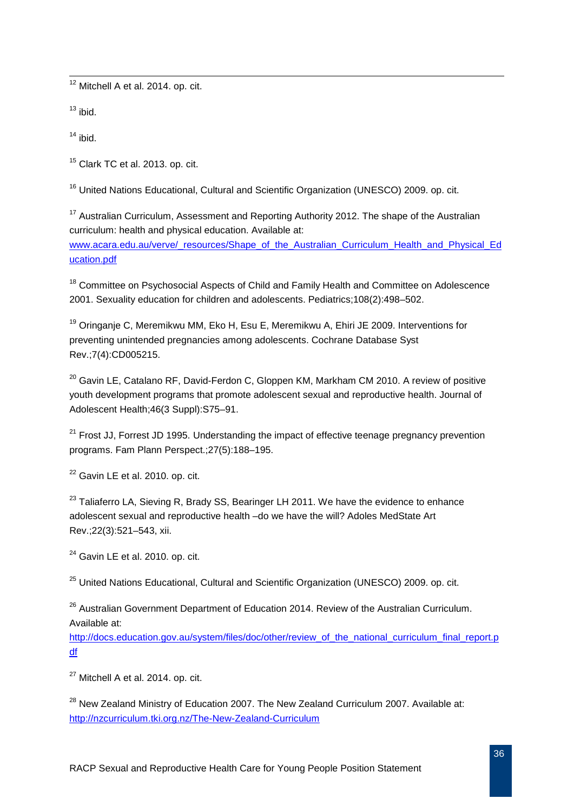$12$  Mitchell A et al. 2014. op. cit. 

 $13$  ibid.

 $14$  ibid.

<sup>15</sup> Clark TC et al. 2013. op. cit.

<sup>16</sup> United Nations Educational, Cultural and Scientific Organization (UNESCO) 2009, op. cit.

<sup>17</sup> Australian Curriculum, Assessment and Reporting Authority 2012. The shape of the Australian curriculum: health and physical education. Available at: [www.acara.edu.au/verve/\\_resources/Shape\\_of\\_the\\_Australian\\_Curriculum\\_Health\\_and\\_Physical\\_Ed](http://www.acara.edu.au/verve/_resources/Shape_of_the_Australian_Curriculum_Health_and_Physical_Education.pdf) [ucation.pdf](http://www.acara.edu.au/verve/_resources/Shape_of_the_Australian_Curriculum_Health_and_Physical_Education.pdf)

<span id="page-36-0"></span><sup>18</sup> Committee on Psychosocial Aspects of Child and Family Health and Committee on Adolescence 2001. Sexuality education for children and adolescents. Pediatrics;108(2):498–502.

<span id="page-36-1"></span><sup>19</sup> Oringanje C, Meremikwu MM, Eko H, Esu E, Meremikwu A, Ehiri JE 2009. Interventions for preventing unintended pregnancies among adolescents. Cochrane Database Syst Rev.;7(4):CD005215.

<span id="page-36-2"></span> $20$  Gavin LE, Catalano RF, David-Ferdon C, Gloppen KM, Markham CM 2010. A review of positive youth development programs that promote adolescent sexual and reproductive health. Journal of Adolescent Health;46(3 Suppl):S75–91.

<span id="page-36-3"></span> $21$  Frost JJ, Forrest JD 1995. Understanding the impact of effective teenage pregnancy prevention programs. Fam Plann Perspect.;27(5):188–195.

 $22$  Gavin LE et al. 2010. op. cit.

<sup>23</sup> Taliaferro LA, Sieving R, Brady SS, Bearinger LH 2011. We have the evidence to enhance adolescent sexual and reproductive health –do we have the will? Adoles MedState Art Rev.;22(3):521–543, xii.

 $24$  Gavin LE et al. 2010. op. cit.

<sup>25</sup> United Nations Educational, Cultural and Scientific Organization (UNESCO) 2009, op. cit.

<sup>26</sup> Australian Government Department of Education 2014. Review of the Australian Curriculum. Available at:

[http://docs.education.gov.au/system/files/doc/other/review\\_of\\_the\\_national\\_curriculum\\_final\\_report.p](http://docs.education.gov.au/system/files/doc/other/review_of_the_national_curriculum_final_report.pdf) [df](http://docs.education.gov.au/system/files/doc/other/review_of_the_national_curriculum_final_report.pdf)

 $27$  Mitchell A et al. 2014. op. cit.

<sup>28</sup> New Zealand Ministry of Education 2007. The New Zealand Curriculum 2007. Available at: <http://nzcurriculum.tki.org.nz/The-New-Zealand-Curriculum>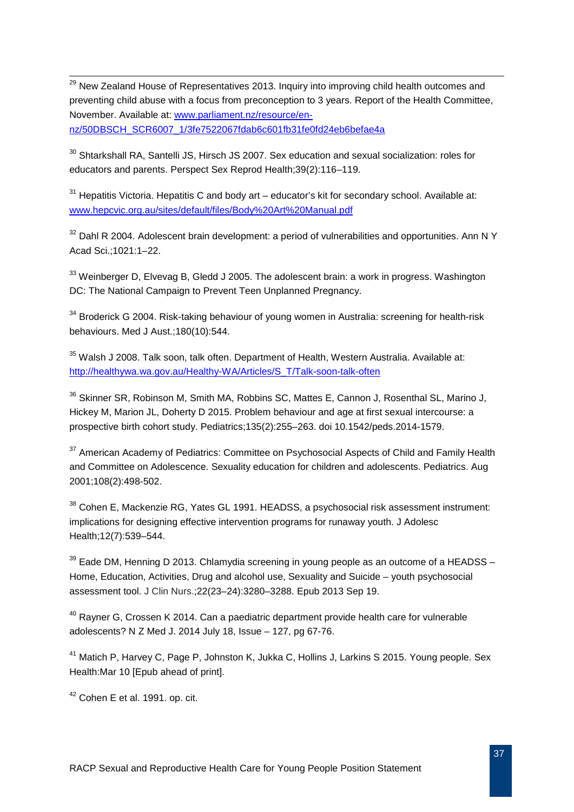<span id="page-37-5"></span><span id="page-37-4"></span><sup>29</sup> New Zealand House of Representatives 2013. Inquiry into improving child health outcomes and preventing child abuse with a focus from preconception to 3 years. Report of the Health Committee, November. Available at: [www.parliament.nz/resource/en](http://www.parliament.nz/resource/en-nz/50DBSCH_SCR6007_1/3fe7522067fdab6c601fb31fe0fd24eb6befae4a)[nz/50DBSCH\\_SCR6007\\_1/3fe7522067fdab6c601fb31fe0fd24eb6befae4a](http://www.parliament.nz/resource/en-nz/50DBSCH_SCR6007_1/3fe7522067fdab6c601fb31fe0fd24eb6befae4a)  $\overline{a}$ 

<span id="page-37-7"></span><span id="page-37-6"></span><sup>30</sup> Shtarkshall RA, Santelli JS, Hirsch JS 2007. Sex education and sexual socialization: roles for educators and parents. Perspect Sex Reprod Health;39(2):116–119.

 $31$  Hepatitis Victoria. Hepatitis C and body art – educator's kit for secondary school. Available at: [www.hepcvic.org.au/sites/default/files/Body%20Art%20Manual.pdf](http://www.hepcvic.org.au/sites/default/files/Body%20Art%20Manual.pdf)

 $32$  Dahl R 2004. Adolescent brain development: a period of vulnerabilities and opportunities. Ann N Y Acad Sci.;1021:1–22.

<sup>33</sup> Weinberger D, Elvevag B, Gledd J 2005. The adolescent brain: a work in progress. Washington DC: The National Campaign to Prevent Teen Unplanned Pregnancy.

<sup>34</sup> Broderick G 2004. Risk-taking behaviour of young women in Australia: screening for health-risk behaviours. Med J Aust.;180(10):544.

 $35$  Walsh J 2008. Talk soon, talk often. Department of Health, Western Australia. Available at: [http://healthywa.wa.gov.au/Healthy-WA/Articles/S\\_T/Talk-soon-talk-often](http://healthywa.wa.gov.au/Healthy-WA/Articles/S_T/Talk-soon-talk-often)

<sup>36</sup> Skinner SR, Robinson M, Smith MA, Robbins SC, Mattes E, Cannon J, Rosenthal SL, Marino J, Hickey M, Marion JL, Doherty D 2015. Problem behaviour and age at first sexual intercourse: a prospective birth cohort study. Pediatrics;135(2):255–263. doi 10.1542/peds.2014-1579.

<sup>37</sup> American Academy of Pediatrics: Committee on Psychosocial Aspects of Child and Family Health and Committee on Adolescence. Sexuality education for children and adolescents. Pediatrics. Aug 2001;108(2):498-502.

<span id="page-37-0"></span><sup>38</sup> Cohen E, Mackenzie RG, Yates GL 1991. HEADSS, a psychosocial risk assessment instrument: implications for designing effective intervention programs for runaway youth. J Adolesc Health;12(7):539–544.

<span id="page-37-1"></span> $39$  [Eade DM,](http://www.ncbi.nlm.nih.gov/pubmed?term=Eade%20DM%5BAuthor%5D&cauthor=true&cauthor_uid=24102796) [Henning D](http://www.ncbi.nlm.nih.gov/pubmed?term=Henning%20D%5BAuthor%5D&cauthor=true&cauthor_uid=24102796) 2013. Chlamydia screening in young people as an outcome of a HEADSS – Home, Education, Activities, Drug and alcohol use, Sexuality and Suicide – youth psychosocial assessment tool. J Clin Nurs.;22(23–24):3280–3288. Epub 2013 Sep 19.

<span id="page-37-2"></span> $40$  Rayner G, Crossen K 2014. Can a paediatric department provide health care for vulnerable adolescents? N Z Med J. 2014 July 18, Issue – 127, pg 67-76.

<sup>41</sup> Matich P, Harvey C, Page P, Johnston K, Jukka C, Hollins J, Larkins S 2015. Young people. Sex Health:Mar 10 [Epub ahead of print].

<span id="page-37-3"></span> $42$  Cohen E et al. 1991. op. cit.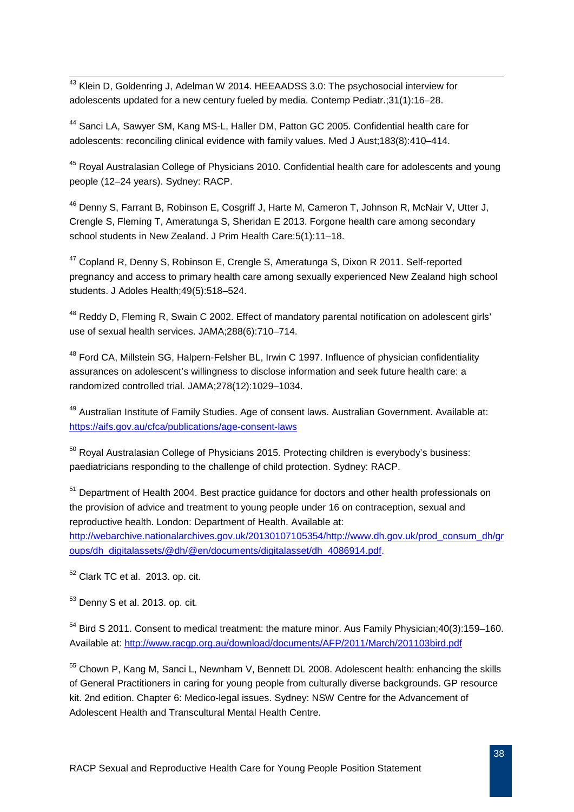<span id="page-38-13"></span> $^{43}$  Klein D, Goldenring J, Adelman W 2014. HEEAADSS 3.0: The psychosocial interview for adolescents updated for a new century fueled by media. Contemp Pediatr.;31(1):16–28.  $\overline{a}$ 

<sup>44</sup> Sanci LA, Sawyer SM, Kang MS-L, Haller DM, Patton GC 2005. Confidential health care for adolescents: reconciling clinical evidence with family values. Med J Aust;183(8):410–414.

<span id="page-38-14"></span><sup>45</sup> Royal Australasian College of Physicians 2010. Confidential health care for adolescents and young people (12–24 years). Sydney: RACP.

<span id="page-38-1"></span><span id="page-38-0"></span><sup>46</sup> Denny S, Farrant B, Robinson E, Cosgriff J, Harte M, Cameron T, Johnson R, McNair V, Utter J, Crengle S, Fleming T, Ameratunga S, Sheridan E 2013. Forgone health care among secondary school students in New Zealand. J Prim Health Care:5(1):11–18.

<span id="page-38-2"></span><sup>47</sup> Copland R, Denny S, Robinson E, Crengle S, Ameratunga S, Dixon R 2011. Self-reported pregnancy and access to primary health care among sexually experienced New Zealand high school students. J Adoles Health;49(5):518–524.

<span id="page-38-3"></span><sup>48</sup> Reddy D, Fleming R, Swain C 2002. Effect of mandatory parental notification on adolescent girls' use of sexual health services. JAMA;288(6):710–714.

<span id="page-38-4"></span><sup>48</sup> Ford CA, Millstein SG, Halpern-Felsher BL, Irwin C 1997. Influence of physician confidentiality assurances on adolescent's willingness to disclose information and seek future health care: a randomized controlled trial. JAMA;278(12):1029–1034.

<sup>49</sup> Australian Institute of Family Studies. Age of consent laws. Australian Government. Available at: <https://aifs.gov.au/cfca/publications/age-consent-laws>

<span id="page-38-5"></span> $50$  Roval Australasian College of Physicians 2015. Protecting children is everybody's business: paediatricians responding to the challenge of child protection. Sydney: RACP.

<span id="page-38-7"></span><span id="page-38-6"></span><sup>51</sup> Department of Health 2004. Best practice guidance for doctors and other health professionals on the provision of advice and treatment to young people under 16 on contraception, sexual and reproductive health. London: Department of Health. Available at: [http://webarchive.nationalarchives.gov.uk/20130107105354/http://www.dh.gov.uk/prod\\_consum\\_dh/gr](http://webarchive.nationalarchives.gov.uk/20130107105354/http:/www.dh.gov.uk/prod_consum_dh/groups/dh_digitalassets/@dh/@en/documents/digitalasset/dh_4086914.pdf)

<span id="page-38-8"></span>[oups/dh\\_digitalassets/@dh/@en/documents/digitalasset/dh\\_4086914.pdf.](http://webarchive.nationalarchives.gov.uk/20130107105354/http:/www.dh.gov.uk/prod_consum_dh/groups/dh_digitalassets/@dh/@en/documents/digitalasset/dh_4086914.pdf)

<span id="page-38-9"></span> $52$  Clark TC et al. 2013. op. cit.

<span id="page-38-10"></span> $53$  Denny S et al. 2013. op. cit.

<sup>54</sup> Bird S 2011. Consent to medical treatment: the mature minor. Aus Family Physician; 40(3): 159–160. Available at:<http://www.racgp.org.au/download/documents/AFP/2011/March/201103bird.pdf>

<span id="page-38-12"></span><span id="page-38-11"></span><sup>55</sup> Chown P, Kang M, Sanci L, Newnham V, Bennett DL 2008. Adolescent health: enhancing the skills of General Practitioners in caring for young people from culturally diverse backgrounds. GP resource kit. 2nd edition. Chapter 6: Medico-legal issues. Sydney: NSW Centre for the Advancement of Adolescent Health and Transcultural Mental Health Centre.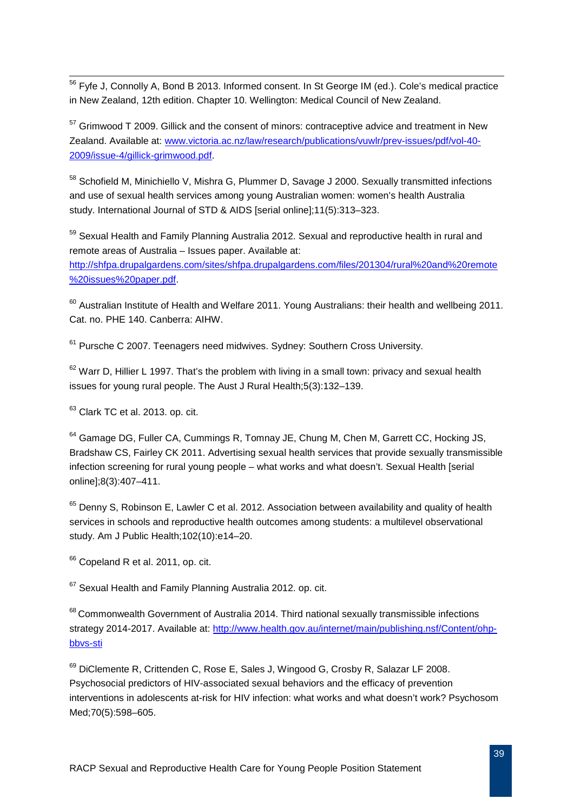<span id="page-39-12"></span><sup>56</sup> Fyfe J, Connolly A, Bond B 2013. Informed consent. In St George IM (ed.). Cole's medical practice in New Zealand, 12th edition. Chapter 10. Wellington: Medical Council of New Zealand.  $\overline{a}$ 

 $57$  Grimwood T 2009. Gillick and the consent of minors: contraceptive advice and treatment in New Zealand. Available at: [www.victoria.ac.nz/law/research/publications/vuwlr/prev-issues/pdf/vol-40-](http://www.victoria.ac.nz/law/research/publications/vuwlr/prev-issues/pdf/vol-40-2009/issue-4/gillick-grimwood.pdf) [2009/issue-4/gillick-grimwood.pdf.](http://www.victoria.ac.nz/law/research/publications/vuwlr/prev-issues/pdf/vol-40-2009/issue-4/gillick-grimwood.pdf)

<span id="page-39-0"></span><sup>58</sup> Schofield M, Minichiello V, Mishra G, Plummer D, Savage J 2000. Sexually transmitted infections and use of sexual health services among young Australian women: women's health Australia study. International Journal of STD & AIDS [serial online];11(5):313–323.

<span id="page-39-1"></span><sup>59</sup> Sexual Health and Family Planning Australia 2012. Sexual and reproductive health in rural and remote areas of Australia – Issues paper. Available at: [http://shfpa.drupalgardens.com/sites/shfpa.drupalgardens.com/files/201304/rural%20and%20remote](http://shfpa.drupalgardens.com/sites/shfpa.drupalgardens.com/files/201304/rural%20and%20remote%20issues%20paper.pdf) [%20issues%20paper.pdf.](http://shfpa.drupalgardens.com/sites/shfpa.drupalgardens.com/files/201304/rural%20and%20remote%20issues%20paper.pdf)

<span id="page-39-3"></span><span id="page-39-2"></span> $60$  Australian Institute of Health and Welfare 2011. Young Australians: their health and wellbeing 2011. Cat. no. PHE 140. Canberra: AIHW.

<sup>61</sup> Pursche C 2007. Teenagers need midwives. Sydney: Southern Cross University.

<span id="page-39-4"></span> $62$  Warr D, Hillier L 1997. That's the problem with living in a small town: privacy and sexual health issues for young rural people. The Aust J Rural Health;5(3):132–139.

<span id="page-39-5"></span><sup>63</sup> Clark TC et al. 2013. op. cit.

<span id="page-39-6"></span><sup>64</sup> Gamage DG, Fuller CA, Cummings R, Tomnay JE, Chung M, Chen M, Garrett CC, Hocking JS, Bradshaw CS, Fairley CK 2011. Advertising sexual health services that provide sexually transmissible infection screening for rural young people – what works and what doesn't. Sexual Health [serial online];8(3):407–411.

<span id="page-39-7"></span> $65$  Denny S, Robinson E, Lawler C et al. 2012. Association between availability and quality of health services in schools and reproductive health outcomes among students: a multilevel observational study. Am J Public Health;102(10):e14–20.

<span id="page-39-8"></span><sup>66</sup> Copeland R et al. 2011, op. cit.

<sup>67</sup> Sexual Health and Family Planning Australia 2012, op. cit.

<span id="page-39-9"></span><sup>68</sup> Commonwealth Government of Australia 2014. Third national sexually transmissible infections strategy 2014-2017. Available at: [http://www.health.gov.au/internet/main/publishing.nsf/Content/ohp](http://www.health.gov.au/internet/main/publishing.nsf/Content/ohp-bbvs-sti)[bbvs-sti](http://www.health.gov.au/internet/main/publishing.nsf/Content/ohp-bbvs-sti)

<span id="page-39-11"></span><span id="page-39-10"></span><sup>69</sup> DiClemente R, Crittenden C, Rose E, Sales J, Wingood G, Crosby R, Salazar LF 2008. Psychosocial predictors of HIV-associated sexual behaviors and the efficacy of prevention interventions in adolescents at-risk for HIV infection: what works and what doesn't work? Psychosom Med;70(5):598–605.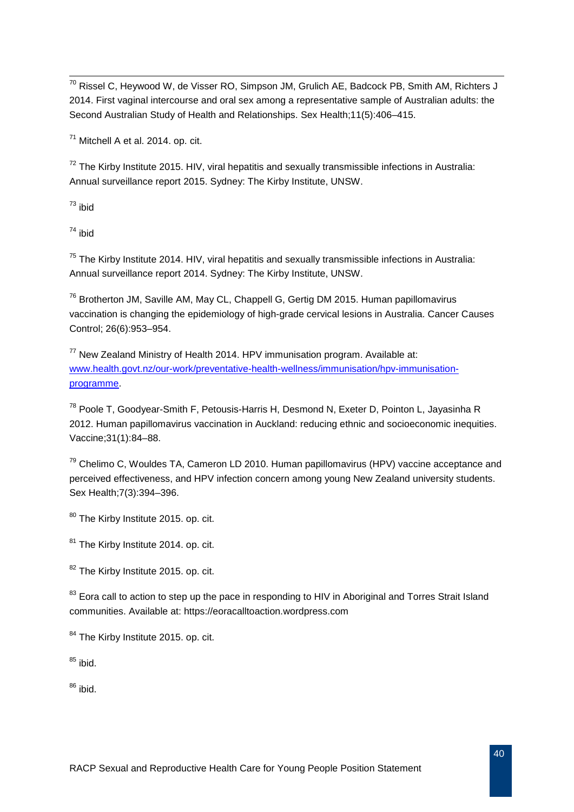$^{70}$  [Rissel C,](http://www.ncbi.nlm.nih.gov/pubmed?term=Rissel%20C%5BAuthor%5D&cauthor=true&cauthor_uid=25376994) [Heywood W,](http://www.ncbi.nlm.nih.gov/pubmed?term=Heywood%20W%5BAuthor%5D&cauthor=true&cauthor_uid=25376994) [de Visser RO,](http://www.ncbi.nlm.nih.gov/pubmed?term=de%20Visser%20RO%5BAuthor%5D&cauthor=true&cauthor_uid=25376994) [Simpson JM,](http://www.ncbi.nlm.nih.gov/pubmed?term=Simpson%20JM%5BAuthor%5D&cauthor=true&cauthor_uid=25376994) [Grulich AE,](http://www.ncbi.nlm.nih.gov/pubmed?term=Grulich%20AE%5BAuthor%5D&cauthor=true&cauthor_uid=25376994) [Badcock PB,](http://www.ncbi.nlm.nih.gov/pubmed?term=Badcock%20PB%5BAuthor%5D&cauthor=true&cauthor_uid=25376994) [Smith AM,](http://www.ncbi.nlm.nih.gov/pubmed?term=Smith%20AM%5BAuthor%5D&cauthor=true&cauthor_uid=25376994) [Richters J](http://www.ncbi.nlm.nih.gov/pubmed?term=Richters%20J%5BAuthor%5D&cauthor=true&cauthor_uid=25376994) 2014. First vaginal intercourse and oral sex among a representative sample of Australian adults: the Second Australian Study of Health and Relationships. Sex Health;11(5):406–415.  $\overline{a}$ 

<span id="page-40-0"></span> $71$  Mitchell A et al. 2014. op. cit.

<span id="page-40-1"></span> $72$  The Kirby Institute 2015. HIV, viral hepatitis and sexually transmissible infections in Australia: Annual surveillance report 2015. Sydney: The Kirby Institute, UNSW.

<span id="page-40-2"></span> $73$  ibid

<sup>74</sup> ibid

<span id="page-40-3"></span> $75$  The Kirby Institute 2014. HIV, viral hepatitis and sexually transmissible infections in Australia: Annual surveillance report 2014. Sydney: The Kirby Institute, UNSW.

<span id="page-40-4"></span><sup>76</sup> Brotherton JM, Saville AM, May CL, Chappell G, Gertig DM 2015. Human papillomavirus vaccination is changing the epidemiology of high-grade cervical lesions in Australia. Cancer Causes Control; 26(6):953–954.

 $77$  New Zealand Ministry of Health 2014. HPV immunisation program. Available at: [www.health.govt.nz/our-work/preventative-health-wellness/immunisation/hpv-immunisation](http://www.health.govt.nz/our-work/preventative-health-wellness/immunisation/hpv-immunisation-programme)[programme.](http://www.health.govt.nz/our-work/preventative-health-wellness/immunisation/hpv-immunisation-programme)

<span id="page-40-5"></span><sup>78</sup> Poole T, Goodyear-Smith F, Petousis-Harris H, Desmond N, Exeter D, Pointon L, Jayasinha R 2012. Human papillomavirus vaccination in Auckland: reducing ethnic and socioeconomic inequities. Vaccine;31(1):84–88.

<span id="page-40-6"></span> $79$  Chelimo C, Wouldes TA, Cameron LD 2010. Human papillomavirus (HPV) vaccine acceptance and perceived effectiveness, and HPV infection concern among young New Zealand university students. Sex Health;7(3):394–396.

<span id="page-40-7"></span>80 The Kirby Institute 2015, op. cit.

<sup>81</sup> The Kirby Institute 2014, op. cit.

<span id="page-40-8"></span><sup>82</sup> The Kirby Institute 2015, op. cit.

<span id="page-40-9"></span><sup>83</sup> Eora call to action to step up the pace in responding to HIV in Aboriginal and Torres Strait Island communities. Available at: [https://eoracalltoaction.wordpress.com](https://eoracalltoaction.wordpress.com/)

84 The Kirby Institute 2015. op. cit.

 $85$  ibid.

<sup>86</sup> ibid.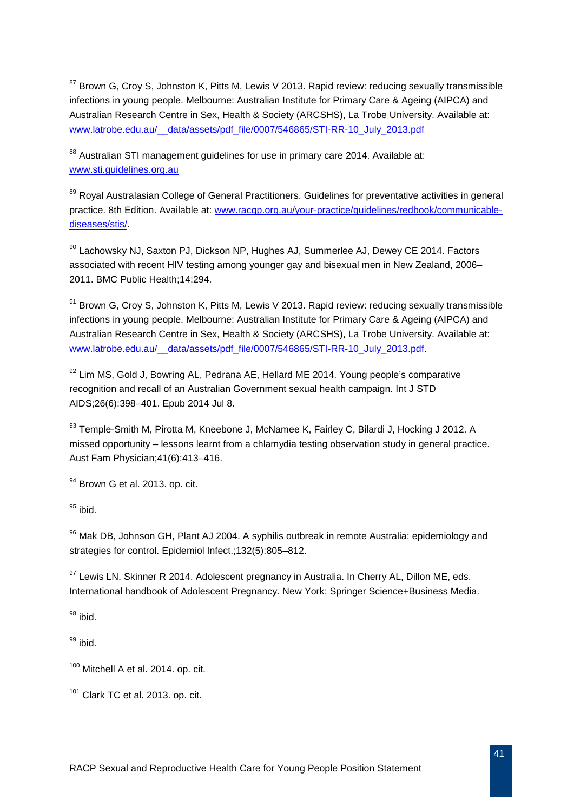<span id="page-41-2"></span> $87$  Brown G, Croy S, Johnston K, Pitts M, Lewis V 2013. Rapid review: reducing sexually transmissible infections in young people. Melbourne: Australian Institute for Primary Care & Ageing (AIPCA) and Australian Research Centre in Sex, Health & Society (ARCSHS), La Trobe University. Available at: www.latrobe.edu.au/ data/assets/pdf file/0007/546865/STI-RR-10\_July\_2013.pdf  $\overline{a}$ 

<span id="page-41-3"></span><sup>88</sup> Australian STI management guidelines for use in primary care 2014. Available at: [www.sti.guidelines.org.au](http://www.sti.guidelines.org.au/)

<span id="page-41-4"></span><sup>89</sup> Royal Australasian College of General Practitioners. Guidelines for preventative activities in general practice. 8th Edition. Available at: [www.racgp.org.au/your-practice/guidelines/redbook/communicable](http://www.racgp.org.au/your-practice/guidelines/redbook/communicable-diseases/stis/)[diseases/stis/.](http://www.racgp.org.au/your-practice/guidelines/redbook/communicable-diseases/stis/)

<span id="page-41-5"></span>90 Lachowsky NJ, Saxton PJ, Dickson NP, Hughes AJ, Summerlee AJ, Dewey CE 2014. Factors associated with recent HIV testing among younger gay and bisexual men in New Zealand, 2006– 2011. BMC Public Health;14:294.

<span id="page-41-6"></span> $91$  Brown G, Croy S, Johnston K, Pitts M, Lewis V 2013. Rapid review: reducing sexually transmissible infections in young people. Melbourne: Australian Institute for Primary Care & Ageing (AIPCA) and Australian Research Centre in Sex, Health & Society (ARCSHS), La Trobe University. Available at: www.latrobe.edu.au/ data/assets/pdf file/0007/546865/STI-RR-10 July 2013.pdf.

<span id="page-41-8"></span><span id="page-41-7"></span> $92$  [Lim MS,](http://www.ncbi.nlm.nih.gov/pubmed?term=Lim%20MS%5BAuthor%5D&cauthor=true&cauthor_uid=25006041) [Gold J,](http://www.ncbi.nlm.nih.gov/pubmed?term=Gold%20J%5BAuthor%5D&cauthor=true&cauthor_uid=25006041) [Bowring AL,](http://www.ncbi.nlm.nih.gov/pubmed?term=Bowring%20AL%5BAuthor%5D&cauthor=true&cauthor_uid=25006041) [Pedrana AE,](http://www.ncbi.nlm.nih.gov/pubmed?term=Pedrana%20AE%5BAuthor%5D&cauthor=true&cauthor_uid=25006041) [Hellard ME](http://www.ncbi.nlm.nih.gov/pubmed?term=Hellard%20ME%5BAuthor%5D&cauthor=true&cauthor_uid=25006041) 2014. Young people's comparative recognition and recall of an Australian Government sexual health campaign. Int J STD AIDS;26(6):398–401. Epub 2014 Jul 8.

<span id="page-41-10"></span><span id="page-41-9"></span>93 Temple-Smith M, Pirotta M, Kneebone J, McNamee K, Fairley C, Bilardi J, Hocking J 2012. A missed opportunity – lessons learnt from a chlamydia testing observation study in general practice. Aust Fam Physician;41(6):413–416.

 $94$  Brown G et al. 2013. op. cit.

 $95$  ibid.

<sup>96</sup> Mak DB, Johnson GH, Plant AJ 2004. A syphilis outbreak in remote Australia: epidemiology and strategies for control. Epidemiol Infect.;132(5):805–812.

 $97$  Lewis LN, Skinner R 2014. Adolescent pregnancy in Australia. In Cherry AL, Dillon ME, eds. International handbook of Adolescent Pregnancy. New York: Springer Science+Business Media.

 $98$  ibid.

<span id="page-41-0"></span> $99$  ibid.

<span id="page-41-1"></span> $100$  Mitchell A et al. 2014. op. cit.

 $101$  Clark TC et al. 2013. op. cit.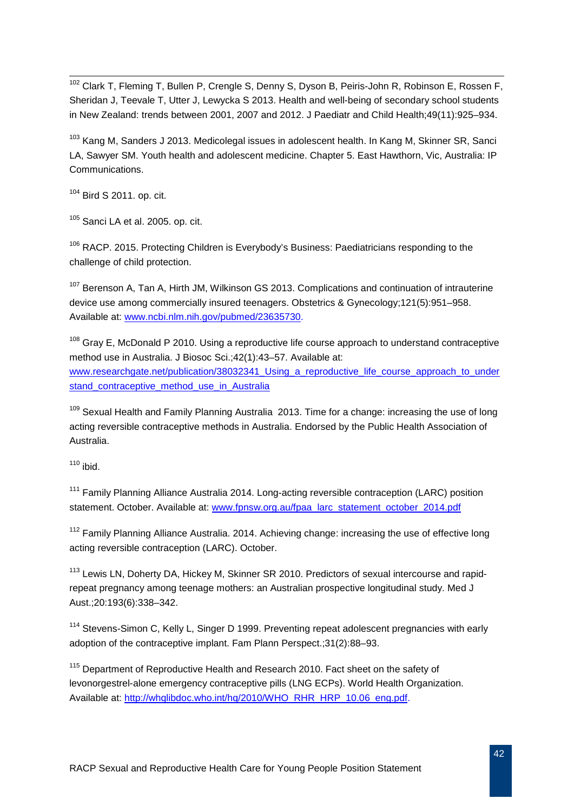<sup>102</sup> Clark T, Fleming T, Bullen P, Crengle S, Denny S, Dyson B, Peiris-John R, Robinson E, Rossen F, Sheridan J, Teevale T, Utter J, Lewycka S 2013. Health and well-being of secondary school students in New Zealand: trends between 2001, 2007 and 2012. J Paediatr and Child Health;49(11):925–934. 

<sup>103</sup> Kang M, Sanders J 2013. Medicolegal issues in adolescent health. In Kang M, Skinner SR, Sanci LA, Sawyer SM. Youth health and adolescent medicine. Chapter 5. East Hawthorn, Vic, Australia: IP Communications.

 $104$  Bird S 2011. op. cit.

 $105$  Sanci LA et al. 2005. op. cit.

 $106$  RACP. 2015. Protecting Children is Everybody's Business: Paediatricians responding to the challenge of child protection.

<sup>107</sup> Berenson A, Tan A, Hirth JM, Wilkinson GS 2013. Complications and continuation of intrauterine device use among commercially insured teenagers. Obstetrics & Gynecology;121(5):951–958. Available at: [www.ncbi.nlm.nih.gov/pubmed/23635730.](http://www.ncbi.nlm.nih.gov/pubmed/23635730)

 $108$  Gray E, McDonald P 2010. Using a reproductive life course approach to understand contraceptive method use in Australia. J Biosoc Sci.;42(1):43–57. Available at: www.researchgate.net/publication/38032341 Using a reproductive life course approach to under [stand\\_contraceptive\\_method\\_use\\_in\\_Australia](http://www.researchgate.net/publication/38032341_Using_a_reproductive_life_course_approach_to_understand_contraceptive_method_use_in_Australia)

 $109$  Sexual Health and Family Planning Australia 2013. Time for a change: increasing the use of long acting reversible contraceptive methods in Australia. Endorsed by the Public Health Association of Australia.

 $110$  ibid.

<span id="page-42-0"></span><sup>111</sup> Family Planning Alliance Australia 2014. Long-acting reversible contraception (LARC) position statement. October. Available at: [www.fpnsw.org.au/fpaa\\_larc\\_statement\\_october\\_2014.pdf](http://www.fpnsw.org.au/fpaa_larc_statement_october_2014.pdf)

 $112$  Family Planning Alliance Australia. 2014. Achieving change: increasing the use of effective long acting reversible contraception (LARC). October.

<span id="page-42-2"></span><span id="page-42-1"></span><sup>113</sup> Lewis LN, Doherty DA, Hickey M, Skinner SR 2010. Predictors of sexual intercourse and rapidrepeat pregnancy among teenage mothers: an Australian prospective longitudinal study. Med J Aust.;20:193(6):338–342.

<sup>114</sup> Stevens-Simon C, Kelly L, Singer D 1999. Preventing repeat adolescent pregnancies with early adoption of the contraceptive implant. Fam Plann Perspect.;31(2):88–93.

<sup>115</sup> Department of Reproductive Health and Research 2010. Fact sheet on the safety of levonorgestrel-alone emergency contraceptive pills (LNG ECPs). World Health Organization. Available at: http://whqlibdoc.who.int/hq/2010/WHO\_RHR\_HRP\_10.06\_ena.pdf.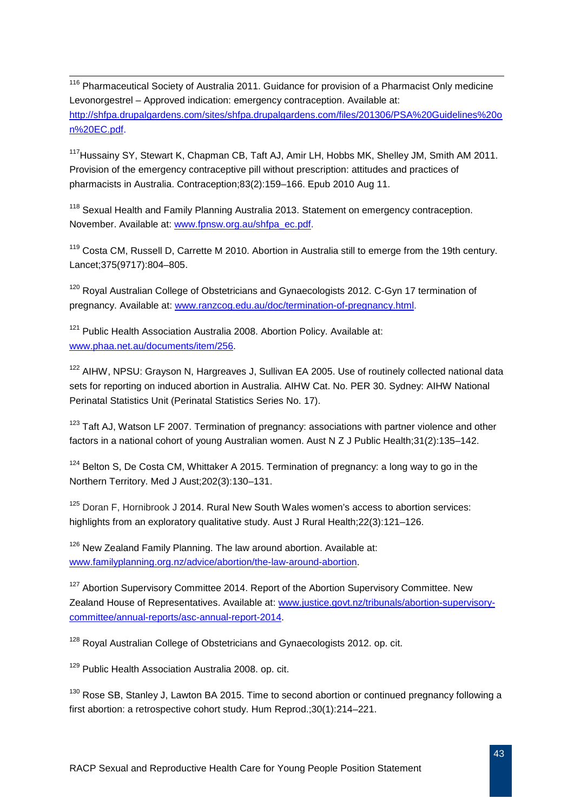<span id="page-43-2"></span><sup>116</sup> Pharmaceutical Society of Australia 2011. Guidance for provision of a Pharmacist Only medicine Levonorgestrel – Approved indication: emergency contraception. Available at: [http://shfpa.drupalgardens.com/sites/shfpa.drupalgardens.com/files/201306/PSA%20Guidelines%20o](http://shfpa.drupalgardens.com/sites/shfpa.drupalgardens.com/files/201306/PSA%20Guidelines%20on%20EC.pdf) [n%20EC.pdf.](http://shfpa.drupalgardens.com/sites/shfpa.drupalgardens.com/files/201306/PSA%20Guidelines%20on%20EC.pdf) 

<span id="page-43-4"></span><span id="page-43-3"></span><sup>117</sup>Hussainy SY, Stewart K, Chapman CB, Taft AJ, Amir LH, Hobbs MK, Shelley JM, Smith AM 2011. Provision of the emergency contraceptive pill without prescription: attitudes and practices of pharmacists in Australia. Contraception;83(2):159–166. Epub 2010 Aug 11.

<span id="page-43-5"></span><sup>118</sup> Sexual Health and Family Planning Australia 2013. Statement on emergency contraception. November. Available at: [www.fpnsw.org.au/shfpa\\_ec.pdf.](http://www.fpnsw.org.au/shfpa_ec.pdf)

<span id="page-43-7"></span><span id="page-43-6"></span><sup>119</sup> Costa CM, Russell D, Carrette M 2010. Abortion in Australia still to emerge from the 19th century. Lancet;375(9717):804–805.

<span id="page-43-8"></span><sup>120</sup> Royal Australian College of Obstetricians and Gynaecologists 2012. C-Gyn 17 termination of pregnancy. Available at: [www.ranzcog.edu.au/doc/termination-of-pregnancy.html.](http://www.ranzcog.edu.au/doc/termination-of-pregnancy.html)

 $121$  Public Health Association Australia 2008. Abortion Policy. Available at: [www.phaa.net.au/documents/item/256.](http://www.phaa.net.au/documents/item/256)

<span id="page-43-9"></span><sup>122</sup> AIHW, NPSU: Grayson N, Hargreaves J, Sullivan EA 2005. Use of routinely collected national data sets for reporting on induced abortion in Australia. AIHW Cat. No. PER 30. Sydney: AIHW National Perinatal Statistics Unit (Perinatal Statistics Series No. 17).

<span id="page-43-10"></span><sup>123</sup> Taft AJ, Watson LF 2007. Termination of pregnancy: associations with partner violence and other factors in a national cohort of young Australian women. Aust N Z J Public Health;31(2):135–142.

<span id="page-43-11"></span><sup>124</sup> Belton S, De Costa CM, Whittaker A 2015. Termination of pregnancy: a long way to go in the Northern Territory. Med J Aust;202(3):130–131.

<span id="page-43-12"></span> $125$  [Doran F,](http://www.ncbi.nlm.nih.gov/pubmed/?term=Doran%20F%5BAuthor%5D&cauthor=true&cauthor_uid=25039846) [Hornibrook J](http://www.ncbi.nlm.nih.gov/pubmed/?term=Hornibrook%20J%5BAuthor%5D&cauthor=true&cauthor_uid=25039846) 2014. Rural New South Wales women's access to abortion services: highlights from an exploratory qualitative study. Aust J Rural Health;22(3):121–126.

<span id="page-43-13"></span> $126$  New Zealand Family Planning. The law around abortion. Available at: [www.familyplanning.org.nz/advice/abortion/the-law-around-abortion.](http://www.familyplanning.org.nz/advice/abortion/the-law-around-abortion)

<sup>127</sup> Abortion Supervisory Committee 2014. Report of the Abortion Supervisory Committee. New Zealand House of Representatives. Available at: [www.justice.govt.nz/tribunals/abortion-supervisory](http://www.justice.govt.nz/tribunals/abortion-supervisory-committee/annual-reports/asc-annual-report-2014)[committee/annual-reports/asc-annual-report-2014.](http://www.justice.govt.nz/tribunals/abortion-supervisory-committee/annual-reports/asc-annual-report-2014)

<span id="page-43-0"></span><sup>128</sup> Royal Australian College of Obstetricians and Gynaecologists 2012. op. cit.

<span id="page-43-1"></span><sup>129</sup> Public Health Association Australia 2008. op. cit.

<sup>130</sup> [Rose SB,](http://www.ncbi.nlm.nih.gov/pubmed/?term=Rose%20SB%5BAuthor%5D&cauthor=true&cauthor_uid=25355588) [Stanley J,](http://www.ncbi.nlm.nih.gov/pubmed/?term=Stanley%20J%5BAuthor%5D&cauthor=true&cauthor_uid=25355588) [Lawton BA](http://www.ncbi.nlm.nih.gov/pubmed/?term=Lawton%20BA%5BAuthor%5D&cauthor=true&cauthor_uid=25355588) 2015. Time to second abortion or continued pregnancy following a first abortion: a retrospective cohort study. Hum Reprod.;30(1):214–221.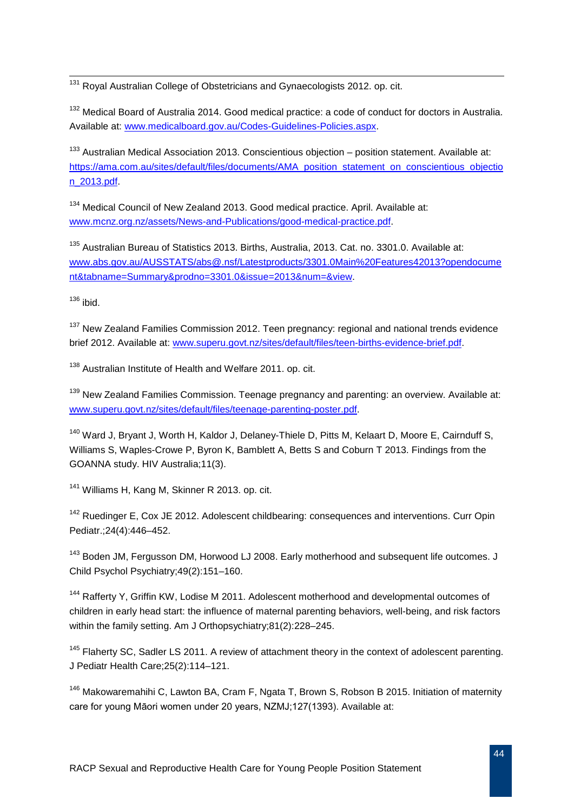<span id="page-44-5"></span><sup>131</sup> Royal Australian College of Obstetricians and Gynaecologists 2012. op. cit. 

<sup>132</sup> Medical Board of Australia 2014. Good medical practice: a code of conduct for doctors in Australia. Available at: [www.medicalboard.gov.au/Codes-Guidelines-Policies.aspx.](http://www.medicalboard.gov.au/Codes-Guidelines-Policies.aspx)

<span id="page-44-6"></span> $133$  Australian Medical Association 2013. Conscientious objection – position statement. Available at: [https://ama.com.au/sites/default/files/documents/AMA\\_position\\_statement\\_on\\_conscientious\\_objectio](https://ama.com.au/sites/default/files/documents/AMA_position_statement_on_conscientious_objection_2013.pdf) [n\\_2013.pdf.](https://ama.com.au/sites/default/files/documents/AMA_position_statement_on_conscientious_objection_2013.pdf)

<span id="page-44-7"></span><sup>134</sup> Medical Council of New Zealand 2013. Good medical practice. April. Available at: [www.mcnz.org.nz/assets/News-and-Publications/good-medical-practice.pdf.](http://www.mcnz.org.nz/assets/News-and-Publications/good-medical-practice.pdf)

<span id="page-44-8"></span><sup>135</sup> Australian Bureau of Statistics 2013. Births, Australia, 2013. Cat. no. 3301.0. Available at: [www.abs.gov.au/AUSSTATS/abs@.nsf/Latestproducts/3301.0Main%20Features42013?opendocume](http://www.abs.gov.au/AUSSTATS/abs@.nsf/Latestproducts/3301.0Main%20Features42013?opendocument&tabname=Summary&prodno=3301.0&issue=2013&num=&view) [nt&tabname=Summary&prodno=3301.0&issue=2013&num=&view.](http://www.abs.gov.au/AUSSTATS/abs@.nsf/Latestproducts/3301.0Main%20Features42013?opendocument&tabname=Summary&prodno=3301.0&issue=2013&num=&view)

 $136$  ibid.

<sup>137</sup> New Zealand Families Commission 2012. Teen pregnancy: regional and national trends evidence brief 2012. Available at: [www.superu.govt.nz/sites/default/files/teen-births-evidence-brief.pdf.](http://www.superu.govt.nz/sites/default/files/teen-births-evidence-brief.pdf)

<sup>138</sup> Australian Institute of Health and Welfare 2011, op. cit.

 $139$  New Zealand Families Commission. Teenage pregnancy and parenting: an overview. Available at: [www.superu.govt.nz/sites/default/files/teenage-parenting-poster.pdf.](http://www.superu.govt.nz/sites/default/files/teenage-parenting-poster.pdf)

<sup>140</sup> Ward J, Bryant J, Worth H, Kaldor J, Delaney-Thiele D, Pitts M, Kelaart D, Moore E, Cairnduff S, Williams S, Waples-Crowe P, Byron K, Bamblett A, Betts S and Coburn T 2013. Findings from the GOANNA study. HIV Australia;11(3).

<sup>141</sup> Williams H, Kang M, Skinner R 2013. op. cit.

<sup>142</sup> Ruedinger E, Cox JE 2012. Adolescent childbearing: consequences and interventions. Curr Opin Pediatr.;24(4):446–452.

<span id="page-44-0"></span><sup>143</sup> Boden JM, Fergusson DM, Horwood LJ 2008. Early motherhood and subsequent life outcomes. J Child Psychol Psychiatry;49(2):151–160.

<span id="page-44-1"></span><sup>144</sup> Rafferty Y, Griffin KW, Lodise M 2011. Adolescent motherhood and developmental outcomes of children in early head start: the influence of maternal parenting behaviors, well-being, and risk factors within the family setting. Am J Orthopsychiatry;81(2):228–245.

<span id="page-44-3"></span><span id="page-44-2"></span><sup>145</sup> Flaherty SC, Sadler LS 2011. A review of attachment theory in the context of adolescent parenting. J Pediatr Health Care;25(2):114–121.

<span id="page-44-4"></span><sup>146</sup> Makowaremahihi C, Lawton BA, Cram F, Ngata T, Brown S, Robson B 2015. Initiation of maternity care for young Māori women under 20 years, NZMJ;127(1393). Available at: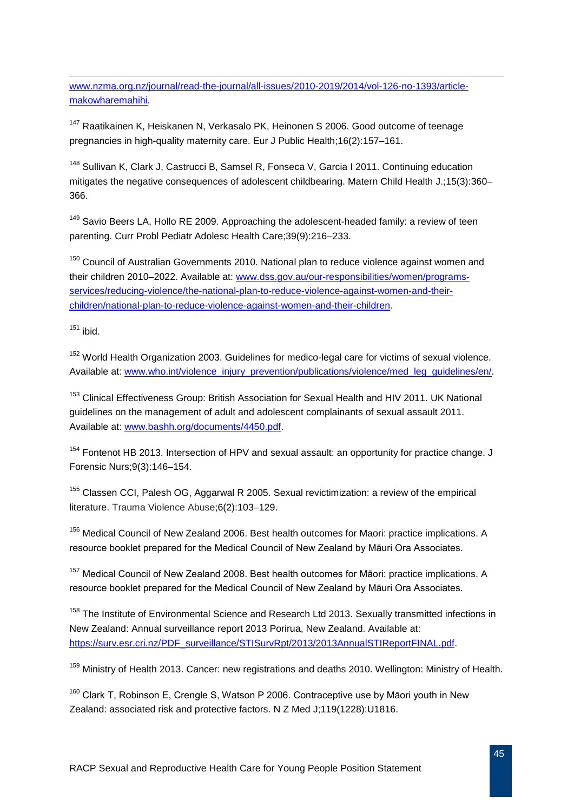[www.nzma.org.nz/journal/read-the-journal/all-issues/2010-2019/2014/vol-126-no-1393/article](http://www.nzma.org.nz/journal/read-the-journal/all-issues/2010-2019/2014/vol-126-no-1393/article-makowharemahihi)[makowharemahihi.](http://www.nzma.org.nz/journal/read-the-journal/all-issues/2010-2019/2014/vol-126-no-1393/article-makowharemahihi) -

<sup>147</sup> Raatikainen K, Heiskanen N, Verkasalo PK, Heinonen S 2006. Good outcome of teenage pregnancies in high-quality maternity care. Eur J Public Health;16(2):157–161.

<sup>148</sup> Sullivan K, Clark J, Castrucci B, Samsel R, Fonseca V, Garcia I 2011. Continuing education mitigates the negative consequences of adolescent childbearing. Matern Child Health J.;15(3):360– 366.

 $149$  Savio Beers LA, Hollo RE 2009. Approaching the adolescent-headed family: a review of teen parenting. Curr Probl Pediatr Adolesc Health Care;39(9):216–233.

 $150$  Council of Australian Governments 2010. National plan to reduce violence against women and their children 2010–2022. Available at: [www.dss.gov.au/our-responsibilities/women/programs](http://www.dss.gov.au/our-responsibilities/women/programs-services/reducing-violence/the-national-plan-to-reduce-violence-against-women-and-their-children/national-plan-to-reduce-violence-against-women-and-their-children)[services/reducing-violence/the-national-plan-to-reduce-violence-against-women-and-their](http://www.dss.gov.au/our-responsibilities/women/programs-services/reducing-violence/the-national-plan-to-reduce-violence-against-women-and-their-children/national-plan-to-reduce-violence-against-women-and-their-children)[children/national-plan-to-reduce-violence-against-women-and-their-children.](http://www.dss.gov.au/our-responsibilities/women/programs-services/reducing-violence/the-national-plan-to-reduce-violence-against-women-and-their-children/national-plan-to-reduce-violence-against-women-and-their-children)

<span id="page-45-0"></span> $151$  ibid.

<span id="page-45-1"></span><sup>152</sup> World Health Organization 2003. Guidelines for medico-legal care for victims of sexual violence. Available at: [www.who.int/violence\\_injury\\_prevention/publications/violence/med\\_leg\\_guidelines/en/.](http://www.who.int/violence_injury_prevention/publications/violence/med_leg_guidelines/en/)

<sup>153</sup> Clinical Effectiveness Group: British Association for Sexual Health and HIV 2011. UK National guidelines on the management of adult and adolescent complainants of sexual assault 2011. Available at: [www.bashh.org/documents/4450.pdf.](http://www.bashh.org/documents/4450.pdf)

<span id="page-45-2"></span><sup>154</sup> Fontenot HB 2013. Intersection of HPV and sexual assault: an opportunity for practice change. J Forensic Nurs[;9\(3\)](http://journals.lww.com/forensicnursing/toc/2013/07000):146–154.

<span id="page-45-4"></span><span id="page-45-3"></span><sup>155</sup> Classen CCI, Palesh OG, Aggarwal R 2005. Sexual revictimization: a review of the empirical literature. Trauma Violence Abuse;6(2):103–129.

<span id="page-45-5"></span><sup>156</sup> Medical Council of New Zealand 2006. Best health outcomes for Maori: practice implications. A resource booklet prepared for the Medical Council of New Zealand by Māuri Ora Associates.

<sup>157</sup> Medical Council of New Zealand 2008. Best health outcomes for Māori: practice implications. A resource booklet prepared for the Medical Council of New Zealand by Māuri Ora Associates.

<sup>158</sup> The Institute of Environmental Science and Research Ltd 2013. Sexually transmitted infections in New Zealand: Annual surveillance report 2013 Porirua, New Zealand. Available at: [https://surv.esr.cri.nz/PDF\\_surveillance/STISurvRpt/2013/2013AnnualSTIReportFINAL.pdf.](https://surv.esr.cri.nz/PDF_surveillance/STISurvRpt/2013/2013AnnualSTIReportFINAL.pdf)

<sup>159</sup> Ministry of Health 2013. Cancer: new registrations and deaths 2010. Wellington: Ministry of Health.

 $160$  Clark T, Robinson E, Crengle S, Watson P 2006. Contraceptive use by Māori youth in New Zealand: associated risk and protective factors. N Z Med J;119(1228):U1816.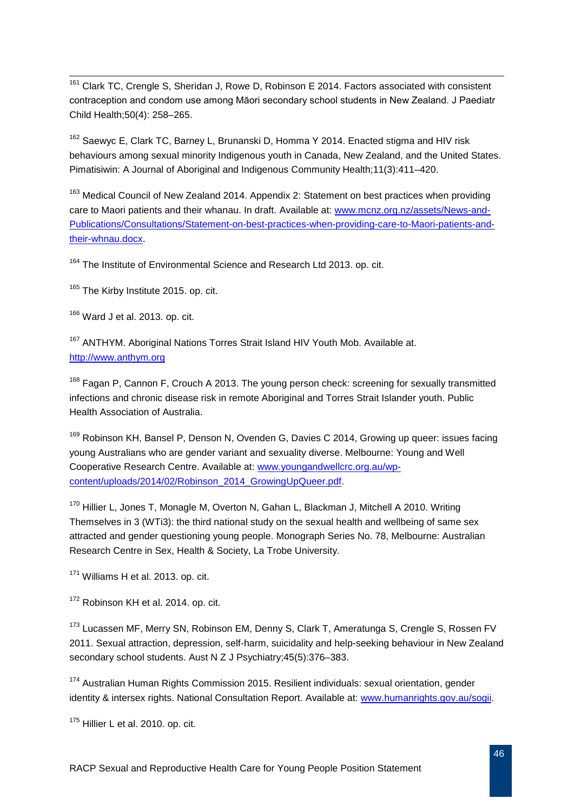<span id="page-46-5"></span><sup>161</sup> Clark TC, Crengle S, Sheridan J, Rowe D, Robinson E 2014. Factors associated with consistent contraception and condom use among Māori secondary school students in New Zealand. J Paediatr Child Health;50(4): 258–265. 

<span id="page-46-6"></span><sup>162</sup> Saewyc E, Clark TC, Barney L, Brunanski D, Homma Y 2014. Enacted stigma and HIV risk behaviours among sexual minority Indigenous youth in Canada, New Zealand, and the United States. Pimatisiwin: A Journal of Aboriginal and Indigenous Community Health;11(3):411–420.

<span id="page-46-8"></span><span id="page-46-7"></span> $163$  Medical Council of New Zealand 2014. Appendix 2: Statement on best practices when providing care to Maori patients and their whanau. In draft. Available at: [www.mcnz.org.nz/assets/News-and-](http://www.mcnz.org.nz/assets/News-and-Publications/Consultations/Statement-on-best-practices-when-providing-care-to-Maori-patients-and-their-whnau.docx)[Publications/Consultations/Statement-on-best-practices-when-providing-care-to-Maori-patients-and](http://www.mcnz.org.nz/assets/News-and-Publications/Consultations/Statement-on-best-practices-when-providing-care-to-Maori-patients-and-their-whnau.docx)[their-whnau.docx.](http://www.mcnz.org.nz/assets/News-and-Publications/Consultations/Statement-on-best-practices-when-providing-care-to-Maori-patients-and-their-whnau.docx)

<span id="page-46-9"></span><sup>164</sup> The Institute of Environmental Science and Research Ltd 2013. op. cit.

<sup>165</sup> The Kirby Institute 2015. op. cit.

 $166$  Ward J et al. 2013. op. cit.

<sup>167</sup> ANTHYM. Aboriginal Nations Torres Strait Island HIV Youth Mob. Available at. [http://www.anthym.org](http://www.anthym.org/)

<sup>168</sup> Fagan P, Cannon F, Crouch A 2013. The young person check: screening for sexually transmitted infections and chronic disease risk in remote Aboriginal and Torres Strait Islander youth. Public Health Association of Australia.

 $169$  Robinson KH, Bansel P, Denson N, Ovenden G, Davies C 2014, Growing up queer: issues facing young Australians who are gender variant and sexuality diverse. Melbourne: [Young and Well](http://www.youngandwellcrc.org.au/)  [Cooperative Research Centre.](http://www.youngandwellcrc.org.au/) Available at: [www.youngandwellcrc.org.au/wp](http://www.youngandwellcrc.org.au/wp-content/uploads/2014/02/Robinson_2014_GrowingUpQueer.pdf)[content/uploads/2014/02/Robinson\\_2014\\_GrowingUpQueer.pdf.](http://www.youngandwellcrc.org.au/wp-content/uploads/2014/02/Robinson_2014_GrowingUpQueer.pdf)

<sup>170</sup> Hillier L, Jones T, Monagle M, Overton N, Gahan L, Blackman J, Mitchell A 2010, Writing Themselves in 3 (WTi3): the third national study on the sexual health and wellbeing of same sex attracted and gender questioning young people. Monograph Series No. 78, Melbourne: Australian Research Centre in Sex, Health & Society, La Trobe University.

<span id="page-46-0"></span> $171$  Williams H et al. 2013. op. cit.

<sup>172</sup> Robinson KH et al. 2014. op. cit.

<span id="page-46-2"></span><span id="page-46-1"></span><sup>173</sup> Lucassen MF, Merry SN, Robinson EM, Denny S, Clark T, Ameratunga S, Crengle S, Rossen FV 2011. Sexual attraction, depression, self-harm, suicidality and help-seeking behaviour in New Zealand secondary school students. Aust N Z J Psychiatry;45(5):376–383.

<span id="page-46-4"></span><span id="page-46-3"></span><sup>174</sup> Australian Human Rights Commission 2015. Resilient individuals: sexual orientation, gender identity & intersex rights. National Consultation Report. Available at: [www.humanrights.gov.au/sogii.](http://www.humanrights.gov.au/sogii)

 $175$  Hillier L et al. 2010. op. cit.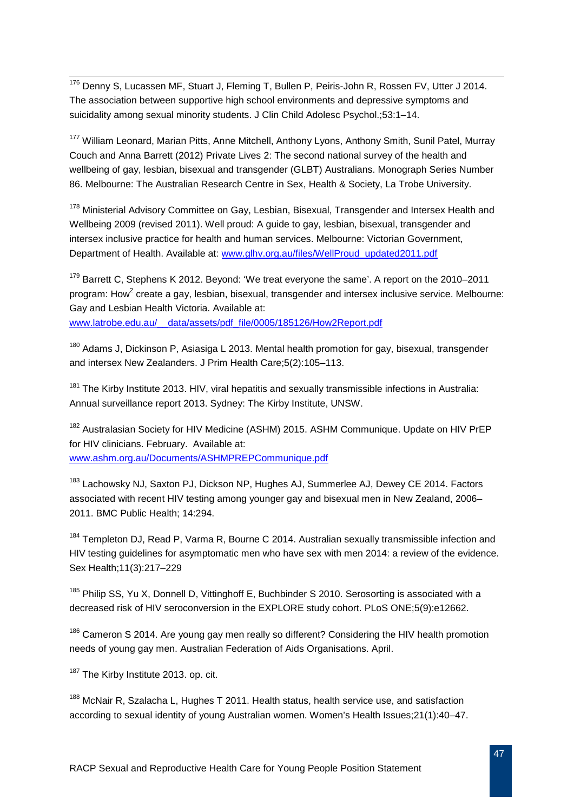<span id="page-47-9"></span><sup>176</sup> Denny S, Lucassen MF, Stuart J, Fleming T, Bullen P, Peiris-John R, Rossen FV, Utter J 2014. The association between supportive high school environments and depressive symptoms and suicidality among sexual minority students. J Clin Child Adolesc Psychol.;53:1–14. 

<span id="page-47-10"></span><sup>177</sup> William Leonard, Marian Pitts, Anne Mitchell, Anthony Lyons, Anthony Smith, Sunil Patel, Murray Couch and Anna Barrett (2012) Private Lives 2: The second national survey of the health and wellbeing of gay, lesbian, bisexual and transgender (GLBT) Australians. Monograph Series Number 86. Melbourne: The Australian Research Centre in Sex, Health & Society, La Trobe University.

<span id="page-47-11"></span><sup>178</sup> Ministerial Advisory Committee on Gay, Lesbian, Bisexual, Transgender and Intersex Health and Wellbeing 2009 (revised 2011). Well proud: A guide to gay, lesbian, bisexual, transgender and intersex inclusive practice for health and human services. Melbourne: Victorian Government, Department of Health. Available at: [www.glhv.org.au/files/WellProud\\_updated2011.pdf](http://www.glhv.org.au/files/WellProud_updated2011.pdf)

<span id="page-47-13"></span><span id="page-47-12"></span><span id="page-47-0"></span><sup>179</sup> Barrett C, Stephens K 2012. Beyond: 'We treat everyone the same'. A report on the 2010–2011 program: How<sup>2</sup> create a gay, lesbian, bisexual, transgender and intersex inclusive service. Melbourne: Gay and Lesbian Health Victoria. Available at: www.latrobe.edu.au/ data/assets/pdf file/0005/185126/How2Report.pdf

<span id="page-47-14"></span><span id="page-47-1"></span><sup>180</sup> Adams J, Dickinson P, Asiasiga L 2013. Mental health promotion for gay, bisexual, transgender and intersex New Zealanders. J Prim Health Care;5(2):105–113.

<span id="page-47-15"></span> $181$  The Kirby Institute 2013. HIV, viral hepatitis and sexually transmissible infections in Australia: Annual surveillance report 2013. Sydney: The Kirby Institute, UNSW.

<span id="page-47-16"></span><span id="page-47-2"></span><sup>182</sup> Australasian Society for HIV Medicine (ASHM) 2015. ASHM Communique. Update on HIV PrEP for HIV clinicians. February. Available at: [www.ashm.org.au/Documents/ASHMPREPCommunique.pdf](http://www.ashm.org.au/Documents/ASHMPREPCommunique.pdf)

<span id="page-47-4"></span><span id="page-47-3"></span><sup>183</sup> Lachowsky NJ, Saxton PJ, Dickson NP, Hughes AJ, Summerlee AJ, Dewey CE 2014, Factors associated with recent HIV testing among younger gay and bisexual men in New Zealand, 2006– 2011. BMC Public Health; 14:294.

<span id="page-47-5"></span><sup>184</sup> Templeton DJ, Read P, Varma R, Bourne C 2014. Australian sexually transmissible infection and [HIV testing guidelines for asymptomatic men who have sex with men 2014: a review of the evidence.](http://www.ncbi.nlm.nih.gov/pubmed/24690473) Sex Health;11(3):217–229

<span id="page-47-6"></span><sup>185</sup> Philip SS, Yu X, Donnell D, Vittinghoff E, Buchbinder S 2010. Serosorting is associated with a decreased risk of HIV seroconversion in the EXPLORE study cohort. PLoS ONE;5(9):e12662.

<span id="page-47-7"></span><sup>186</sup> Cameron S 2014. Are young gay men really so different? Considering the HIV health promotion needs of young gay men. Australian Federation of Aids Organisations. April.

<span id="page-47-8"></span><sup>187</sup> The Kirby Institute 2013. op. cit.

<sup>188</sup> McNair R, Szalacha L, Hughes T 2011. Health status, health service use, and satisfaction according to sexual identity of young Australian women. Women's Health Issues;21(1):40–47.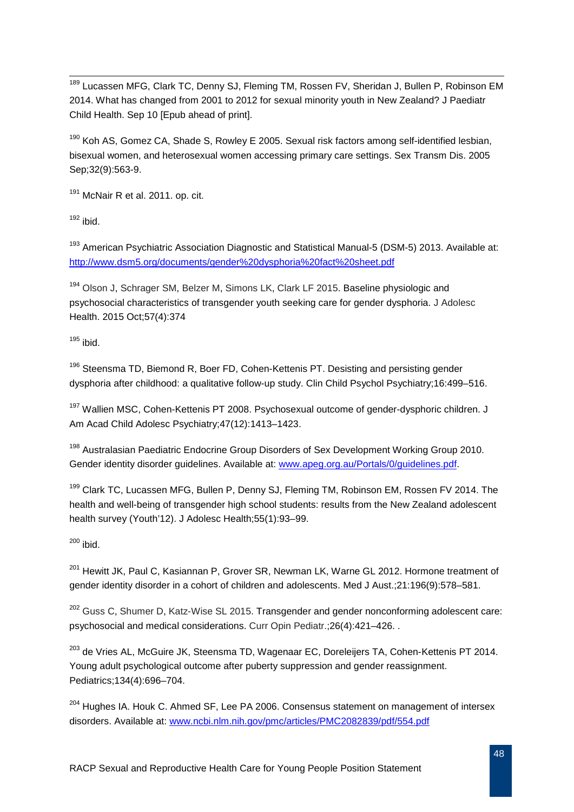<span id="page-48-7"></span><sup>189</sup> Lucassen MFG, Clark TC, Denny SJ, Fleming TM, Rossen FV, Sheridan J, Bullen P, Robinson EM 2014. What has changed from 2001 to 2012 for sexual minority youth in New Zealand? J Paediatr Child Health. Sep 10 [Epub ahead of print]. 

<span id="page-48-24"></span><span id="page-48-23"></span><span id="page-48-9"></span><span id="page-48-8"></span> $190$  Koh AS, Gomez CA, Shade S, Rowley E 2005. Sexual risk factors among self-identified lesbian, bisexual women, and heterosexual women accessing primary care settings. Sex Transm Dis. 2005 Sep;32(9):563-9.

 $191$  McNair R et al. 2011. op. cit.

<span id="page-48-25"></span><span id="page-48-10"></span> $192$  ibid.

<span id="page-48-11"></span><sup>193</sup> American Psychiatric Association Diagnostic and Statistical Manual-5 (DSM-5) 2013. Available at: <http://www.dsm5.org/documents/gender%20dysphoria%20fact%20sheet.pdf>

<span id="page-48-12"></span><sup>194</sup> [Olson J,](http://www.ncbi.nlm.nih.gov/pubmed/?term=Olson%20J%5BAuthor%5D&cauthor=true&cauthor_uid=26208863) [Schrager SM,](http://www.ncbi.nlm.nih.gov/pubmed/?term=Schrager%20SM%5BAuthor%5D&cauthor=true&cauthor_uid=26208863) [Belzer M,](http://www.ncbi.nlm.nih.gov/pubmed/?term=Belzer%20M%5BAuthor%5D&cauthor=true&cauthor_uid=26208863) [Simons LK,](http://www.ncbi.nlm.nih.gov/pubmed/?term=Simons%20LK%5BAuthor%5D&cauthor=true&cauthor_uid=26208863) [Clark LF](http://www.ncbi.nlm.nih.gov/pubmed/?term=Clark%20LF%5BAuthor%5D&cauthor=true&cauthor_uid=26208863) 2015. Baseline physiologic and psychosocial characteristics of transgender youth seeking care for gender dysphoria. J Adolesc Health. 2015 Oct;57(4):374

<span id="page-48-13"></span> $195$  ibid.

<span id="page-48-14"></span><sup>196</sup> Steensma TD, Biemond R, Boer FD, Cohen-Kettenis PT. Desisting and persisting gender dysphoria after childhood: a qualitative follow-up study. Clin Child Psychol Psychiatry;16:499–516.

<span id="page-48-15"></span><sup>197</sup> Wallien MSC, Cohen-Kettenis PT 2008. Psychosexual outcome of gender-dysphoric children. J Am Acad Child Adolesc Psychiatry;47(12):1413–1423.

<span id="page-48-16"></span><span id="page-48-0"></span><sup>198</sup> Australasian Paediatric Endocrine Group Disorders of Sex Development Working Group 2010. Gender identity disorder guidelines. Available at: [www.apeg.org.au/Portals/0/guidelines.pdf.](http://www.apeg.org.au/Portals/0/guidelines.pdf)

<span id="page-48-17"></span><span id="page-48-1"></span><sup>199</sup> Clark TC, Lucassen MFG, Bullen P, Denny SJ, Fleming TM, Robinson EM, Rossen FV 2014. The health and well-being of transgender high school students: results from the New Zealand adolescent health survey (Youth'12). J Adolesc Health;55(1):93–99.

<span id="page-48-18"></span><span id="page-48-2"></span> $200$  ibid.

<span id="page-48-19"></span><span id="page-48-3"></span><sup>201</sup> Hewitt JK, Paul C, Kasiannan P, Grover SR, Newman LK, Warne GL 2012. Hormone treatment of [gender identity disorder in a cohort of children and adolescents.](http://www.ncbi.nlm.nih.gov/pubmed/22621149) Med J Aust.;21:196(9):578–581.

<span id="page-48-20"></span> $202$  [Guss C,](http://www.ncbi.nlm.nih.gov/pubmed/?term=Guss%20C%5BAuthor%5D&cauthor=true&cauthor_uid=26087416) [Shumer D,](http://www.ncbi.nlm.nih.gov/pubmed/?term=Shumer%20D%5BAuthor%5D&cauthor=true&cauthor_uid=26087416) [Katz-Wise SL](http://www.ncbi.nlm.nih.gov/pubmed/?term=Katz-Wise%20SL%5BAuthor%5D&cauthor=true&cauthor_uid=26087416) 2015. Transgender and gender nonconforming adolescent care: psychosocial and medical considerations. Curr Opin Pediatr.;26(4):421–426. .

<span id="page-48-21"></span><span id="page-48-5"></span><span id="page-48-4"></span><sup>203</sup> de Vries AL, McGuire JK, Steensma TD, Wagenaar EC, Doreleijers TA, Cohen-Kettenis PT 2014. Young adult psychological outcome after puberty suppression and gender reassignment. Pediatrics;134(4):696–704.

<span id="page-48-22"></span><span id="page-48-6"></span><sup>204</sup> Hughes IA. Houk C. Ahmed SF, Lee PA 2006. Consensus statement on management of intersex disorders. Available at: [www.ncbi.nlm.nih.gov/pmc/articles/PMC2082839/pdf/554.pdf](http://www.ncbi.nlm.nih.gov/pmc/articles/PMC2082839/pdf/554.pdf)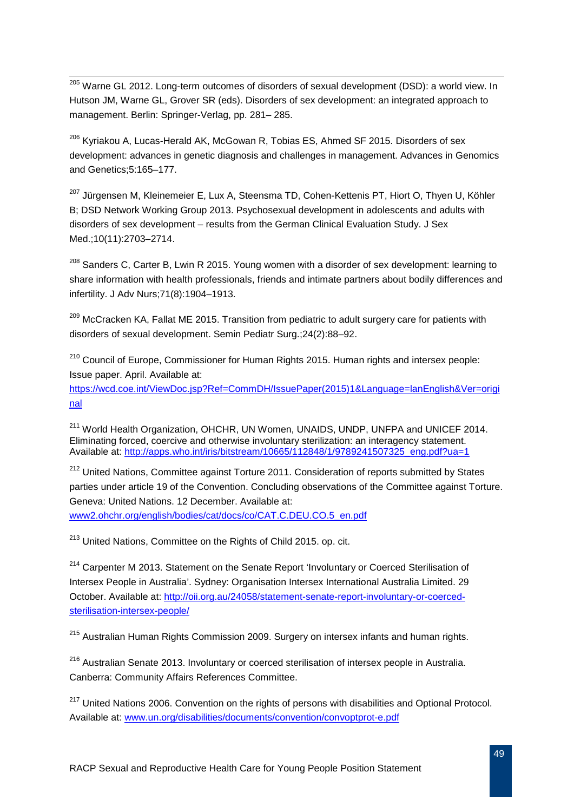<sup>205</sup> Warne GL 2012. Long-term outcomes of disorders of sexual development (DSD): a world view. In Hutson JM, Warne GL, Grover SR (eds). Disorders of sex development: an integrated approach to management. Berlin: Springer-Verlag, pp. 281– 285.  $\overline{a}$ 

<sup>206</sup> Kyriakou A, Lucas-Herald AK, McGowan R, Tobias ES, Ahmed SF 2015. Disorders of sex development: advances in genetic diagnosis and challenges in management. Advances in Genomics and Genetics;5:165–177.

<sup>207</sup> Jürgensen M, Kleinemeier E, Lux A, Steensma TD, Cohen-Kettenis PT, Hiort O, Thyen U, Köhler B; DSD Network Working Group 2013. Psychosexual development in adolescents and adults with disorders of sex development – results from the German Clinical Evaluation Study. J Sex Med.;10(11):2703–2714.

<span id="page-49-0"></span> $208$  Sanders C, Carter B, Lwin R 2015. Young women with a disorder of sex development: learning to share information with health professionals, friends and intimate partners about bodily differences and infertility. J Adv Nurs;71(8):1904–1913.

<span id="page-49-1"></span><sup>209</sup> McCracken KA, Fallat ME 2015. Transition from pediatric to adult surgery care for patients with disorders of sexual development. Semin Pediatr Surg.;24(2):88–92.

<span id="page-49-2"></span> $210$  Council of Europe, Commissioner for Human Rights 2015. Human rights and intersex people: Issue paper. April. Available at: [https://wcd.coe.int/ViewDoc.jsp?Ref=CommDH/IssuePaper\(2015\)1&Language=lanEnglish&Ver=origi](https://wcd.coe.int/ViewDoc.jsp?Ref=CommDH/IssuePaper(2015)1&Language=lanEnglish&Ver=original)

<span id="page-49-3"></span>[nal](https://wcd.coe.int/ViewDoc.jsp?Ref=CommDH/IssuePaper(2015)1&Language=lanEnglish&Ver=original)

<sup>211</sup> World Health Organization, OHCHR, UN Women, UNAIDS, UNDP, UNFPA and UNICEF 2014. Eliminating forced, coercive and otherwise involuntary sterilization: an interagency statement. Available at: [http://apps.who.int/iris/bitstream/10665/112848/1/9789241507325\\_eng.pdf?ua=1](http://apps.who.int/iris/bitstream/10665/112848/1/9789241507325_eng.pdf?ua=1)

<span id="page-49-4"></span><sup>212</sup> United Nations, Committee against Torture 2011. Consideration of reports submitted by States parties under article 19 of the Convention. Concluding observations of the Committee against Torture. Geneva: United Nations. 12 December. Available at:

<span id="page-49-5"></span>[www2.ohchr.org/english/bodies/cat/docs/co/CAT.C.DEU.CO.5\\_en.pdf](http://www2.ohchr.org/english/bodies/cat/docs/co/CAT.C.DEU.CO.5_en.pdf)

<sup>213</sup> United Nations, Committee on the Rights of Child 2015. op. cit.

<sup>214</sup> Carpenter M 2013. Statement on the Senate Report 'Involuntary or Coerced Sterilisation of Intersex People in Australia'. Sydney: Organisation Intersex International Australia Limited. 29 October. Available at: [http://oii.org.au/24058/statement-senate-report-involuntary-or-coerced](http://oii.org.au/24058/statement-senate-report-involuntary-or-coerced-sterilisation-intersex-people/)[sterilisation-intersex-people/](http://oii.org.au/24058/statement-senate-report-involuntary-or-coerced-sterilisation-intersex-people/)

<sup>215</sup> Australian Human Rights Commission 2009. Surgery on intersex infants and human rights.

<sup>216</sup> Australian Senate 2013. Involuntary or coerced sterilisation of intersex people in Australia. Canberra: Community Affairs References Committee.

<sup>217</sup> United Nations 2006. Convention on the rights of persons with disabilities and Optional Protocol. Available at: [www.un.org/disabilities/documents/convention/convoptprot-e.pdf](http://www.un.org/disabilities/documents/convention/convoptprot-e.pdf)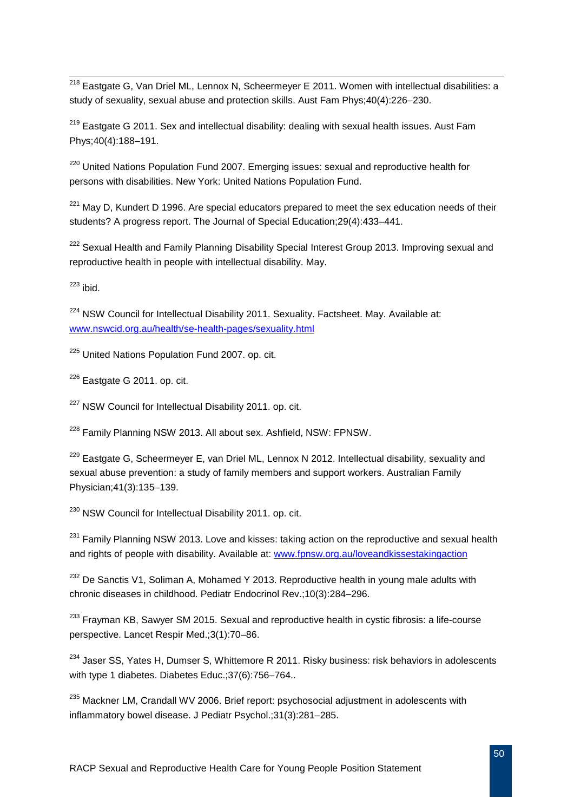<span id="page-50-5"></span><sup>218</sup> Eastgate G, Van Driel ML, Lennox N, Scheermeyer E 2011. Women with intellectual disabilities: a study of sexuality, sexual abuse and protection skills. Aust Fam Phys;40(4):226–230.  $\overline{a}$ 

<span id="page-50-6"></span> $219$  Eastgate G 2011. Sex and intellectual disability: dealing with sexual health issues. Aust Fam Phys;40(4):188–191.

 $220$  United Nations Population Fund 2007. Emerging issues: sexual and reproductive health for persons with disabilities. New York: United Nations Population Fund.

<span id="page-50-7"></span> $221$  May D, Kundert D 1996. Are special educators prepared to meet the sex education needs of their students? A progress report. The Journal of Special Education;29(4):433–441.

<span id="page-50-8"></span><sup>222</sup> Sexual Health and Family Planning Disability Special Interest Group 2013. Improving sexual and reproductive health in people with intellectual disability. May.

<span id="page-50-9"></span> $223$  ibid.

<sup>224</sup> NSW Council for Intellectual Disability 2011. Sexuality. Factsheet. May. Available at: [www.nswcid.org.au/health/se-health-pages/sexuality.html](http://www.nswcid.org.au/health/se-health-pages/sexuality.html)

<sup>225</sup> United Nations Population Fund 2007. op. cit.

 $226$  Eastgate G 2011. op. cit.

<sup>227</sup> NSW Council for Intellectual Disability 2011. op. cit.

<sup>228</sup> Family Planning NSW 2013. All about sex. Ashfield, NSW: FPNSW.

 $229$  Eastgate G, Scheermeyer E, van Driel ML, Lennox N 2012. Intellectual disability, sexuality and sexual abuse prevention: a study of family members and support workers. Australian Family Physician;41(3):135–139.

<sup>230</sup> NSW Council for Intellectual Disability 2011. op. cit.

<span id="page-50-0"></span> $231$  Family Planning NSW 2013. Love and kisses: taking action on the reproductive and sexual health and rights of people with disability. Available at: [www.fpnsw.org.au/loveandkissestakingaction](http://www.fpnsw.org.au/loveandkissestakingaction)

<span id="page-50-1"></span> $232$  De Sanctis V1, Soliman A, Mohamed Y 2013. Reproductive health in young male adults with chronic diseases in childhood. Pediatr Endocrinol Rev.;10(3):284–296.

<span id="page-50-2"></span> $233$  Frayman KB, Sawyer SM 2015. Sexual and reproductive health in cystic fibrosis: a life-course perspective. Lancet Respir Med.;3(1):70–86.

<span id="page-50-3"></span><sup>234</sup> Jaser SS, Yates H, Dumser S, Whittemore R 2011. Risky business: risk behaviors in adolescents [with type 1 diabetes.](http://www.ncbi.nlm.nih.gov/pubmed/22002971) Diabetes Educ.; 37(6): 756-764..

<span id="page-50-4"></span> $235$  [Mackner LM,](http://www.ncbi.nlm.nih.gov/pubmed/?term=Mackner%20LM%5BAuthor%5D&cauthor=true&cauthor_uid=15802606) [Crandall WV](http://www.ncbi.nlm.nih.gov/pubmed/?term=Crandall%20WV%5BAuthor%5D&cauthor=true&cauthor_uid=15802606) 2006. Brief report: psychosocial adjustment in adolescents with inflammatory bowel disease. J Pediatr Psychol.;31(3):281–285.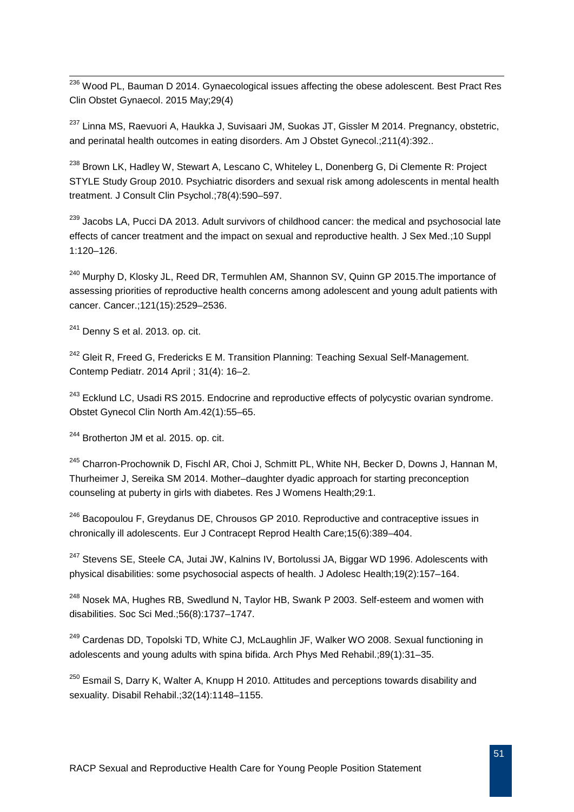<sup>236</sup> [Wood PL,](http://www.ncbi.nlm.nih.gov/pubmed/?term=Wood%20PL%5BAuthor%5D&cauthor=true&cauthor_uid=25481559) [Bauman D](http://www.ncbi.nlm.nih.gov/pubmed/?term=Bauman%20D%5BAuthor%5D&cauthor=true&cauthor_uid=25481559) 2014. Gynaecological issues affecting the obese adolescent. Best Pract Res Clin Obstet Gynaecol. 2015 May;29(4)  $\overline{a}$ 

<sup>237</sup> [Linna MS,](http://www.ncbi.nlm.nih.gov/pubmed/?term=Linna%20MS%5BAuthor%5D&cauthor=true&cauthor_uid=24705128) [Raevuori A,](http://www.ncbi.nlm.nih.gov/pubmed/?term=Raevuori%20A%5BAuthor%5D&cauthor=true&cauthor_uid=24705128) [Haukka J,](http://www.ncbi.nlm.nih.gov/pubmed/?term=Haukka%20J%5BAuthor%5D&cauthor=true&cauthor_uid=24705128) [Suvisaari JM,](http://www.ncbi.nlm.nih.gov/pubmed/?term=Suvisaari%20JM%5BAuthor%5D&cauthor=true&cauthor_uid=24705128) [Suokas JT,](http://www.ncbi.nlm.nih.gov/pubmed/?term=Suokas%20JT%5BAuthor%5D&cauthor=true&cauthor_uid=24705128) [Gissler M](http://www.ncbi.nlm.nih.gov/pubmed/?term=Gissler%20M%5BAuthor%5D&cauthor=true&cauthor_uid=24705128) 2014. Pregnancy, obstetric, and perinatal health outcomes in eating disorders. Am J Obstet Gynecol.;211(4):392..

<sup>238</sup> [Brown LK,](http://www.ncbi.nlm.nih.gov/pubmed/?term=Brown%20LK%5BAuthor%5D&cauthor=true&cauthor_uid=20658815) [Hadley W,](http://www.ncbi.nlm.nih.gov/pubmed/?term=Hadley%20W%5BAuthor%5D&cauthor=true&cauthor_uid=20658815) [Stewart A,](http://www.ncbi.nlm.nih.gov/pubmed/?term=Stewart%20A%5BAuthor%5D&cauthor=true&cauthor_uid=20658815) [Lescano C,](http://www.ncbi.nlm.nih.gov/pubmed/?term=Lescano%20C%5BAuthor%5D&cauthor=true&cauthor_uid=20658815) [Whiteley L,](http://www.ncbi.nlm.nih.gov/pubmed/?term=Whiteley%20L%5BAuthor%5D&cauthor=true&cauthor_uid=20658815) [Donenberg G,](http://www.ncbi.nlm.nih.gov/pubmed/?term=Donenberg%20G%5BAuthor%5D&cauthor=true&cauthor_uid=20658815) Di Clemente R; Project [STYLE Study Group](http://www.ncbi.nlm.nih.gov/pubmed/?term=Project%20STYLE%20Study%20Group%5BCorporate%20Author%5D) 2010. Psychiatric disorders and sexual risk among adolescents in mental health treatment. J Consult Clin Psychol.;78(4):590–597.

<sup>239</sup> [Jacobs LA,](http://www.ncbi.nlm.nih.gov/pubmed/?term=Jacobs%20LA%5BAuthor%5D&cauthor=true&cauthor_uid=23387917) [Pucci DA](http://www.ncbi.nlm.nih.gov/pubmed/?term=Pucci%20DA%5BAuthor%5D&cauthor=true&cauthor_uid=23387917) 2013. Adult survivors of childhood cancer: the medical and psychosocial late effects of cancer treatment and the impact on sexual and reproductive health. J Sex Med.;10 Suppl 1:120–126.

<sup>240</sup> Murphy D, Klosky JL, Reed DR, Termuhlen AM, Shannon SV, Quinn GP 2015. The importance of assessing priorities of reproductive health concerns among adolescent and young adult patients with cancer. Cancer.;121(15):2529–2536.

<span id="page-51-0"></span> $241$  Denny S et al. 2013. op. cit.

<span id="page-51-1"></span><sup>242</sup> Gleit R, Freed G, Fredericks E M, Transition Planning: Teaching Sexual Self-Management. Contemp Pediatr. 2014 April ; 31(4): 16–2.

<span id="page-51-2"></span> $243$  Ecklund LC, Usadi RS 2015. Endocrine and reproductive effects of polycystic ovarian syndrome. Obstet Gynecol Clin North Am.42(1):55–65.

<sup>244</sup> Brotherton JM et al. 2015. op. cit.

<sup>245</sup> [Charron-Prochownik D,](http://www.ncbi.nlm.nih.gov/pubmed/?term=Charron-Prochownik%20D%5BAuthor%5D&cauthor=true&cauthor_uid=25664183) [Fischl AR,](http://www.ncbi.nlm.nih.gov/pubmed/?term=Fischl%20AR%5BAuthor%5D&cauthor=true&cauthor_uid=25664183) [Choi J,](http://www.ncbi.nlm.nih.gov/pubmed/?term=Choi%20J%5BAuthor%5D&cauthor=true&cauthor_uid=25664183) [Schmitt PL,](http://www.ncbi.nlm.nih.gov/pubmed/?term=Schmitt%20PL%5BAuthor%5D&cauthor=true&cauthor_uid=25664183) [White NH,](http://www.ncbi.nlm.nih.gov/pubmed/?term=White%20NH%5BAuthor%5D&cauthor=true&cauthor_uid=25664183) [Becker D,](http://www.ncbi.nlm.nih.gov/pubmed/?term=Becker%20D%5BAuthor%5D&cauthor=true&cauthor_uid=25664183) [Downs J,](http://www.ncbi.nlm.nih.gov/pubmed/?term=Downs%20J%5BAuthor%5D&cauthor=true&cauthor_uid=25664183) [Hannan M,](http://www.ncbi.nlm.nih.gov/pubmed/?term=Hannan%20M%5BAuthor%5D&cauthor=true&cauthor_uid=25664183) [Thurheimer J,](http://www.ncbi.nlm.nih.gov/pubmed/?term=Thurheimer%20J%5BAuthor%5D&cauthor=true&cauthor_uid=25664183) [Sereika SM](http://www.ncbi.nlm.nih.gov/pubmed/?term=Sereika%20SM%5BAuthor%5D&cauthor=true&cauthor_uid=25664183) 2014. Mother–daughter dyadic approach for starting preconception counseling at puberty in girls with diabetes. Res J Womens Health;29:1.

 $246$  Bacopoulou F, Greydanus DE, Chrousos GP 2010. Reproductive and contraceptive issues in chronically ill adolescents. Eur J Contracept Reprod Health Care;15(6):389–404.

<sup>247</sup> [Stevens SE,](http://www.ncbi.nlm.nih.gov/pubmed/?term=Stevens%20SE%5BAuthor%5D&cauthor=true&cauthor_uid=8863089) [Steele CA,](http://www.ncbi.nlm.nih.gov/pubmed/?term=Steele%20CA%5BAuthor%5D&cauthor=true&cauthor_uid=8863089) [Jutai JW,](http://www.ncbi.nlm.nih.gov/pubmed/?term=Jutai%20JW%5BAuthor%5D&cauthor=true&cauthor_uid=8863089) [Kalnins IV,](http://www.ncbi.nlm.nih.gov/pubmed/?term=Kalnins%20IV%5BAuthor%5D&cauthor=true&cauthor_uid=8863089) [Bortolussi JA,](http://www.ncbi.nlm.nih.gov/pubmed/?term=Bortolussi%20JA%5BAuthor%5D&cauthor=true&cauthor_uid=8863089) [Biggar WD](http://www.ncbi.nlm.nih.gov/pubmed/?term=Biggar%20WD%5BAuthor%5D&cauthor=true&cauthor_uid=8863089) 1996, Adolescents with physical disabilities: some psychosocial aspects of health. J Adolesc Health;19(2):157–164.

<sup>248</sup> [Nosek MA,](http://www.ncbi.nlm.nih.gov/pubmed/?term=Nosek%20MA%5BAuthor%5D&cauthor=true&cauthor_uid=12639590) [Hughes RB,](http://www.ncbi.nlm.nih.gov/pubmed/?term=Hughes%20RB%5BAuthor%5D&cauthor=true&cauthor_uid=12639590) [Swedlund N,](http://www.ncbi.nlm.nih.gov/pubmed/?term=Swedlund%20N%5BAuthor%5D&cauthor=true&cauthor_uid=12639590) [Taylor HB,](http://www.ncbi.nlm.nih.gov/pubmed/?term=Taylor%20HB%5BAuthor%5D&cauthor=true&cauthor_uid=12639590) [Swank P](http://www.ncbi.nlm.nih.gov/pubmed/?term=Swank%20P%5BAuthor%5D&cauthor=true&cauthor_uid=12639590) 2003. Self-esteem and women with disabilities. Soc Sci Med.;56(8):1737–1747.

<sup>249</sup> [Cardenas DD,](http://www.ncbi.nlm.nih.gov/pubmed/?term=Cardenas%20DD%5BAuthor%5D&cauthor=true&cauthor_uid=18164327) [Topolski TD,](http://www.ncbi.nlm.nih.gov/pubmed/?term=Topolski%20TD%5BAuthor%5D&cauthor=true&cauthor_uid=18164327) [White CJ,](http://www.ncbi.nlm.nih.gov/pubmed/?term=White%20CJ%5BAuthor%5D&cauthor=true&cauthor_uid=18164327) [McLaughlin JF,](http://www.ncbi.nlm.nih.gov/pubmed/?term=McLaughlin%20JF%5BAuthor%5D&cauthor=true&cauthor_uid=18164327) [Walker WO](http://www.ncbi.nlm.nih.gov/pubmed/?term=Walker%20WO%5BAuthor%5D&cauthor=true&cauthor_uid=18164327) 2008. Sexual functioning in adolescents and young adults with spina bifida. Arch Phys Med Rehabil.;89(1):31–35.

 $250$  [Esmail S,](http://www.ncbi.nlm.nih.gov/pubmed/?term=Esmail%20S%5BAuthor%5D&cauthor=true&cauthor_uid=20131952) [Darry K,](http://www.ncbi.nlm.nih.gov/pubmed/?term=Darry%20K%5BAuthor%5D&cauthor=true&cauthor_uid=20131952) [Walter A,](http://www.ncbi.nlm.nih.gov/pubmed/?term=Walter%20A%5BAuthor%5D&cauthor=true&cauthor_uid=20131952) [Knupp H](http://www.ncbi.nlm.nih.gov/pubmed/?term=Knupp%20H%5BAuthor%5D&cauthor=true&cauthor_uid=20131952) 2010. Attitudes and perceptions towards disability and sexuality. Disabil Rehabil.;32(14):1148–1155.